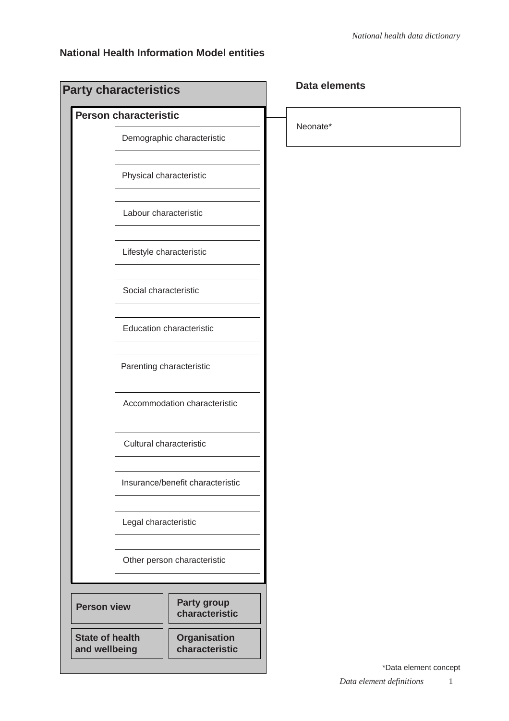### **National Health Information Model entities**

|                                         | <b>Party characteristics</b> |                                       | <b>Data elements</b>  |
|-----------------------------------------|------------------------------|---------------------------------------|-----------------------|
|                                         | <b>Person characteristic</b> |                                       |                       |
|                                         |                              | Demographic characteristic            | Neonate*              |
|                                         | Physical characteristic      |                                       |                       |
|                                         | Labour characteristic        |                                       |                       |
|                                         | Lifestyle characteristic     |                                       |                       |
|                                         | Social characteristic        |                                       |                       |
|                                         |                              | <b>Education characteristic</b>       |                       |
|                                         | Parenting characteristic     |                                       |                       |
|                                         |                              | Accommodation characteristic          |                       |
|                                         | Cultural characteristic      |                                       |                       |
|                                         |                              | Insurance/benefit characteristic      |                       |
|                                         | Legal characteristic         |                                       |                       |
|                                         |                              | Other person characteristic           |                       |
|                                         |                              |                                       |                       |
| <b>Person view</b>                      |                              | Party group<br>characteristic         |                       |
| <b>State of health</b><br>and wellbeing |                              | <b>Organisation</b><br>characteristic |                       |
|                                         |                              |                                       | *Data element concept |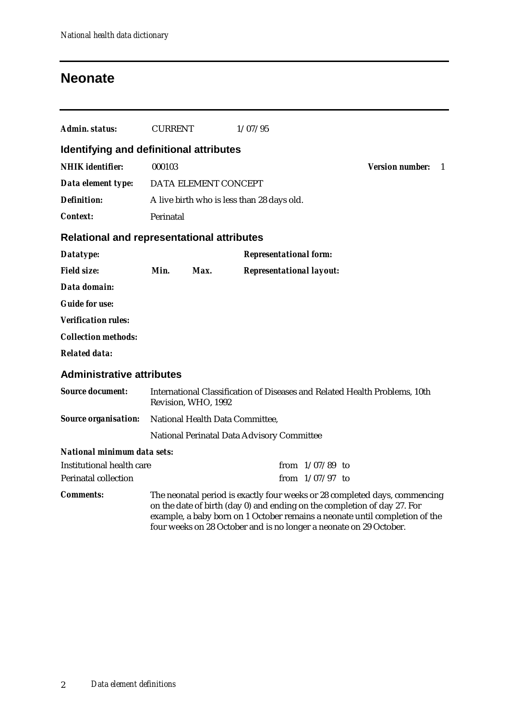## **Neonate**

| Admin. status:                                    | <b>CURRENT</b>                                                                                                                                                                                                                                                                                              |                                 | 1/07/95                                    |                   |  |  |  |
|---------------------------------------------------|-------------------------------------------------------------------------------------------------------------------------------------------------------------------------------------------------------------------------------------------------------------------------------------------------------------|---------------------------------|--------------------------------------------|-------------------|--|--|--|
| Identifying and definitional attributes           |                                                                                                                                                                                                                                                                                                             |                                 |                                            |                   |  |  |  |
| <b>NHIK</b> identifier:                           | 000103                                                                                                                                                                                                                                                                                                      | <b>Version number:</b><br>- 1   |                                            |                   |  |  |  |
| Data element type:                                |                                                                                                                                                                                                                                                                                                             | DATA ELEMENT CONCEPT            |                                            |                   |  |  |  |
| <b>Definition:</b>                                |                                                                                                                                                                                                                                                                                                             |                                 | A live birth who is less than 28 days old. |                   |  |  |  |
| <b>Context:</b>                                   | Perinatal                                                                                                                                                                                                                                                                                                   |                                 |                                            |                   |  |  |  |
| <b>Relational and representational attributes</b> |                                                                                                                                                                                                                                                                                                             |                                 |                                            |                   |  |  |  |
| Datatype:                                         |                                                                                                                                                                                                                                                                                                             |                                 | <b>Representational form:</b>              |                   |  |  |  |
| <b>Field size:</b>                                | Min.                                                                                                                                                                                                                                                                                                        | Max.                            | <b>Representational layout:</b>            |                   |  |  |  |
| Data domain:                                      |                                                                                                                                                                                                                                                                                                             |                                 |                                            |                   |  |  |  |
| <b>Guide for use:</b>                             |                                                                                                                                                                                                                                                                                                             |                                 |                                            |                   |  |  |  |
| <b>Verification rules:</b>                        |                                                                                                                                                                                                                                                                                                             |                                 |                                            |                   |  |  |  |
| <b>Collection methods:</b>                        |                                                                                                                                                                                                                                                                                                             |                                 |                                            |                   |  |  |  |
| <b>Related data:</b>                              |                                                                                                                                                                                                                                                                                                             |                                 |                                            |                   |  |  |  |
| <b>Administrative attributes</b>                  |                                                                                                                                                                                                                                                                                                             |                                 |                                            |                   |  |  |  |
| <b>Source document:</b>                           | International Classification of Diseases and Related Health Problems, 10th<br>Revision, WHO, 1992                                                                                                                                                                                                           |                                 |                                            |                   |  |  |  |
| <b>Source organisation:</b>                       |                                                                                                                                                                                                                                                                                                             | National Health Data Committee, |                                            |                   |  |  |  |
|                                                   |                                                                                                                                                                                                                                                                                                             |                                 | National Perinatal Data Advisory Committee |                   |  |  |  |
| National minimum data sets:                       |                                                                                                                                                                                                                                                                                                             |                                 |                                            |                   |  |  |  |
| Institutional health care                         |                                                                                                                                                                                                                                                                                                             |                                 |                                            | from $1/07/89$ to |  |  |  |
| <b>Perinatal collection</b>                       |                                                                                                                                                                                                                                                                                                             |                                 |                                            | from $1/07/97$ to |  |  |  |
| <i>Comments:</i>                                  | The neonatal period is exactly four weeks or 28 completed days, commencing<br>on the date of birth (day 0) and ending on the completion of day 27. For<br>example, a baby born on 1 October remains a neonate until completion of the<br>four weeks on 28 October and is no longer a neonate on 29 October. |                                 |                                            |                   |  |  |  |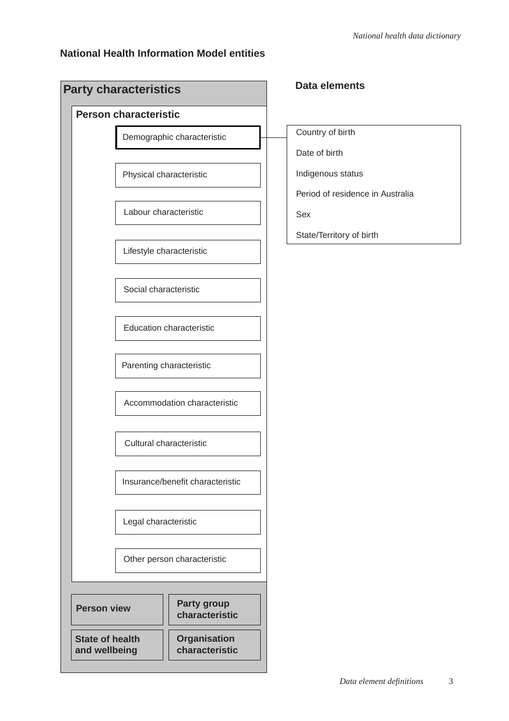### **National Health Information Model entities**

| <b>Party characteristics</b>                                                     |                                  | <b>Data elements</b>             |
|----------------------------------------------------------------------------------|----------------------------------|----------------------------------|
| <b>Person characteristic</b>                                                     |                                  |                                  |
|                                                                                  | Demographic characteristic       | Country of birth                 |
|                                                                                  |                                  | Date of birth                    |
|                                                                                  | Physical characteristic          | Indigenous status                |
|                                                                                  |                                  | Period of residence in Australia |
| Labour characteristic                                                            |                                  | Sex                              |
|                                                                                  | Lifestyle characteristic         | State/Territory of birth         |
| Social characteristic                                                            |                                  |                                  |
|                                                                                  | <b>Education characteristic</b>  |                                  |
|                                                                                  | Parenting characteristic         |                                  |
|                                                                                  | Accommodation characteristic     |                                  |
|                                                                                  | Cultural characteristic          |                                  |
|                                                                                  | Insurance/benefit characteristic |                                  |
| Legal characteristic                                                             |                                  |                                  |
|                                                                                  | Other person characteristic      |                                  |
| <b>Person view</b>                                                               | Party group<br>characteristic    |                                  |
| <b>State of health</b><br><b>Organisation</b><br>characteristic<br>and wellbeing |                                  |                                  |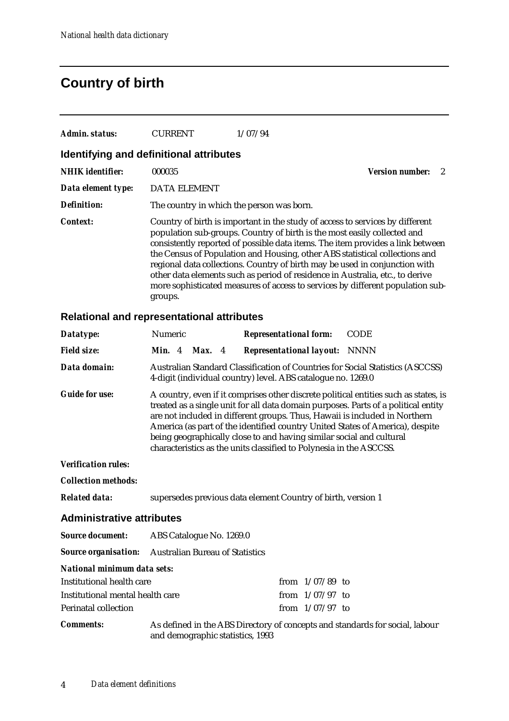## **Country of birth**

| Admin. status:          | CURRENT                                   | 1/07/94                                                                                                                                                                                                                                                                                                                                                                                                                                                                                                                                                                      |                 |  |
|-------------------------|-------------------------------------------|------------------------------------------------------------------------------------------------------------------------------------------------------------------------------------------------------------------------------------------------------------------------------------------------------------------------------------------------------------------------------------------------------------------------------------------------------------------------------------------------------------------------------------------------------------------------------|-----------------|--|
|                         | Identifying and definitional attributes   |                                                                                                                                                                                                                                                                                                                                                                                                                                                                                                                                                                              |                 |  |
| <b>NHIK</b> identifier: | 000035                                    |                                                                                                                                                                                                                                                                                                                                                                                                                                                                                                                                                                              | Version number: |  |
| Data element type:      | <b>DATA ELEMENT</b>                       |                                                                                                                                                                                                                                                                                                                                                                                                                                                                                                                                                                              |                 |  |
| <b>Definition:</b>      | The country in which the person was born. |                                                                                                                                                                                                                                                                                                                                                                                                                                                                                                                                                                              |                 |  |
| Context:                | groups.                                   | Country of birth is important in the study of access to services by different<br>population sub-groups. Country of birth is the most easily collected and<br>consistently reported of possible data items. The item provides a link between<br>the Census of Population and Housing, other ABS statistical collections and<br>regional data collections. Country of birth may be used in conjunction with<br>other data elements such as period of residence in Australia, etc., to derive<br>more sophisticated measures of access to services by different population sub- |                 |  |

### **Relational and representational attributes**

| Datatype:                          | Numeric                                                                                                                                                                                                                                                                                                                                                                                                                                                                                  | <b>Representational form:</b>                                                                                                                  | <b>CODE</b> |  |  |  |
|------------------------------------|------------------------------------------------------------------------------------------------------------------------------------------------------------------------------------------------------------------------------------------------------------------------------------------------------------------------------------------------------------------------------------------------------------------------------------------------------------------------------------------|------------------------------------------------------------------------------------------------------------------------------------------------|-------------|--|--|--|
| <b>Field size:</b>                 | <b>Min.</b> 4<br>Max. 4                                                                                                                                                                                                                                                                                                                                                                                                                                                                  | <b>Representational layout: NNNN</b>                                                                                                           |             |  |  |  |
| Data domain:                       |                                                                                                                                                                                                                                                                                                                                                                                                                                                                                          | Australian Standard Classification of Countries for Social Statistics (ASCCSS)<br>4-digit (individual country) level. ABS catalogue no. 1269.0 |             |  |  |  |
| <b>Guide for use:</b>              | A country, even if it comprises other discrete political entities such as states, is<br>treated as a single unit for all data domain purposes. Parts of a political entity<br>are not included in different groups. Thus, Hawaii is included in Northern<br>America (as part of the identified country United States of America), despite<br>being geographically close to and having similar social and cultural<br>characteristics as the units classified to Polynesia in the ASCCSS. |                                                                                                                                                |             |  |  |  |
| <b>Verification rules:</b>         |                                                                                                                                                                                                                                                                                                                                                                                                                                                                                          |                                                                                                                                                |             |  |  |  |
| <b>Collection methods:</b>         |                                                                                                                                                                                                                                                                                                                                                                                                                                                                                          |                                                                                                                                                |             |  |  |  |
| <b>Related data:</b>               | supersedes previous data element Country of birth, version 1                                                                                                                                                                                                                                                                                                                                                                                                                             |                                                                                                                                                |             |  |  |  |
| <b>Administrative attributes</b>   |                                                                                                                                                                                                                                                                                                                                                                                                                                                                                          |                                                                                                                                                |             |  |  |  |
| <b>Source document:</b>            | ABS Catalogue No. 1269.0                                                                                                                                                                                                                                                                                                                                                                                                                                                                 |                                                                                                                                                |             |  |  |  |
|                                    | <b>Source organisation:</b> Australian Bureau of Statistics                                                                                                                                                                                                                                                                                                                                                                                                                              |                                                                                                                                                |             |  |  |  |
| <b>National minimum data sets:</b> |                                                                                                                                                                                                                                                                                                                                                                                                                                                                                          |                                                                                                                                                |             |  |  |  |
| Institutional health care          |                                                                                                                                                                                                                                                                                                                                                                                                                                                                                          | from $1/07/89$ to                                                                                                                              |             |  |  |  |
| Institutional mental health care   |                                                                                                                                                                                                                                                                                                                                                                                                                                                                                          | from $1/07/97$ to                                                                                                                              |             |  |  |  |
| <b>Perinatal collection</b>        |                                                                                                                                                                                                                                                                                                                                                                                                                                                                                          | from $1/07/97$ to                                                                                                                              |             |  |  |  |
| <b>Comments:</b>                   | and demographic statistics, 1993                                                                                                                                                                                                                                                                                                                                                                                                                                                         | As defined in the ABS Directory of concepts and standards for social, labour                                                                   |             |  |  |  |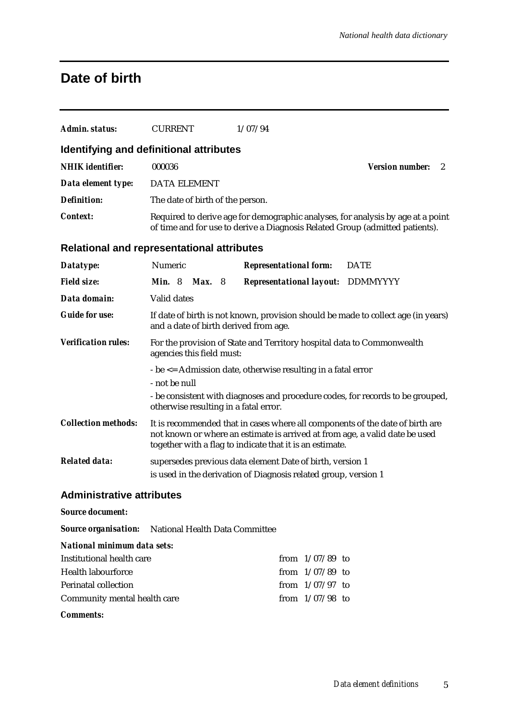## **Date of birth**

| <b>Admin. status:</b>                                      | <b>CURRENT</b>                                                                                                                                                                                                           |  | 1/07/94                         |  |                                                                                                                                                                 |
|------------------------------------------------------------|--------------------------------------------------------------------------------------------------------------------------------------------------------------------------------------------------------------------------|--|---------------------------------|--|-----------------------------------------------------------------------------------------------------------------------------------------------------------------|
| Identifying and definitional attributes                    |                                                                                                                                                                                                                          |  |                                 |  |                                                                                                                                                                 |
| <b>NHIK</b> identifier:                                    | 000036                                                                                                                                                                                                                   |  |                                 |  | <b>Version number:</b><br>2                                                                                                                                     |
| Data element type:                                         | <b>DATA ELEMENT</b>                                                                                                                                                                                                      |  |                                 |  |                                                                                                                                                                 |
| <b>Definition:</b>                                         | The date of birth of the person.                                                                                                                                                                                         |  |                                 |  |                                                                                                                                                                 |
| <b>Context:</b>                                            |                                                                                                                                                                                                                          |  |                                 |  | Required to derive age for demographic analyses, for analysis by age at a point<br>of time and for use to derive a Diagnosis Related Group (admitted patients). |
| <b>Relational and representational attributes</b>          |                                                                                                                                                                                                                          |  |                                 |  |                                                                                                                                                                 |
| Datatype:                                                  | Numeric                                                                                                                                                                                                                  |  | <b>Representational form:</b>   |  | <b>DATE</b>                                                                                                                                                     |
| <b>Field size:</b>                                         | <b>Min.</b> 8<br><b>Max.</b> 8                                                                                                                                                                                           |  | <b>Representational layout:</b> |  | DDMMYYYY                                                                                                                                                        |
| Data domain:                                               | <b>Valid dates</b>                                                                                                                                                                                                       |  |                                 |  |                                                                                                                                                                 |
| <b>Guide for use:</b>                                      | If date of birth is not known, provision should be made to collect age (in years)<br>and a date of birth derived from age.                                                                                               |  |                                 |  |                                                                                                                                                                 |
| <b>Verification rules:</b>                                 | For the provision of State and Territory hospital data to Commonwealth<br>agencies this field must:                                                                                                                      |  |                                 |  |                                                                                                                                                                 |
|                                                            | - be <= Admission date, otherwise resulting in a fatal error<br>- not be null                                                                                                                                            |  |                                 |  |                                                                                                                                                                 |
|                                                            | otherwise resulting in a fatal error.                                                                                                                                                                                    |  |                                 |  | - be consistent with diagnoses and procedure codes, for records to be grouped,                                                                                  |
| <b>Collection methods:</b>                                 | It is recommended that in cases where all components of the date of birth are<br>not known or where an estimate is arrived at from age, a valid date be used<br>together with a flag to indicate that it is an estimate. |  |                                 |  |                                                                                                                                                                 |
| <b>Related data:</b>                                       | supersedes previous data element Date of birth, version 1<br>is used in the derivation of Diagnosis related group, version 1                                                                                             |  |                                 |  |                                                                                                                                                                 |
| <b>Administrative attributes</b>                           |                                                                                                                                                                                                                          |  |                                 |  |                                                                                                                                                                 |
| <b>Source document:</b>                                    |                                                                                                                                                                                                                          |  |                                 |  |                                                                                                                                                                 |
| <b>Source organisation:</b> National Health Data Committee |                                                                                                                                                                                                                          |  |                                 |  |                                                                                                                                                                 |
| <b>National minimum data sets:</b>                         |                                                                                                                                                                                                                          |  |                                 |  |                                                                                                                                                                 |
| <b>Institutional health care</b>                           |                                                                                                                                                                                                                          |  | from $1/07/89$ to               |  |                                                                                                                                                                 |
| <b>Health labourforce</b>                                  |                                                                                                                                                                                                                          |  | from $1/07/89$ to               |  |                                                                                                                                                                 |
| <b>Perinatal collection</b>                                |                                                                                                                                                                                                                          |  | from $1/07/97$ to               |  |                                                                                                                                                                 |
| Community mental health care                               |                                                                                                                                                                                                                          |  | from $1/07/98$ to               |  |                                                                                                                                                                 |
| <b>Comments:</b>                                           |                                                                                                                                                                                                                          |  |                                 |  |                                                                                                                                                                 |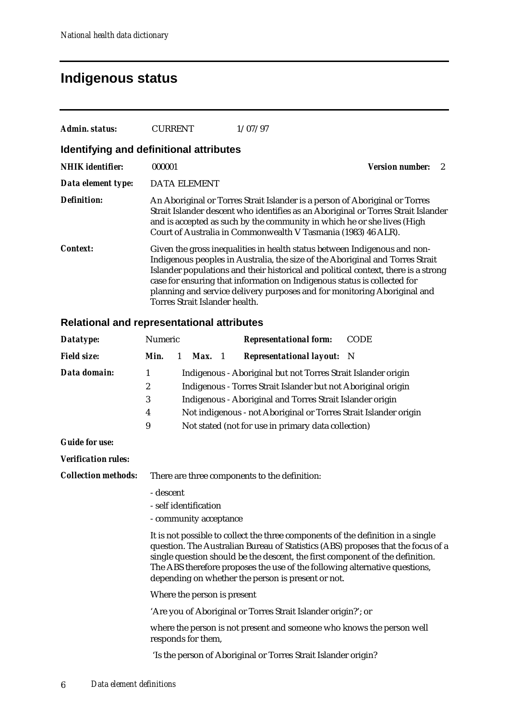## **Indigenous status**

| Admin. status:          | CURRENT                                 | 1/07/97                                                                                                                                                                                                                                                                                                                                                                                                  |                        |
|-------------------------|-----------------------------------------|----------------------------------------------------------------------------------------------------------------------------------------------------------------------------------------------------------------------------------------------------------------------------------------------------------------------------------------------------------------------------------------------------------|------------------------|
|                         | Identifying and definitional attributes |                                                                                                                                                                                                                                                                                                                                                                                                          |                        |
| <b>NHIK</b> identifier: | 000001                                  |                                                                                                                                                                                                                                                                                                                                                                                                          | <b>Version number:</b> |
| Data element type:      | <b>DATA ELEMENT</b>                     |                                                                                                                                                                                                                                                                                                                                                                                                          |                        |
| Definition:             |                                         | An Aboriginal or Torres Strait Islander is a person of Aboriginal or Torres<br>Strait Islander descent who identifies as an Aboriginal or Torres Strait Islander<br>and is accepted as such by the community in which he or she lives (High<br>Court of Australia in Commonwealth V Tasmania (1983) 46 ALR).                                                                                             |                        |
| Context:                | Torres Strait Islander health.          | Given the gross inequalities in health status between Indigenous and non-<br>Indigenous peoples in Australia, the size of the Aboriginal and Torres Strait<br>Islander populations and their historical and political context, there is a strong<br>case for ensuring that information on Indigenous status is collected for<br>planning and service delivery purposes and for monitoring Aboriginal and |                        |

### **Relational and representational attributes**

| Datatype:                  | Numeric                                       |                                                                                                      |  | <b>Representational form:</b>                                                                                                                                                                                                                                                                                                                                                                                                                   | <b>CODE</b>                                                                      |  |
|----------------------------|-----------------------------------------------|------------------------------------------------------------------------------------------------------|--|-------------------------------------------------------------------------------------------------------------------------------------------------------------------------------------------------------------------------------------------------------------------------------------------------------------------------------------------------------------------------------------------------------------------------------------------------|----------------------------------------------------------------------------------|--|
| <b>Field size:</b>         | Min.                                          | $\mathbf{1}$<br>Max. 1                                                                               |  | <b>Representational layout:</b> N                                                                                                                                                                                                                                                                                                                                                                                                               |                                                                                  |  |
| Data domain:               | 1<br>$\boldsymbol{2}$<br>3<br>4<br>9          |                                                                                                      |  | Indigenous - Aboriginal but not Torres Strait Islander origin<br>Indigenous - Torres Strait Islander but not Aboriginal origin<br>Indigenous - Aboriginal and Torres Strait Islander origin<br>Not indigenous - not Aboriginal or Torres Strait Islander origin<br>Not stated (not for use in primary data collection)                                                                                                                          |                                                                                  |  |
| <b>Guide for use:</b>      |                                               |                                                                                                      |  |                                                                                                                                                                                                                                                                                                                                                                                                                                                 |                                                                                  |  |
| <b>Verification rules:</b> |                                               |                                                                                                      |  |                                                                                                                                                                                                                                                                                                                                                                                                                                                 |                                                                                  |  |
| <b>Collection methods:</b> | There are three components to the definition: |                                                                                                      |  |                                                                                                                                                                                                                                                                                                                                                                                                                                                 |                                                                                  |  |
|                            | - descent                                     | - self identification<br>- community acceptance<br>Where the person is present<br>responds for them, |  | It is not possible to collect the three components of the definition in a single<br>single question should be the descent, the first component of the definition.<br>The ABS therefore proposes the use of the following alternative questions,<br>depending on whether the person is present or not.<br>'Are you of Aboriginal or Torres Strait Islander origin?'; or<br>where the person is not present and someone who knows the person well | question. The Australian Bureau of Statistics (ABS) proposes that the focus of a |  |

'Is the person of Aboriginal or Torres Strait Islander origin?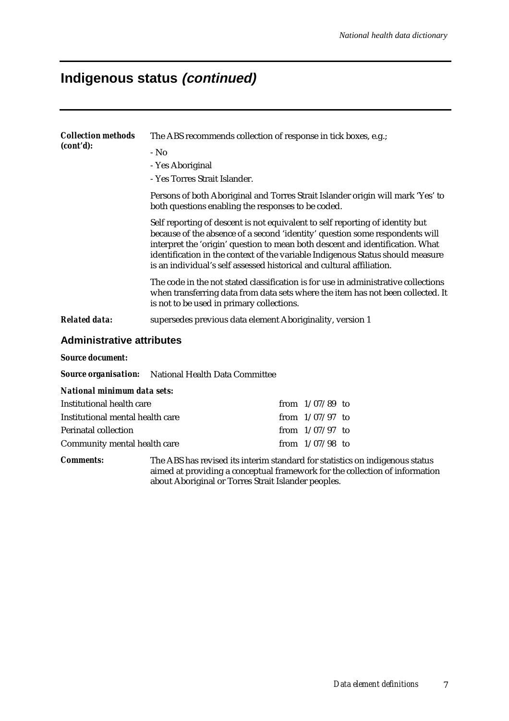# **Indigenous status (continued)**

| <b>Collection methods</b><br>(cont'd): | The ABS recommends collection of response in tick boxes, e.g.;                                                                                                                                                                                                                                                                                                                                                                                                                                                                                     |                   |  |  |  |  |  |  |
|----------------------------------------|----------------------------------------------------------------------------------------------------------------------------------------------------------------------------------------------------------------------------------------------------------------------------------------------------------------------------------------------------------------------------------------------------------------------------------------------------------------------------------------------------------------------------------------------------|-------------------|--|--|--|--|--|--|
|                                        | $-$ No                                                                                                                                                                                                                                                                                                                                                                                                                                                                                                                                             |                   |  |  |  |  |  |  |
|                                        | - Yes Aboriginal                                                                                                                                                                                                                                                                                                                                                                                                                                                                                                                                   |                   |  |  |  |  |  |  |
|                                        | - Yes Torres Strait Islander.                                                                                                                                                                                                                                                                                                                                                                                                                                                                                                                      |                   |  |  |  |  |  |  |
|                                        | Persons of both Aboriginal and Torres Strait Islander origin will mark 'Yes' to<br>both questions enabling the responses to be coded.<br>Self reporting of descent is not equivalent to self reporting of identity but<br>because of the absence of a second 'identity' question some respondents will<br>interpret the 'origin' question to mean both descent and identification. What<br>identification in the context of the variable Indigenous Status should measure<br>is an individual's self assessed historical and cultural affiliation. |                   |  |  |  |  |  |  |
|                                        |                                                                                                                                                                                                                                                                                                                                                                                                                                                                                                                                                    |                   |  |  |  |  |  |  |
|                                        | The code in the not stated classification is for use in administrative collections<br>when transferring data from data sets where the item has not been collected. It<br>is not to be used in primary collections.                                                                                                                                                                                                                                                                                                                                 |                   |  |  |  |  |  |  |
| <b>Related data:</b>                   | supersedes previous data element Aboriginality, version 1                                                                                                                                                                                                                                                                                                                                                                                                                                                                                          |                   |  |  |  |  |  |  |
| <b>Administrative attributes</b>       |                                                                                                                                                                                                                                                                                                                                                                                                                                                                                                                                                    |                   |  |  |  |  |  |  |
| <b>Source document:</b>                |                                                                                                                                                                                                                                                                                                                                                                                                                                                                                                                                                    |                   |  |  |  |  |  |  |
|                                        | <b>Source organisation:</b> National Health Data Committee                                                                                                                                                                                                                                                                                                                                                                                                                                                                                         |                   |  |  |  |  |  |  |
| National minimum data sets:            |                                                                                                                                                                                                                                                                                                                                                                                                                                                                                                                                                    |                   |  |  |  |  |  |  |
| <b>Institutional health care</b>       |                                                                                                                                                                                                                                                                                                                                                                                                                                                                                                                                                    | from $1/07/89$ to |  |  |  |  |  |  |
| Institutional mental health care       |                                                                                                                                                                                                                                                                                                                                                                                                                                                                                                                                                    | from $1/07/97$ to |  |  |  |  |  |  |
| Perinatal collection                   |                                                                                                                                                                                                                                                                                                                                                                                                                                                                                                                                                    | from $1/07/97$ to |  |  |  |  |  |  |
| Community mental health care           |                                                                                                                                                                                                                                                                                                                                                                                                                                                                                                                                                    | from $1/07/98$ to |  |  |  |  |  |  |
| <b>Comments:</b>                       | The ABS has revised its interim standard for statistics on indigenous status<br>aimed at providing a conceptual framework for the collection of information<br>about Aboriginal or Torres Strait Islander peoples.                                                                                                                                                                                                                                                                                                                                 |                   |  |  |  |  |  |  |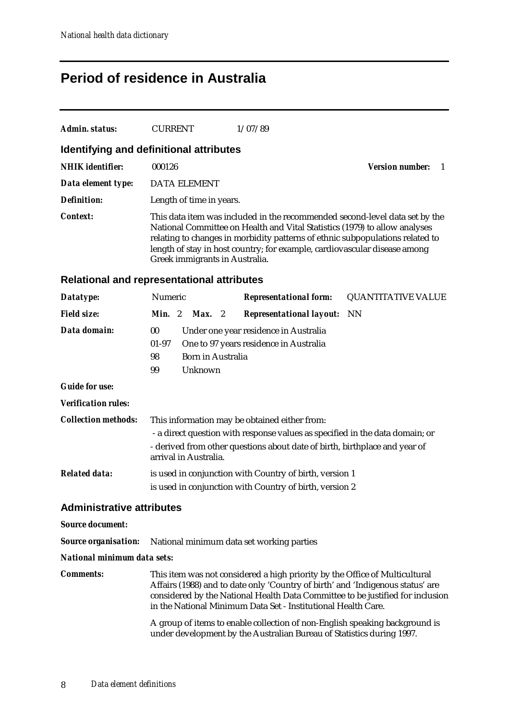### **Period of residence in Australia**

| Admin. status:                          | <b>CURRENT</b>                 | 1/07/89                                                                                                                                                                                                                                                                                                                 |                        |
|-----------------------------------------|--------------------------------|-------------------------------------------------------------------------------------------------------------------------------------------------------------------------------------------------------------------------------------------------------------------------------------------------------------------------|------------------------|
| Identifying and definitional attributes |                                |                                                                                                                                                                                                                                                                                                                         |                        |
| <b>NHIK</b> identifier:                 | 000126                         |                                                                                                                                                                                                                                                                                                                         | <b>Version number:</b> |
| Data element type:                      | DATA ELEMENT                   |                                                                                                                                                                                                                                                                                                                         |                        |
| Definition:                             | Length of time in years.       |                                                                                                                                                                                                                                                                                                                         |                        |
| Context:                                | Greek immigrants in Australia. | This data item was included in the recommended second-level data set by the<br>National Committee on Health and Vital Statistics (1979) to allow analyses<br>relating to changes in morbidity patterns of ethnic subpopulations related to<br>length of stay in host country; for example, cardiovascular disease among |                        |

### **Relational and representational attributes**

| Datatype:                        | Numeric                                                                                             |  |                          |  | <b>Representational form:</b>                                                | <b>QUANTITATIVE VALUE</b> |
|----------------------------------|-----------------------------------------------------------------------------------------------------|--|--------------------------|--|------------------------------------------------------------------------------|---------------------------|
| <b>Field size:</b>               | <b>Min.</b> 2                                                                                       |  | <b>Max.</b> 2            |  | <b>Representational layout:</b> NN                                           |                           |
| Data domain:                     | 00                                                                                                  |  |                          |  | Under one year residence in Australia                                        |                           |
|                                  | $01-97$                                                                                             |  |                          |  | One to 97 years residence in Australia                                       |                           |
|                                  | 98                                                                                                  |  | <b>Born in Australia</b> |  |                                                                              |                           |
|                                  | 99                                                                                                  |  | Unknown                  |  |                                                                              |                           |
| <b>Guide for use:</b>            |                                                                                                     |  |                          |  |                                                                              |                           |
| <b>Verification rules:</b>       |                                                                                                     |  |                          |  |                                                                              |                           |
| <b>Collection methods:</b>       | This information may be obtained either from:                                                       |  |                          |  |                                                                              |                           |
|                                  |                                                                                                     |  |                          |  | - a direct question with response values as specified in the data domain; or |                           |
|                                  | - derived from other questions about date of birth, birthplace and year of<br>arrival in Australia. |  |                          |  |                                                                              |                           |
| <b>Related data:</b>             | is used in conjunction with Country of birth, version 1                                             |  |                          |  |                                                                              |                           |
|                                  |                                                                                                     |  |                          |  | is used in conjunction with Country of birth, version 2                      |                           |
| <b>Administrative attributes</b> |                                                                                                     |  |                          |  |                                                                              |                           |
| <b>Source document:</b>          |                                                                                                     |  |                          |  |                                                                              |                           |
| <b>Source organisation:</b>      |                                                                                                     |  |                          |  | National minimum data set working parties                                    |                           |

*National minimum data sets:*

*Comments:* This item was not considered a high priority by the Office of Multicultural Affairs (1988) and to date only 'Country of birth' and 'Indigenous status' are considered by the National Health Data Committee to be justified for inclusion in the National Minimum Data Set - Institutional Health Care.

> A group of items to enable collection of non-English speaking background is under development by the Australian Bureau of Statistics during 1997.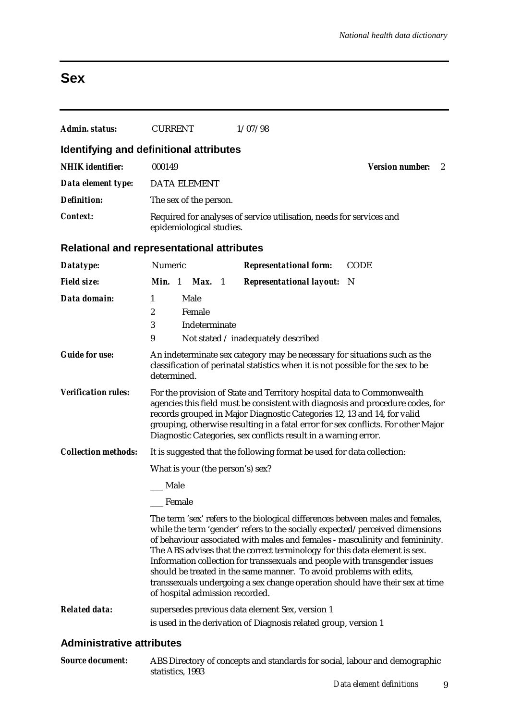## **Sex**

| <b>Admin. status:</b>      | <b>CURRENT</b>                                                                                                                                                                                                                                                                                                                                                                              | 1/07/98                                                                                                                                                                                                                                                                                                                                                                                                                                                                                                                                                           |                             |  |  |  |  |
|----------------------------|---------------------------------------------------------------------------------------------------------------------------------------------------------------------------------------------------------------------------------------------------------------------------------------------------------------------------------------------------------------------------------------------|-------------------------------------------------------------------------------------------------------------------------------------------------------------------------------------------------------------------------------------------------------------------------------------------------------------------------------------------------------------------------------------------------------------------------------------------------------------------------------------------------------------------------------------------------------------------|-----------------------------|--|--|--|--|
|                            | Identifying and definitional attributes                                                                                                                                                                                                                                                                                                                                                     |                                                                                                                                                                                                                                                                                                                                                                                                                                                                                                                                                                   |                             |  |  |  |  |
| <b>NHIK</b> identifier:    | 000149                                                                                                                                                                                                                                                                                                                                                                                      |                                                                                                                                                                                                                                                                                                                                                                                                                                                                                                                                                                   | <b>Version number:</b><br>2 |  |  |  |  |
| Data element type:         | <b>DATA ELEMENT</b>                                                                                                                                                                                                                                                                                                                                                                         |                                                                                                                                                                                                                                                                                                                                                                                                                                                                                                                                                                   |                             |  |  |  |  |
| <b>Definition:</b>         | The sex of the person.                                                                                                                                                                                                                                                                                                                                                                      |                                                                                                                                                                                                                                                                                                                                                                                                                                                                                                                                                                   |                             |  |  |  |  |
| <b>Context:</b>            |                                                                                                                                                                                                                                                                                                                                                                                             | Required for analyses of service utilisation, needs for services and<br>epidemiological studies.                                                                                                                                                                                                                                                                                                                                                                                                                                                                  |                             |  |  |  |  |
|                            | <b>Relational and representational attributes</b>                                                                                                                                                                                                                                                                                                                                           |                                                                                                                                                                                                                                                                                                                                                                                                                                                                                                                                                                   |                             |  |  |  |  |
| Datatype:                  | Numeric                                                                                                                                                                                                                                                                                                                                                                                     | <b>Representational form:</b>                                                                                                                                                                                                                                                                                                                                                                                                                                                                                                                                     | <b>CODE</b>                 |  |  |  |  |
| <b>Field size:</b>         | Min. 1 Max. 1                                                                                                                                                                                                                                                                                                                                                                               | <b>Representational layout:</b>                                                                                                                                                                                                                                                                                                                                                                                                                                                                                                                                   | - N                         |  |  |  |  |
| Data domain:               | Male<br>$\mathbf{1}$<br>2<br>Female<br>3<br>Indeterminate<br>9                                                                                                                                                                                                                                                                                                                              | Not stated / inadequately described                                                                                                                                                                                                                                                                                                                                                                                                                                                                                                                               |                             |  |  |  |  |
| <b>Guide for use:</b>      | An indeterminate sex category may be necessary for situations such as the<br>classification of perinatal statistics when it is not possible for the sex to be<br>determined.                                                                                                                                                                                                                |                                                                                                                                                                                                                                                                                                                                                                                                                                                                                                                                                                   |                             |  |  |  |  |
| <b>Verification rules:</b> | For the provision of State and Territory hospital data to Commonwealth<br>agencies this field must be consistent with diagnosis and procedure codes, for<br>records grouped in Major Diagnostic Categories 12, 13 and 14, for valid<br>grouping, otherwise resulting in a fatal error for sex conflicts. For other Major<br>Diagnostic Categories, sex conflicts result in a warning error. |                                                                                                                                                                                                                                                                                                                                                                                                                                                                                                                                                                   |                             |  |  |  |  |
| <b>Collection methods:</b> |                                                                                                                                                                                                                                                                                                                                                                                             | It is suggested that the following format be used for data collection:                                                                                                                                                                                                                                                                                                                                                                                                                                                                                            |                             |  |  |  |  |
|                            | What is your (the person's) sex?                                                                                                                                                                                                                                                                                                                                                            |                                                                                                                                                                                                                                                                                                                                                                                                                                                                                                                                                                   |                             |  |  |  |  |
|                            | _ Male                                                                                                                                                                                                                                                                                                                                                                                      |                                                                                                                                                                                                                                                                                                                                                                                                                                                                                                                                                                   |                             |  |  |  |  |
|                            | Female                                                                                                                                                                                                                                                                                                                                                                                      |                                                                                                                                                                                                                                                                                                                                                                                                                                                                                                                                                                   |                             |  |  |  |  |
|                            | of hospital admission recorded.                                                                                                                                                                                                                                                                                                                                                             | The term 'sex' refers to the biological differences between males and females,<br>while the term 'gender' refers to the socially expected/perceived dimensions<br>of behaviour associated with males and females - masculinity and femininity.<br>The ABS advises that the correct terminology for this data element is sex.<br>Information collection for transsexuals and people with transgender issues<br>should be treated in the same manner. To avoid problems with edits,<br>transsexuals undergoing a sex change operation should have their sex at time |                             |  |  |  |  |
| <b>Related data:</b>       |                                                                                                                                                                                                                                                                                                                                                                                             | supersedes previous data element Sex, version 1<br>is used in the derivation of Diagnosis related group, version 1                                                                                                                                                                                                                                                                                                                                                                                                                                                |                             |  |  |  |  |

### **Administrative attributes**

| <b>Source document:</b> | ABS Directory of concepts and standards for social, labour and demographic |
|-------------------------|----------------------------------------------------------------------------|
|                         | statistics. 1993                                                           |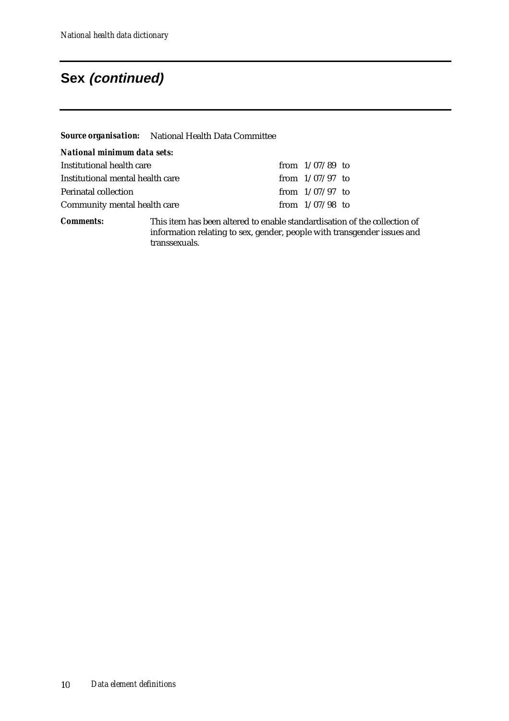## **Sex (continued)**

|                                  | Source organisation: National Health Data Committee                    |                   |  |
|----------------------------------|------------------------------------------------------------------------|-------------------|--|
| National minimum data sets:      |                                                                        |                   |  |
| Institutional health care        |                                                                        | from $1/07/89$ to |  |
| Institutional mental health care |                                                                        | from $1/07/97$ to |  |
| Perinatal collection             |                                                                        | from $1/07/97$ to |  |
| Community mental health care     |                                                                        | from $1/07/98$ to |  |
| Comments <sup>.</sup>            | This item has been altered to enable standardisation of the collection |                   |  |

*Comments:* This item has been altered to enable standardisation of the collection of information relating to sex, gender, people with transgender issues and transsexuals.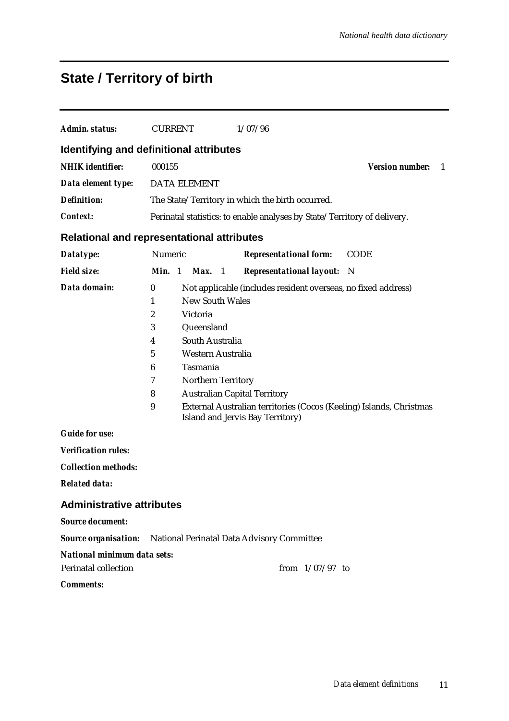# **State / Territory of birth**

| Admin. status:                                    | <b>CURRENT</b>                                                       |                                                                                                                            | 1/07/96                                                                                                                                                                                                         |                              |
|---------------------------------------------------|----------------------------------------------------------------------|----------------------------------------------------------------------------------------------------------------------------|-----------------------------------------------------------------------------------------------------------------------------------------------------------------------------------------------------------------|------------------------------|
| <b>Identifying and definitional attributes</b>    |                                                                      |                                                                                                                            |                                                                                                                                                                                                                 |                              |
| <b>NHIK</b> identifier:                           | 000155                                                               |                                                                                                                            |                                                                                                                                                                                                                 | <b>Version number:</b><br>-1 |
| Data element type:                                |                                                                      | <b>DATA ELEMENT</b>                                                                                                        |                                                                                                                                                                                                                 |                              |
| <b>Definition:</b>                                |                                                                      |                                                                                                                            | The State/Territory in which the birth occurred.                                                                                                                                                                |                              |
| Context:                                          |                                                                      |                                                                                                                            | Perinatal statistics: to enable analyses by State/Territory of delivery.                                                                                                                                        |                              |
| <b>Relational and representational attributes</b> |                                                                      |                                                                                                                            |                                                                                                                                                                                                                 |                              |
| Datatype:                                         | Numeric                                                              |                                                                                                                            | <b>Representational form:</b>                                                                                                                                                                                   | <b>CODE</b>                  |
| <b>Field size:</b>                                | Min. 1                                                               | Max.<br>$\overline{1}$                                                                                                     | <b>Representational layout:</b>                                                                                                                                                                                 | - N                          |
| Data domain:                                      | $\bf{0}$<br>1<br>$\boldsymbol{2}$<br>3<br>4<br>5<br>6<br>7<br>8<br>9 | <b>New South Wales</b><br>Victoria<br>Queensland<br>South Australia<br>Western Australia<br>Tasmania<br>Northern Territory | Not applicable (includes resident overseas, no fixed address)<br><b>Australian Capital Territory</b><br>External Australian territories (Cocos (Keeling) Islands, Christmas<br>Island and Jervis Bay Territory) |                              |
| <b>Guide for use:</b>                             |                                                                      |                                                                                                                            |                                                                                                                                                                                                                 |                              |
| <b>Verification rules:</b>                        |                                                                      |                                                                                                                            |                                                                                                                                                                                                                 |                              |
| <b>Collection methods:</b>                        |                                                                      |                                                                                                                            |                                                                                                                                                                                                                 |                              |
| <b>Related data:</b>                              |                                                                      |                                                                                                                            |                                                                                                                                                                                                                 |                              |
| <b>Administrative attributes</b>                  |                                                                      |                                                                                                                            |                                                                                                                                                                                                                 |                              |
| <b>Source document:</b>                           |                                                                      |                                                                                                                            |                                                                                                                                                                                                                 |                              |
|                                                   |                                                                      |                                                                                                                            | <b>Source organisation:</b> National Perinatal Data Advisory Committee                                                                                                                                          |                              |
| National minimum data sets:                       |                                                                      |                                                                                                                            |                                                                                                                                                                                                                 |                              |
| <b>Perinatal collection</b>                       |                                                                      |                                                                                                                            | from $1/07/97$ to                                                                                                                                                                                               |                              |
| <b>Comments:</b>                                  |                                                                      |                                                                                                                            |                                                                                                                                                                                                                 |                              |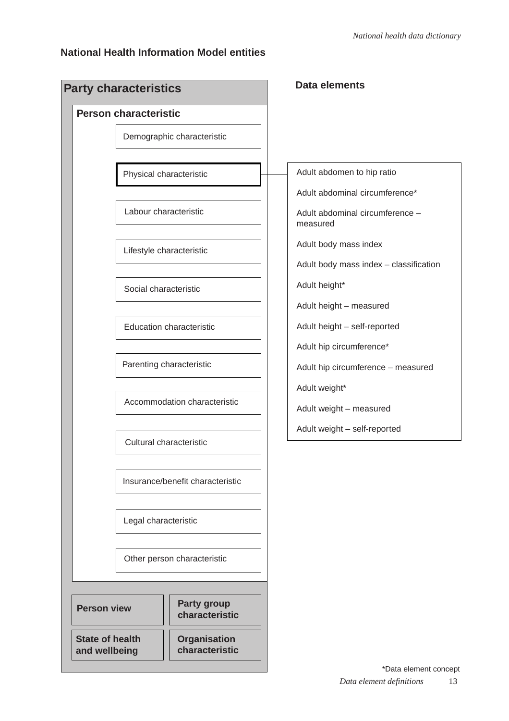### **National Health Information Model entities**

| <b>Party characteristics</b>            |                                       | Data elements                               |
|-----------------------------------------|---------------------------------------|---------------------------------------------|
| <b>Person characteristic</b>            |                                       |                                             |
|                                         | Demographic characteristic            |                                             |
|                                         | Physical characteristic               | Adult abdomen to hip ratio                  |
|                                         |                                       | Adult abdominal circumference*              |
|                                         | Labour characteristic                 | Adult abdominal circumference -<br>measured |
|                                         | Lifestyle characteristic              | Adult body mass index                       |
|                                         |                                       | Adult body mass index - classification      |
|                                         | Social characteristic                 | Adult height*                               |
|                                         |                                       | Adult height - measured                     |
|                                         | <b>Education characteristic</b>       | Adult height - self-reported                |
|                                         |                                       | Adult hip circumference*                    |
|                                         | Parenting characteristic              | Adult hip circumference - measured          |
|                                         |                                       | Adult weight*                               |
|                                         | Accommodation characteristic          | Adult weight - measured                     |
|                                         | Cultural characteristic               | Adult weight - self-reported                |
|                                         |                                       |                                             |
|                                         | Insurance/benefit characteristic      |                                             |
|                                         | Legal characteristic                  |                                             |
|                                         | Other person characteristic           |                                             |
|                                         |                                       |                                             |
| <b>Person view</b>                      | <b>Party group</b><br>characteristic  |                                             |
| <b>State of health</b><br>and wellbeing | <b>Organisation</b><br>characteristic |                                             |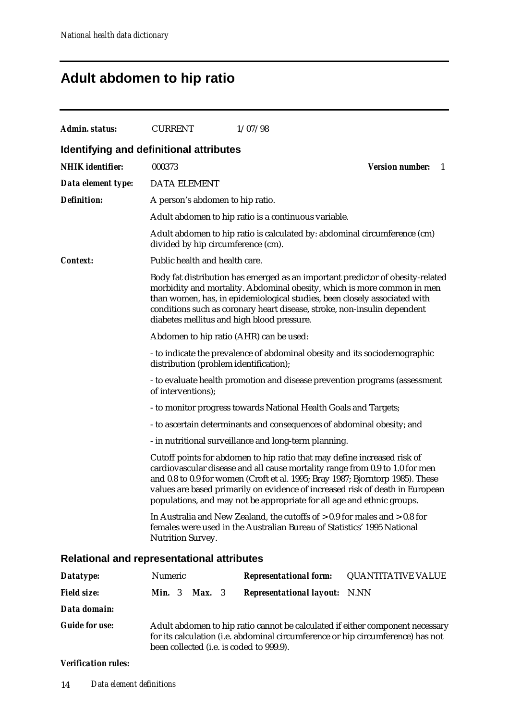# **Adult abdomen to hip ratio**

| Admin. status:          | <b>CURRENT</b>                                    | 1/07/98                                                                                                                                                                                                                                                                                                                                                                                               |                              |
|-------------------------|---------------------------------------------------|-------------------------------------------------------------------------------------------------------------------------------------------------------------------------------------------------------------------------------------------------------------------------------------------------------------------------------------------------------------------------------------------------------|------------------------------|
|                         | <b>Identifying and definitional attributes</b>    |                                                                                                                                                                                                                                                                                                                                                                                                       |                              |
| <b>NHIK</b> identifier: | 000373                                            |                                                                                                                                                                                                                                                                                                                                                                                                       | <b>Version number:</b><br>-1 |
| Data element type:      | <b>DATA ELEMENT</b>                               |                                                                                                                                                                                                                                                                                                                                                                                                       |                              |
| <b>Definition:</b>      | A person's abdomen to hip ratio.                  |                                                                                                                                                                                                                                                                                                                                                                                                       |                              |
|                         |                                                   | Adult abdomen to hip ratio is a continuous variable.                                                                                                                                                                                                                                                                                                                                                  |                              |
|                         | divided by hip circumference (cm).                | Adult abdomen to hip ratio is calculated by: abdominal circumference (cm)                                                                                                                                                                                                                                                                                                                             |                              |
| <i>Context:</i>         | Public health and health care.                    |                                                                                                                                                                                                                                                                                                                                                                                                       |                              |
|                         | diabetes mellitus and high blood pressure.        | Body fat distribution has emerged as an important predictor of obesity-related<br>morbidity and mortality. Abdominal obesity, which is more common in men<br>than women, has, in epidemiological studies, been closely associated with<br>conditions such as coronary heart disease, stroke, non-insulin dependent                                                                                    |                              |
|                         | Abdomen to hip ratio (AHR) can be used:           |                                                                                                                                                                                                                                                                                                                                                                                                       |                              |
|                         | distribution (problem identification);            | - to indicate the prevalence of abdominal obesity and its sociodemographic                                                                                                                                                                                                                                                                                                                            |                              |
|                         | of interventions);                                | - to evaluate health promotion and disease prevention programs (assessment                                                                                                                                                                                                                                                                                                                            |                              |
|                         |                                                   | - to monitor progress towards National Health Goals and Targets;                                                                                                                                                                                                                                                                                                                                      |                              |
|                         |                                                   | - to ascertain determinants and consequences of abdominal obesity; and                                                                                                                                                                                                                                                                                                                                |                              |
|                         |                                                   | - in nutritional surveillance and long-term planning.                                                                                                                                                                                                                                                                                                                                                 |                              |
|                         |                                                   | Cutoff points for abdomen to hip ratio that may define increased risk of<br>cardiovascular disease and all cause mortality range from 0.9 to 1.0 for men<br>and 0.8 to 0.9 for women (Croft et al. 1995; Bray 1987; Bjorntorp 1985). These<br>values are based primarily on evidence of increased risk of death in European<br>populations, and may not be appropriate for all age and ethnic groups. |                              |
|                         | <b>Nutrition Survey.</b>                          | In Australia and New Zealand, the cutoffs of $> 0.9$ for males and $> 0.8$ for<br>females were used in the Australian Bureau of Statistics' 1995 National                                                                                                                                                                                                                                             |                              |
|                         | <b>Relational and representational attributes</b> |                                                                                                                                                                                                                                                                                                                                                                                                       |                              |
|                         |                                                   |                                                                                                                                                                                                                                                                                                                                                                                                       |                              |

| Datatype:             | Numeric                                  | <b>Representational form:</b>                                                   | <b>QUANTITATIVE VALUE</b>                                                     |
|-----------------------|------------------------------------------|---------------------------------------------------------------------------------|-------------------------------------------------------------------------------|
| <b>Field size:</b>    | <b>Min.</b> 3<br><b>Max.</b> $3$         | <b>Representational layout:</b> N.NN                                            |                                                                               |
| Data domain:          |                                          |                                                                                 |                                                                               |
| <b>Guide for use:</b> | been collected (i.e. is coded to 999.9). | for its calculation (i.e. abdominal circumference or hip circumference) has not | Adult abdomen to hip ratio cannot be calculated if either component necessary |

#### *Verification rules:*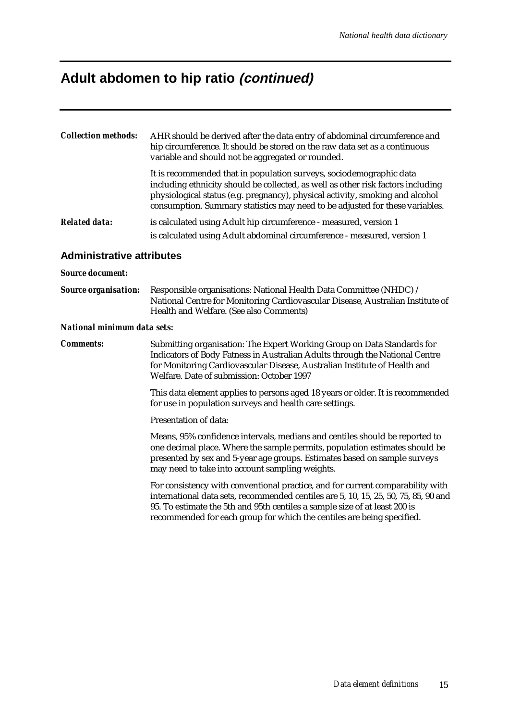## **Adult abdomen to hip ratio (continued)**

| AHR should be derived after the data entry of abdominal circumference and<br>hip circumference. It should be stored on the raw data set as a continuous<br>variable and should not be aggregated or rounded.                                                                                                             |
|--------------------------------------------------------------------------------------------------------------------------------------------------------------------------------------------------------------------------------------------------------------------------------------------------------------------------|
| It is recommended that in population surveys, sociodemographic data<br>including ethnicity should be collected, as well as other risk factors including<br>physiological status (e.g. pregnancy), physical activity, smoking and alcohol<br>consumption. Summary statistics may need to be adjusted for these variables. |
| is calculated using Adult hip circumference - measured, version 1<br>is calculated using Adult abdominal circumference - measured, version 1                                                                                                                                                                             |
|                                                                                                                                                                                                                                                                                                                          |

### **Administrative attributes**

#### *Source document:*

*Source organisation:* Responsible organisations: National Health Data Committee (NHDC) / National Centre for Monitoring Cardiovascular Disease, Australian Institute of Health and Welfare. (See also Comments)

#### *National minimum data sets:*

*Comments:* Submitting organisation: The Expert Working Group on Data Standards for Indicators of Body Fatness in Australian Adults through the National Centre for Monitoring Cardiovascular Disease, Australian Institute of Health and Welfare. Date of submission: October 1997

> This data element applies to persons aged 18 years or older. It is recommended for use in population surveys and health care settings.

Presentation of data:

Means, 95% confidence intervals, medians and centiles should be reported to one decimal place. Where the sample permits, population estimates should be presented by sex and 5-year age groups. Estimates based on sample surveys may need to take into account sampling weights.

For consistency with conventional practice, and for current comparability with international data sets, recommended centiles are 5, 10, 15, 25, 50, 75, 85, 90 and 95. To estimate the 5th and 95th centiles a sample size of at least 200 is recommended for each group for which the centiles are being specified.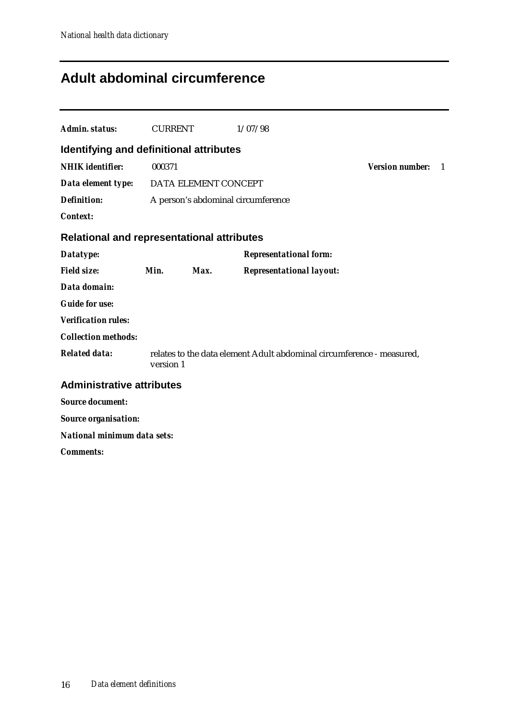## **Adult abdominal circumference**

| <b>Admin. status:</b>                             | <b>CURRENT</b> |      | 1/07/98                                                               |                        |    |
|---------------------------------------------------|----------------|------|-----------------------------------------------------------------------|------------------------|----|
| Identifying and definitional attributes           |                |      |                                                                       |                        |    |
| <b>NHIK</b> identifier:                           | 000371         |      |                                                                       | <b>Version number:</b> | -1 |
| Data element type: DATA ELEMENT CONCEPT           |                |      |                                                                       |                        |    |
| <b>Definition:</b>                                |                |      | A person's abdominal circumference                                    |                        |    |
| <b>Context:</b>                                   |                |      |                                                                       |                        |    |
| <b>Relational and representational attributes</b> |                |      |                                                                       |                        |    |
| Datatype:                                         |                |      | <b>Representational form:</b>                                         |                        |    |
| <b>Field size:</b>                                | Min.           | Max. | <b>Representational layout:</b>                                       |                        |    |
| Data domain:                                      |                |      |                                                                       |                        |    |
| <b>Guide for use:</b>                             |                |      |                                                                       |                        |    |
| <b>Verification rules:</b>                        |                |      |                                                                       |                        |    |
| <b>Collection methods:</b>                        |                |      |                                                                       |                        |    |
| <b>Related data:</b>                              | version 1      |      | relates to the data element Adult abdominal circumference - measured, |                        |    |
| <b>Administrative attributes</b>                  |                |      |                                                                       |                        |    |
| <b>Source document:</b>                           |                |      |                                                                       |                        |    |
| <b>Source organisation:</b>                       |                |      |                                                                       |                        |    |
| <b>National minimum data sets:</b>                |                |      |                                                                       |                        |    |
| <b>Comments:</b>                                  |                |      |                                                                       |                        |    |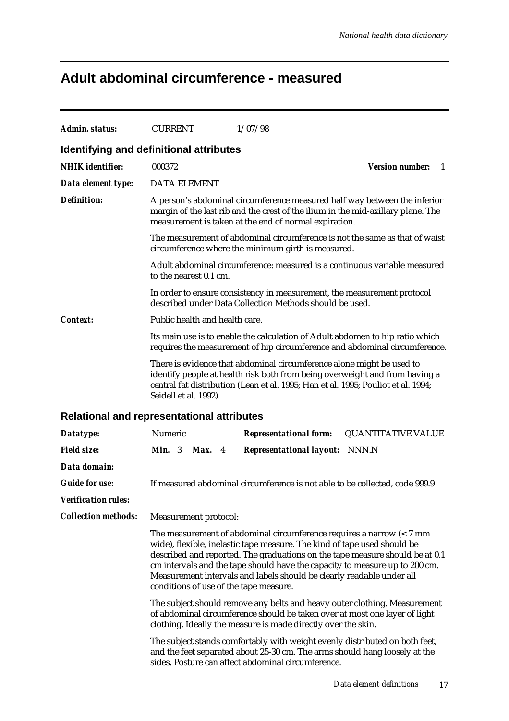## **Adult abdominal circumference - measured**

| Admin. status:                                    | <b>CURRENT</b>                                                                                                                                                                                                           |        | 1/07/98                                                                                                                                                                                                                                                                                                                                                                                                                                    |  |
|---------------------------------------------------|--------------------------------------------------------------------------------------------------------------------------------------------------------------------------------------------------------------------------|--------|--------------------------------------------------------------------------------------------------------------------------------------------------------------------------------------------------------------------------------------------------------------------------------------------------------------------------------------------------------------------------------------------------------------------------------------------|--|
| Identifying and definitional attributes           |                                                                                                                                                                                                                          |        |                                                                                                                                                                                                                                                                                                                                                                                                                                            |  |
| <b>NHIK</b> identifier:                           | 000372                                                                                                                                                                                                                   |        | <b>Version number:</b><br>1                                                                                                                                                                                                                                                                                                                                                                                                                |  |
| Data element type:                                | <b>DATA ELEMENT</b>                                                                                                                                                                                                      |        |                                                                                                                                                                                                                                                                                                                                                                                                                                            |  |
| <b>Definition:</b>                                |                                                                                                                                                                                                                          |        | A person's abdominal circumference measured half way between the inferior<br>margin of the last rib and the crest of the ilium in the mid-axillary plane. The<br>measurement is taken at the end of normal expiration.                                                                                                                                                                                                                     |  |
|                                                   |                                                                                                                                                                                                                          |        | The measurement of abdominal circumference is not the same as that of waist<br>circumference where the minimum girth is measured.                                                                                                                                                                                                                                                                                                          |  |
|                                                   | to the nearest 0.1 cm.                                                                                                                                                                                                   |        | Adult abdominal circumference: measured is a continuous variable measured                                                                                                                                                                                                                                                                                                                                                                  |  |
|                                                   |                                                                                                                                                                                                                          |        | In order to ensure consistency in measurement, the measurement protocol<br>described under Data Collection Methods should be used.                                                                                                                                                                                                                                                                                                         |  |
| Context:                                          | Public health and health care.                                                                                                                                                                                           |        |                                                                                                                                                                                                                                                                                                                                                                                                                                            |  |
|                                                   |                                                                                                                                                                                                                          |        | Its main use is to enable the calculation of Adult abdomen to hip ratio which<br>requires the measurement of hip circumference and abdominal circumference.                                                                                                                                                                                                                                                                                |  |
|                                                   | Seidell et al. 1992).                                                                                                                                                                                                    |        | There is evidence that abdominal circumference alone might be used to<br>identify people at health risk both from being overweight and from having a<br>central fat distribution (Lean et al. 1995; Han et al. 1995; Pouliot et al. 1994;                                                                                                                                                                                                  |  |
| <b>Relational and representational attributes</b> |                                                                                                                                                                                                                          |        |                                                                                                                                                                                                                                                                                                                                                                                                                                            |  |
| Datatype:                                         | Numeric                                                                                                                                                                                                                  |        | <b>QUANTITATIVE VALUE</b><br><b>Representational form:</b>                                                                                                                                                                                                                                                                                                                                                                                 |  |
| <b>Field size:</b>                                | Min. 3                                                                                                                                                                                                                   | Max. 4 | <b>Representational layout:</b> NNN.N                                                                                                                                                                                                                                                                                                                                                                                                      |  |
| Data domain:                                      |                                                                                                                                                                                                                          |        |                                                                                                                                                                                                                                                                                                                                                                                                                                            |  |
| <b>Guide for use:</b>                             |                                                                                                                                                                                                                          |        | If measured abdominal circumference is not able to be collected, code 999.9                                                                                                                                                                                                                                                                                                                                                                |  |
| <b>Verification rules:</b>                        |                                                                                                                                                                                                                          |        |                                                                                                                                                                                                                                                                                                                                                                                                                                            |  |
| <b>Collection methods:</b>                        | Measurement protocol:                                                                                                                                                                                                    |        |                                                                                                                                                                                                                                                                                                                                                                                                                                            |  |
|                                                   |                                                                                                                                                                                                                          |        | The measurement of abdominal circumference requires a narrow $\left($ < 7 mm<br>wide), flexible, inelastic tape measure. The kind of tape used should be<br>described and reported. The graduations on the tape measure should be at 0.1<br>cm intervals and the tape should have the capacity to measure up to 200 cm.<br>Measurement intervals and labels should be clearly readable under all<br>conditions of use of the tape measure. |  |
|                                                   | The subject should remove any belts and heavy outer clothing. Measurement<br>of abdominal circumference should be taken over at most one layer of light<br>clothing. Ideally the measure is made directly over the skin. |        |                                                                                                                                                                                                                                                                                                                                                                                                                                            |  |
|                                                   |                                                                                                                                                                                                                          |        | The subject stands comfortably with weight evenly distributed on both feet,<br>and the feet separated about 25-30 cm. The arms should hang loosely at the<br>sides. Posture can affect abdominal circumference.                                                                                                                                                                                                                            |  |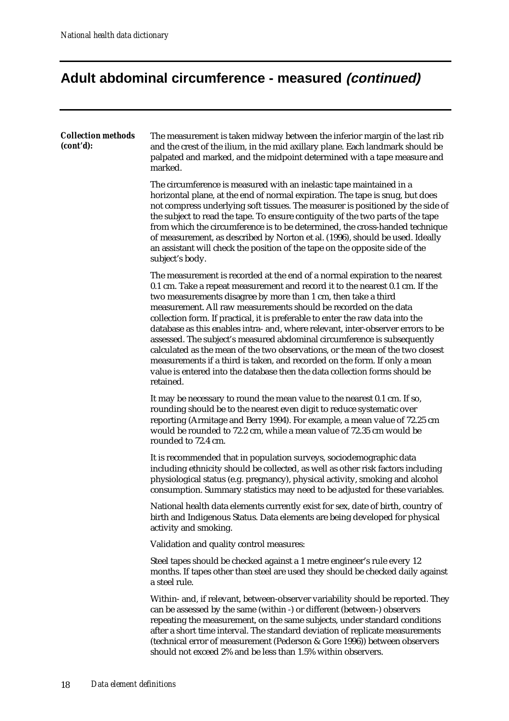# **Adult abdominal circumference - measured (continued)**

| <b>Collection methods</b><br>(cont'd): | The measurement is taken midway between the inferior margin of the last rib<br>and the crest of the ilium, in the mid axillary plane. Each landmark should be<br>palpated and marked, and the midpoint determined with a tape measure and<br>marked.                                                                                                                                                                                                                                                                                                                                                                                                                                                                                                                                                              |
|----------------------------------------|-------------------------------------------------------------------------------------------------------------------------------------------------------------------------------------------------------------------------------------------------------------------------------------------------------------------------------------------------------------------------------------------------------------------------------------------------------------------------------------------------------------------------------------------------------------------------------------------------------------------------------------------------------------------------------------------------------------------------------------------------------------------------------------------------------------------|
|                                        | The circumference is measured with an inelastic tape maintained in a<br>horizontal plane, at the end of normal expiration. The tape is snug, but does<br>not compress underlying soft tissues. The measurer is positioned by the side of<br>the subject to read the tape. To ensure contiguity of the two parts of the tape<br>from which the circumference is to be determined, the cross-handed technique<br>of measurement, as described by Norton et al. (1996), should be used. Ideally<br>an assistant will check the position of the tape on the opposite side of the<br>subject's body.                                                                                                                                                                                                                   |
|                                        | The measurement is recorded at the end of a normal expiration to the nearest<br>0.1 cm. Take a repeat measurement and record it to the nearest 0.1 cm. If the<br>two measurements disagree by more than 1 cm, then take a third<br>measurement. All raw measurements should be recorded on the data<br>collection form. If practical, it is preferable to enter the raw data into the<br>database as this enables intra- and, where relevant, inter-observer errors to be<br>assessed. The subject's measured abdominal circumference is subsequently<br>calculated as the mean of the two observations, or the mean of the two closest<br>measurements if a third is taken, and recorded on the form. If only a mean<br>value is entered into the database then the data collection forms should be<br>retained. |
|                                        | It may be necessary to round the mean value to the nearest 0.1 cm. If so,<br>rounding should be to the nearest even digit to reduce systematic over<br>reporting (Armitage and Berry 1994). For example, a mean value of 72.25 cm<br>would be rounded to 72.2 cm, while a mean value of 72.35 cm would be<br>rounded to 72.4 cm.                                                                                                                                                                                                                                                                                                                                                                                                                                                                                  |
|                                        | It is recommended that in population surveys, sociodemographic data<br>including ethnicity should be collected, as well as other risk factors including<br>physiological status (e.g. pregnancy), physical activity, smoking and alcohol<br>consumption. Summary statistics may need to be adjusted for these variables.                                                                                                                                                                                                                                                                                                                                                                                                                                                                                          |
|                                        | National health data elements currently exist for sex, date of birth, country of<br>birth and Indigenous Status. Data elements are being developed for physical<br>activity and smoking.                                                                                                                                                                                                                                                                                                                                                                                                                                                                                                                                                                                                                          |
|                                        | Validation and quality control measures:                                                                                                                                                                                                                                                                                                                                                                                                                                                                                                                                                                                                                                                                                                                                                                          |
|                                        | Steel tapes should be checked against a 1 metre engineer's rule every 12<br>months. If tapes other than steel are used they should be checked daily against<br>a steel rule.                                                                                                                                                                                                                                                                                                                                                                                                                                                                                                                                                                                                                                      |
|                                        | Within- and, if relevant, between-observer variability should be reported. They<br>can be assessed by the same (within -) or different (between-) observers<br>repeating the measurement, on the same subjects, under standard conditions<br>after a short time interval. The standard deviation of replicate measurements<br>(technical error of measurement (Pederson & Gore 1996)) between observers<br>should not exceed 2% and be less than 1.5% within observers.                                                                                                                                                                                                                                                                                                                                           |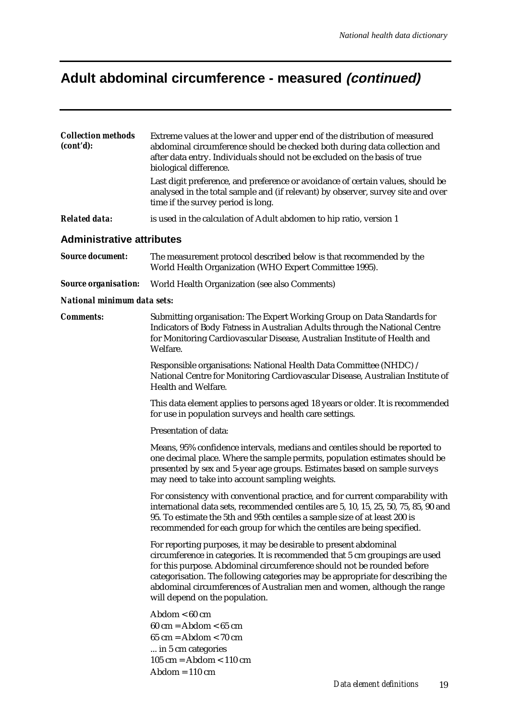# **Adult abdominal circumference - measured (continued)**

| <b>Collection methods</b><br>(cont'd): | Extreme values at the lower and upper end of the distribution of measured<br>abdominal circumference should be checked both during data collection and<br>after data entry. Individuals should not be excluded on the basis of true<br>biological difference.<br>Last digit preference, and preference or avoidance of certain values, should be<br>analysed in the total sample and (if relevant) by observer, survey site and over<br>time if the survey period is long. |
|----------------------------------------|----------------------------------------------------------------------------------------------------------------------------------------------------------------------------------------------------------------------------------------------------------------------------------------------------------------------------------------------------------------------------------------------------------------------------------------------------------------------------|
| <b>Related data:</b>                   | is used in the calculation of Adult abdomen to hip ratio, version 1                                                                                                                                                                                                                                                                                                                                                                                                        |
| <b>Administrative attributes</b>       |                                                                                                                                                                                                                                                                                                                                                                                                                                                                            |
| <b>Source document:</b>                | The measurement protocol described below is that recommended by the<br>World Health Organization (WHO Expert Committee 1995).                                                                                                                                                                                                                                                                                                                                              |
| <b>Source organisation:</b>            | World Health Organization (see also Comments)                                                                                                                                                                                                                                                                                                                                                                                                                              |
| National minimum data sets:            |                                                                                                                                                                                                                                                                                                                                                                                                                                                                            |
| <b>Comments:</b>                       | Submitting organisation: The Expert Working Group on Data Standards for<br>Indicators of Body Fatness in Australian Adults through the National Centre<br>for Monitoring Cardiovascular Disease, Australian Institute of Health and<br>Welfare.                                                                                                                                                                                                                            |
|                                        | Responsible organisations: National Health Data Committee (NHDC) /<br>National Centre for Monitoring Cardiovascular Disease, Australian Institute of<br>Health and Welfare.                                                                                                                                                                                                                                                                                                |
|                                        | This data element applies to persons aged 18 years or older. It is recommended<br>for use in population surveys and health care settings.                                                                                                                                                                                                                                                                                                                                  |
|                                        | Presentation of data:                                                                                                                                                                                                                                                                                                                                                                                                                                                      |
|                                        | Means, 95% confidence intervals, medians and centiles should be reported to<br>one decimal place. Where the sample permits, population estimates should be<br>presented by sex and 5-year age groups. Estimates based on sample surveys<br>may need to take into account sampling weights.                                                                                                                                                                                 |
|                                        | For consistency with conventional practice, and for current comparability with<br>international data sets, recommended centiles are 5, 10, 15, 25, 50, 75, 85, 90 and<br>95. To estimate the 5th and 95th centiles a sample size of at least 200 is<br>recommended for each group for which the centiles are being specified.                                                                                                                                              |
|                                        | For reporting purposes, it may be desirable to present abdominal<br>circumference in categories. It is recommended that 5 cm groupings are used<br>for this purpose. Abdominal circumference should not be rounded before<br>categorisation. The following categories may be appropriate for describing the<br>abdominal circumferences of Australian men and women, although the range<br>will depend on the population.                                                  |
|                                        | $Abdom < 60$ cm<br>$60 \text{ cm} = \text{Abdom} < 65 \text{ cm}$<br>$65 \text{ cm} = \text{Abdom} < 70 \text{ cm}$<br>in 5 cm categories<br>$105$ cm = Abdom < $110$ cm<br>$Abdom = 110 \text{ cm}$                                                                                                                                                                                                                                                                       |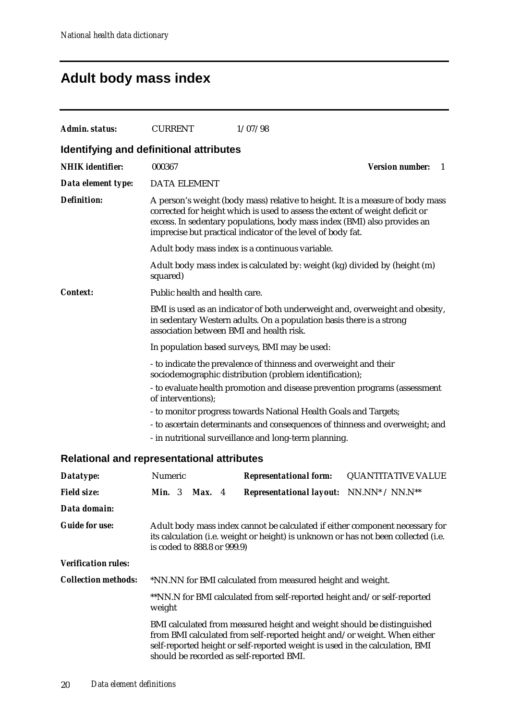## **Adult body mass index**

| Admin. status:                          | <b>CURRENT</b>                           | 1/07/98                                                                                                                                                                                                                                                                                                   |                        |    |
|-----------------------------------------|------------------------------------------|-----------------------------------------------------------------------------------------------------------------------------------------------------------------------------------------------------------------------------------------------------------------------------------------------------------|------------------------|----|
| Identifying and definitional attributes |                                          |                                                                                                                                                                                                                                                                                                           |                        |    |
| <b>NHIK</b> identifier:                 | 000367                                   |                                                                                                                                                                                                                                                                                                           | <b>Version number:</b> | -1 |
| Data element type:                      | <b>DATA ELEMENT</b>                      |                                                                                                                                                                                                                                                                                                           |                        |    |
| <b>Definition:</b>                      |                                          | A person's weight (body mass) relative to height. It is a measure of body mass<br>corrected for height which is used to assess the extent of weight deficit or<br>excess. In sedentary populations, body mass index (BMI) also provides an<br>imprecise but practical indicator of the level of body fat. |                        |    |
|                                         |                                          | Adult body mass index is a continuous variable.                                                                                                                                                                                                                                                           |                        |    |
|                                         | squared)                                 | Adult body mass index is calculated by: weight (kg) divided by (height (m)                                                                                                                                                                                                                                |                        |    |
| <b>Context:</b>                         | Public health and health care.           |                                                                                                                                                                                                                                                                                                           |                        |    |
|                                         | association between BMI and health risk. | BMI is used as an indicator of both underweight and, overweight and obesity,<br>in sedentary Western adults. On a population basis there is a strong                                                                                                                                                      |                        |    |
|                                         |                                          | In population based surveys, BMI may be used:                                                                                                                                                                                                                                                             |                        |    |
|                                         |                                          | - to indicate the prevalence of thinness and overweight and their<br>sociodemographic distribution (problem identification);                                                                                                                                                                              |                        |    |
|                                         | of interventions);                       | - to evaluate health promotion and disease prevention programs (assessment                                                                                                                                                                                                                                |                        |    |
|                                         |                                          | - to monitor progress towards National Health Goals and Targets;                                                                                                                                                                                                                                          |                        |    |
|                                         |                                          | - to ascertain determinants and consequences of thinness and overweight; and                                                                                                                                                                                                                              |                        |    |
|                                         |                                          | - in nutritional surveillance and long-term planning.                                                                                                                                                                                                                                                     |                        |    |
|                                         | وحاديما استنفس المسوم التمتسم مرم        |                                                                                                                                                                                                                                                                                                           |                        |    |

### **Relational and representational attributes**

| Datatype:                  | <b>Numeric</b>  |  | <b>Representational form:</b> | <b>QUANTITATIVE VALUE</b>                                                                                                                                                                                                                                                      |  |
|----------------------------|-----------------|--|-------------------------------|--------------------------------------------------------------------------------------------------------------------------------------------------------------------------------------------------------------------------------------------------------------------------------|--|
| <b>Field size:</b>         | <b>Min.</b> $3$ |  | Max. 4                        | <b>Representational layout:</b> NN.NN* / NN.N**                                                                                                                                                                                                                                |  |
| Data domain:               |                 |  |                               |                                                                                                                                                                                                                                                                                |  |
| <b>Guide for use:</b>      |                 |  | is coded to 888.8 or 999.9)   | Adult body mass index cannot be calculated if either component necessary for<br>its calculation (i.e. weight or height) is unknown or has not been collected (i.e.                                                                                                             |  |
| <b>Verification rules:</b> |                 |  |                               |                                                                                                                                                                                                                                                                                |  |
| <b>Collection methods:</b> |                 |  |                               | *NN.NN for BMI calculated from measured height and weight.                                                                                                                                                                                                                     |  |
|                            | weight          |  |                               | **NN.N for BMI calculated from self-reported height and/or self-reported                                                                                                                                                                                                       |  |
|                            |                 |  |                               | BMI calculated from measured height and weight should be distinguished<br>from BMI calculated from self-reported height and/or weight. When either<br>self-reported height or self-reported weight is used in the calculation, BMI<br>should be recorded as self-reported BMI. |  |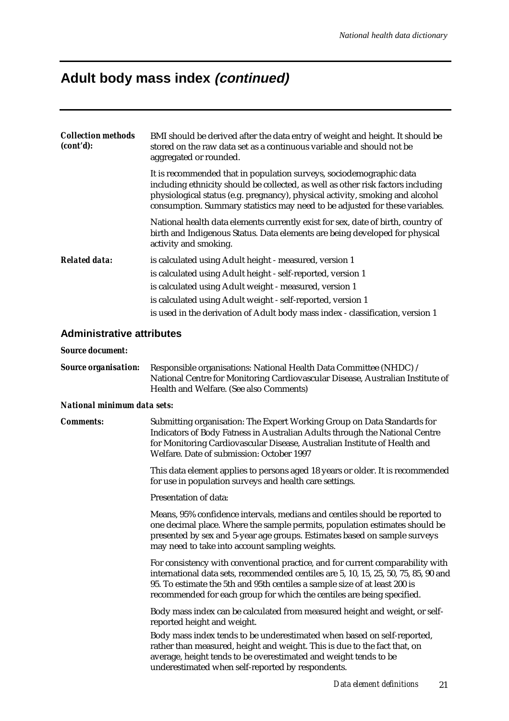### **Adult body mass index (continued)**

| <b>Collection methods</b><br>(cont'd): | BMI should be derived after the data entry of weight and height. It should be<br>stored on the raw data set as a continuous variable and should not be<br>aggregated or rounded.                                                                                                                                         |
|----------------------------------------|--------------------------------------------------------------------------------------------------------------------------------------------------------------------------------------------------------------------------------------------------------------------------------------------------------------------------|
|                                        | It is recommended that in population surveys, sociodemographic data<br>including ethnicity should be collected, as well as other risk factors including<br>physiological status (e.g. pregnancy), physical activity, smoking and alcohol<br>consumption. Summary statistics may need to be adjusted for these variables. |
|                                        | National health data elements currently exist for sex, date of birth, country of<br>birth and Indigenous Status. Data elements are being developed for physical<br>activity and smoking.                                                                                                                                 |
| <b>Related data:</b>                   | is calculated using Adult height - measured, version 1                                                                                                                                                                                                                                                                   |
|                                        | is calculated using Adult height - self-reported, version 1                                                                                                                                                                                                                                                              |
|                                        | is calculated using Adult weight - measured, version 1                                                                                                                                                                                                                                                                   |
|                                        | is calculated using Adult weight - self-reported, version 1                                                                                                                                                                                                                                                              |
|                                        | is used in the derivation of Adult body mass index - classification, version 1                                                                                                                                                                                                                                           |

### **Administrative attributes**

#### *Source document:*

*Source organisation:* Responsible organisations: National Health Data Committee (NHDC) / National Centre for Monitoring Cardiovascular Disease, Australian Institute of Health and Welfare. (See also Comments)

#### *National minimum data sets:*

*Comments:* Submitting organisation: The Expert Working Group on Data Standards for Indicators of Body Fatness in Australian Adults through the National Centre for Monitoring Cardiovascular Disease, Australian Institute of Health and Welfare. Date of submission: October 1997

> This data element applies to persons aged 18 years or older. It is recommended for use in population surveys and health care settings.

Presentation of data:

Means, 95% confidence intervals, medians and centiles should be reported to one decimal place. Where the sample permits, population estimates should be presented by sex and 5-year age groups. Estimates based on sample surveys may need to take into account sampling weights.

For consistency with conventional practice, and for current comparability with international data sets, recommended centiles are 5, 10, 15, 25, 50, 75, 85, 90 and 95. To estimate the 5th and 95th centiles a sample size of at least 200 is recommended for each group for which the centiles are being specified.

Body mass index can be calculated from measured height and weight, or selfreported height and weight.

Body mass index tends to be underestimated when based on self-reported, rather than measured, height and weight. This is due to the fact that, on average, height tends to be overestimated and weight tends to be underestimated when self-reported by respondents.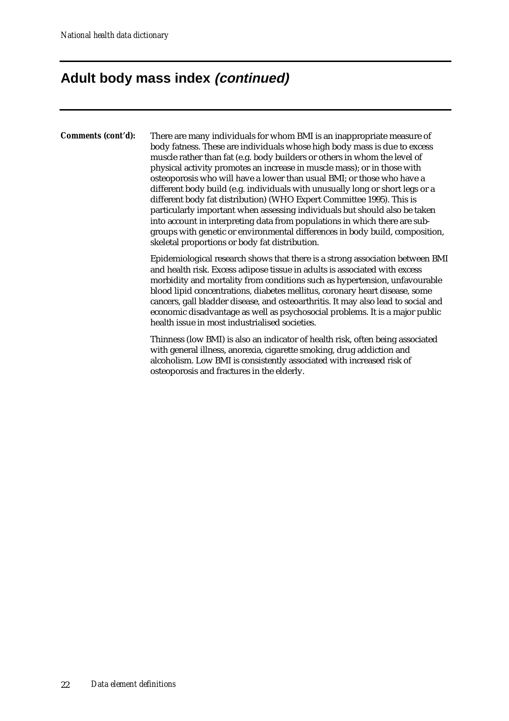## **Adult body mass index (continued)**

*Comments (cont'd):* There are many individuals for whom BMI is an inappropriate measure of body fatness. These are individuals whose high body mass is due to excess muscle rather than fat (e.g. body builders or others in whom the level of physical activity promotes an increase in muscle mass); or in those with osteoporosis who will have a lower than usual BMI; or those who have a different body build (e.g. individuals with unusually long or short legs or a different body fat distribution) (WHO Expert Committee 1995). This is particularly important when assessing individuals but should also be taken into account in interpreting data from populations in which there are subgroups with genetic or environmental differences in body build, composition, skeletal proportions or body fat distribution.

> Epidemiological research shows that there is a strong association between BMI and health risk. Excess adipose tissue in adults is associated with excess morbidity and mortality from conditions such as hypertension, unfavourable blood lipid concentrations, diabetes mellitus, coronary heart disease, some cancers, gall bladder disease, and osteoarthritis. It may also lead to social and economic disadvantage as well as psychosocial problems. It is a major public health issue in most industrialised societies.

Thinness (low BMI) is also an indicator of health risk, often being associated with general illness, anorexia, cigarette smoking, drug addiction and alcoholism. Low BMI is consistently associated with increased risk of osteoporosis and fractures in the elderly.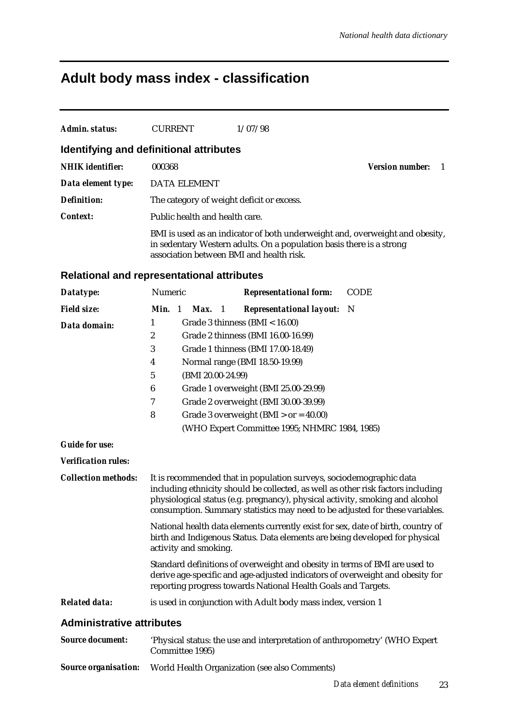# **Adult body mass index - classification**

| <b>Admin. status:</b>                             | <b>CURRENT</b>   |                                | 1/07/98                                                                                                                                                                                                                                                                                                                  |                             |
|---------------------------------------------------|------------------|--------------------------------|--------------------------------------------------------------------------------------------------------------------------------------------------------------------------------------------------------------------------------------------------------------------------------------------------------------------------|-----------------------------|
| Identifying and definitional attributes           |                  |                                |                                                                                                                                                                                                                                                                                                                          |                             |
| <b>NHIK</b> identifier:                           | 000368           |                                |                                                                                                                                                                                                                                                                                                                          | <b>Version number:</b><br>1 |
|                                                   |                  |                                |                                                                                                                                                                                                                                                                                                                          |                             |
| Data element type:                                |                  | <b>DATA ELEMENT</b>            |                                                                                                                                                                                                                                                                                                                          |                             |
| <b>Definition:</b>                                |                  |                                | The category of weight deficit or excess.                                                                                                                                                                                                                                                                                |                             |
| <b>Context:</b>                                   |                  | Public health and health care. |                                                                                                                                                                                                                                                                                                                          |                             |
|                                                   |                  |                                | BMI is used as an indicator of both underweight and, overweight and obesity,<br>in sedentary Western adults. On a population basis there is a strong<br>association between BMI and health risk.                                                                                                                         |                             |
| <b>Relational and representational attributes</b> |                  |                                |                                                                                                                                                                                                                                                                                                                          |                             |
| Datatype:                                         | Numeric          |                                | <b>Representational form:</b>                                                                                                                                                                                                                                                                                            | <b>CODE</b>                 |
| <b>Field size:</b>                                | Min. 1           | $Max.$ 1                       | <b>Representational layout:</b>                                                                                                                                                                                                                                                                                          | N                           |
| Data domain:                                      | 1                |                                | Grade 3 thinness (BMI < 16.00)                                                                                                                                                                                                                                                                                           |                             |
|                                                   | $\boldsymbol{2}$ |                                | Grade 2 thinness (BMI 16.00-16.99)                                                                                                                                                                                                                                                                                       |                             |
|                                                   | 3                |                                | Grade 1 thinness (BMI 17.00-18.49)                                                                                                                                                                                                                                                                                       |                             |
|                                                   | 4                |                                | Normal range (BMI 18.50-19.99)                                                                                                                                                                                                                                                                                           |                             |
|                                                   | 5                | (BMI 20.00-24.99)              |                                                                                                                                                                                                                                                                                                                          |                             |
|                                                   | 6                |                                | Grade 1 overweight (BMI 25.00-29.99)                                                                                                                                                                                                                                                                                     |                             |
|                                                   | 7                |                                | Grade 2 overweight (BMI 30.00-39.99)                                                                                                                                                                                                                                                                                     |                             |
|                                                   | 8                |                                | Grade 3 overweight (BMI $>$ or = 40.00)                                                                                                                                                                                                                                                                                  |                             |
|                                                   |                  |                                | (WHO Expert Committee 1995; NHMRC 1984, 1985)                                                                                                                                                                                                                                                                            |                             |
| <b>Guide for use:</b>                             |                  |                                |                                                                                                                                                                                                                                                                                                                          |                             |
| <b>Verification rules:</b>                        |                  |                                |                                                                                                                                                                                                                                                                                                                          |                             |
| <b>Collection methods:</b>                        |                  |                                | It is recommended that in population surveys, sociodemographic data<br>including ethnicity should be collected, as well as other risk factors including<br>physiological status (e.g. pregnancy), physical activity, smoking and alcohol<br>consumption. Summary statistics may need to be adjusted for these variables. |                             |
|                                                   |                  | activity and smoking.          | National health data elements currently exist for sex, date of birth, country of<br>birth and Indigenous Status. Data elements are being developed for physical                                                                                                                                                          |                             |
|                                                   |                  |                                | Standard definitions of overweight and obesity in terms of BMI are used to<br>derive age-specific and age-adjusted indicators of overweight and obesity for<br>reporting progress towards National Health Goals and Targets.                                                                                             |                             |
| <b>Related data:</b>                              |                  |                                | is used in conjunction with Adult body mass index, version 1                                                                                                                                                                                                                                                             |                             |
| <b>Administrative attributes</b>                  |                  |                                |                                                                                                                                                                                                                                                                                                                          |                             |
| <b>Source document:</b>                           |                  | Committee 1995)                | 'Physical status: the use and interpretation of anthropometry' (WHO Expert                                                                                                                                                                                                                                               |                             |
| <b>Source organisation:</b>                       |                  |                                | World Health Organization (see also Comments)                                                                                                                                                                                                                                                                            |                             |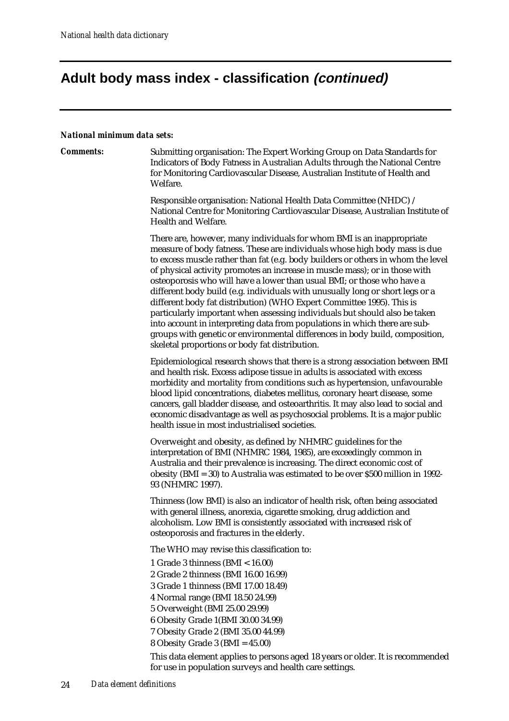# **Adult body mass index - classification (continued)**

#### *National minimum data sets:*

| танонаг ништит чага эсгэ. |                                                                                                                                                                                                                                                                                                                                                                                                                                                                                                                                                                                                                                                                                                                                                                                                                                                          |
|---------------------------|----------------------------------------------------------------------------------------------------------------------------------------------------------------------------------------------------------------------------------------------------------------------------------------------------------------------------------------------------------------------------------------------------------------------------------------------------------------------------------------------------------------------------------------------------------------------------------------------------------------------------------------------------------------------------------------------------------------------------------------------------------------------------------------------------------------------------------------------------------|
| <b>Comments:</b>          | Submitting organisation: The Expert Working Group on Data Standards for<br>Indicators of Body Fatness in Australian Adults through the National Centre<br>for Monitoring Cardiovascular Disease, Australian Institute of Health and<br>Welfare.                                                                                                                                                                                                                                                                                                                                                                                                                                                                                                                                                                                                          |
|                           | Responsible organisation: National Health Data Committee (NHDC) /<br>National Centre for Monitoring Cardiovascular Disease, Australian Institute of<br>Health and Welfare.                                                                                                                                                                                                                                                                                                                                                                                                                                                                                                                                                                                                                                                                               |
|                           | There are, however, many individuals for whom BMI is an inappropriate<br>measure of body fatness. These are individuals whose high body mass is due<br>to excess muscle rather than fat (e.g. body builders or others in whom the level<br>of physical activity promotes an increase in muscle mass); or in those with<br>osteoporosis who will have a lower than usual BMI; or those who have a<br>different body build (e.g. individuals with unusually long or short legs or a<br>different body fat distribution) (WHO Expert Committee 1995). This is<br>particularly important when assessing individuals but should also be taken<br>into account in interpreting data from populations in which there are sub-<br>groups with genetic or environmental differences in body build, composition,<br>skeletal proportions or body fat distribution. |
|                           | Epidemiological research shows that there is a strong association between BMI<br>and health risk. Excess adipose tissue in adults is associated with excess<br>morbidity and mortality from conditions such as hypertension, unfavourable<br>blood lipid concentrations, diabetes mellitus, coronary heart disease, some<br>cancers, gall bladder disease, and osteoarthritis. It may also lead to social and<br>economic disadvantage as well as psychosocial problems. It is a major public<br>health issue in most industrialised societies.                                                                                                                                                                                                                                                                                                          |
|                           | Overweight and obesity, as defined by NHMRC guidelines for the<br>interpretation of BMI (NHMRC 1984, 1985), are exceedingly common in<br>Australia and their prevalence is increasing. The direct economic cost of<br>obesity (BMI = 30) to Australia was estimated to be over \$500 million in 1992-<br>93 (NHMRC 1997).                                                                                                                                                                                                                                                                                                                                                                                                                                                                                                                                |
|                           | Thinness (low BMI) is also an indicator of health risk, often being associated<br>with general illness, anorexia, cigarette smoking, drug addiction and<br>alcoholism. Low BMI is consistently associated with increased risk of<br>osteoporosis and fractures in the elderly.                                                                                                                                                                                                                                                                                                                                                                                                                                                                                                                                                                           |
|                           | The WHO may revise this classification to:<br>1 Grade 3 thinness ( $BMI < 16.00$ )<br>2 Grade 2 thinness (BMI 16.00 16.99)<br>3 Grade 1 thinness (BMI 17.00 18.49)<br>4 Normal range (BMI 18.50 24.99)<br>5 Overweight (BMI 25.00 29.99)<br>6 Obesity Grade 1(BMI 30.00 34.99)<br>7 Obesity Grade 2 (BMI 35.00 44.99)<br>8 Obesity Grade 3 ( $BMI = 45.00$ )<br>This data element applies to persons aged 18 years or older. It is recommended                                                                                                                                                                                                                                                                                                                                                                                                           |
|                           | for use in population surveys and health care settings.                                                                                                                                                                                                                                                                                                                                                                                                                                                                                                                                                                                                                                                                                                                                                                                                  |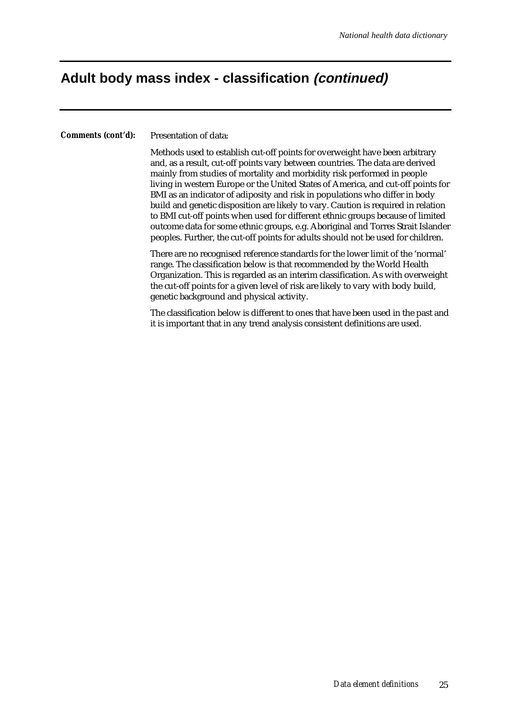### **Adult body mass index - classification (continued)**

*Comments (cont'd):* Presentation of data:

Methods used to establish cut-off points for overweight have been arbitrary and, as a result, cut-off points vary between countries. The data are derived mainly from studies of mortality and morbidity risk performed in people living in western Europe or the United States of America, and cut-off points for BMI as an indicator of adiposity and risk in populations who differ in body build and genetic disposition are likely to vary. Caution is required in relation to BMI cut-off points when used for different ethnic groups because of limited outcome data for some ethnic groups, e.g. Aboriginal and Torres Strait Islander peoples. Further, the cut-off points for adults should not be used for children.

There are no recognised reference standards for the lower limit of the 'normal' range. The classification below is that recommended by the World Health Organization. This is regarded as an interim classification. As with overweight the cut-off points for a given level of risk are likely to vary with body build, genetic background and physical activity.

The classification below is different to ones that have been used in the past and it is important that in any trend analysis consistent definitions are used.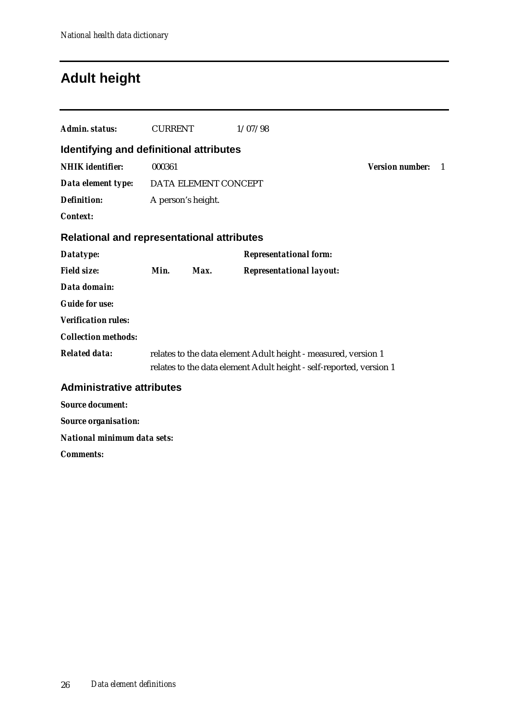## **Adult height**

| Admin. status:                                    | <b>CURRENT</b>     |                      | 1/07/98                                                             |                        |    |
|---------------------------------------------------|--------------------|----------------------|---------------------------------------------------------------------|------------------------|----|
| Identifying and definitional attributes           |                    |                      |                                                                     |                        |    |
| <b>NHIK</b> identifier:                           | 000361             |                      |                                                                     | <b>Version number:</b> | -1 |
| Data element type:                                |                    | DATA ELEMENT CONCEPT |                                                                     |                        |    |
| <b>Definition:</b>                                | A person's height. |                      |                                                                     |                        |    |
| <b>Context:</b>                                   |                    |                      |                                                                     |                        |    |
| <b>Relational and representational attributes</b> |                    |                      |                                                                     |                        |    |
| Datatype:                                         |                    |                      | <b>Representational form:</b>                                       |                        |    |
| <b>Field size:</b>                                | Min.               | Max.                 | <b>Representational layout:</b>                                     |                        |    |
| Data domain:                                      |                    |                      |                                                                     |                        |    |
| <b>Guide for use:</b>                             |                    |                      |                                                                     |                        |    |
| <b>Verification rules:</b>                        |                    |                      |                                                                     |                        |    |
| <b>Collection methods:</b>                        |                    |                      |                                                                     |                        |    |
| <b>Related data:</b>                              |                    |                      | relates to the data element Adult height - measured, version 1      |                        |    |
|                                                   |                    |                      | relates to the data element Adult height - self-reported, version 1 |                        |    |
| <b>Administrative attributes</b>                  |                    |                      |                                                                     |                        |    |
| <b>Source document:</b>                           |                    |                      |                                                                     |                        |    |
| <b>Source organisation:</b>                       |                    |                      |                                                                     |                        |    |
| National minimum data sets:                       |                    |                      |                                                                     |                        |    |
| <b>Comments:</b>                                  |                    |                      |                                                                     |                        |    |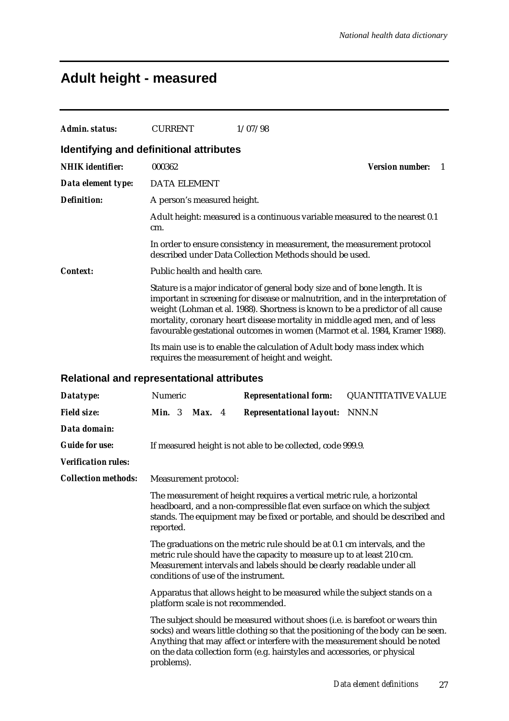# **Adult height - measured**

| <b>Admin. status:</b>      | <b>CURRENT</b>                                    | 1/07/98                                                                                                                                                                                                                                                                                                                                                                                                         |                              |
|----------------------------|---------------------------------------------------|-----------------------------------------------------------------------------------------------------------------------------------------------------------------------------------------------------------------------------------------------------------------------------------------------------------------------------------------------------------------------------------------------------------------|------------------------------|
|                            | Identifying and definitional attributes           |                                                                                                                                                                                                                                                                                                                                                                                                                 |                              |
| <b>NHIK</b> identifier:    | 000362                                            |                                                                                                                                                                                                                                                                                                                                                                                                                 | <b>Version number:</b><br>-1 |
| Data element type:         | <b>DATA ELEMENT</b>                               |                                                                                                                                                                                                                                                                                                                                                                                                                 |                              |
| <b>Definition:</b>         | A person's measured height.                       |                                                                                                                                                                                                                                                                                                                                                                                                                 |                              |
|                            | cm.                                               | Adult height: measured is a continuous variable measured to the nearest 0.1                                                                                                                                                                                                                                                                                                                                     |                              |
|                            |                                                   | In order to ensure consistency in measurement, the measurement protocol<br>described under Data Collection Methods should be used.                                                                                                                                                                                                                                                                              |                              |
| <b>Context:</b>            | Public health and health care.                    |                                                                                                                                                                                                                                                                                                                                                                                                                 |                              |
|                            |                                                   | Stature is a major indicator of general body size and of bone length. It is<br>important in screening for disease or malnutrition, and in the interpretation of<br>weight (Lohman et al. 1988). Shortness is known to be a predictor of all cause<br>mortality, coronary heart disease mortality in middle aged men, and of less<br>favourable gestational outcomes in women (Marmot et al. 1984, Kramer 1988). |                              |
|                            |                                                   | Its main use is to enable the calculation of Adult body mass index which<br>requires the measurement of height and weight.                                                                                                                                                                                                                                                                                      |                              |
|                            | <b>Relational and representational attributes</b> |                                                                                                                                                                                                                                                                                                                                                                                                                 |                              |
| Datatype:                  | Numeric                                           | <b>Representational form:</b>                                                                                                                                                                                                                                                                                                                                                                                   | <b>QUANTITATIVE VALUE</b>    |
| <b>Field size:</b>         | Min. 3<br>Max. 4                                  | <b>Representational layout:</b>                                                                                                                                                                                                                                                                                                                                                                                 | NNN.N                        |
| Data domain:               |                                                   |                                                                                                                                                                                                                                                                                                                                                                                                                 |                              |
| <b>Guide for use:</b>      |                                                   | If measured height is not able to be collected, code 999.9.                                                                                                                                                                                                                                                                                                                                                     |                              |
| <b>Verification rules:</b> |                                                   |                                                                                                                                                                                                                                                                                                                                                                                                                 |                              |
| <b>Collection methods:</b> | Measurement protocol:                             |                                                                                                                                                                                                                                                                                                                                                                                                                 |                              |
|                            | reported.                                         | The measurement of height requires a vertical metric rule, a horizontal<br>headboard, and a non-compressible flat even surface on which the subject<br>stands. The equipment may be fixed or portable, and should be described and                                                                                                                                                                              |                              |
|                            | conditions of use of the instrument.              | The graduations on the metric rule should be at 0.1 cm intervals, and the<br>metric rule should have the capacity to measure up to at least 210 cm.<br>Measurement intervals and labels should be clearly readable under all                                                                                                                                                                                    |                              |
|                            | platform scale is not recommended.                | Apparatus that allows height to be measured while the subject stands on a                                                                                                                                                                                                                                                                                                                                       |                              |
|                            | problems).                                        | The subject should be measured without shoes (i.e. is barefoot or wears thin<br>socks) and wears little clothing so that the positioning of the body can be seen.<br>Anything that may affect or interfere with the measurement should be noted<br>on the data collection form (e.g. hairstyles and accessories, or physical                                                                                    |                              |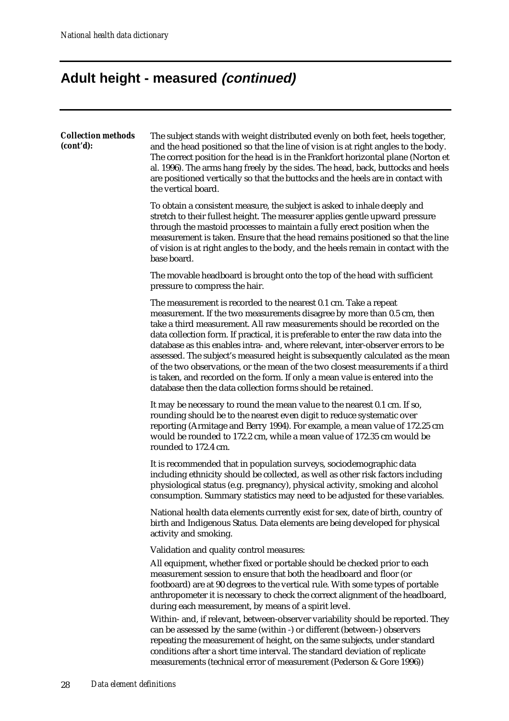# **Adult height - measured (continued)**

| <b>Collection methods</b><br>(cont'd): | The subject stands with weight distributed evenly on both feet, heels together,<br>and the head positioned so that the line of vision is at right angles to the body.<br>The correct position for the head is in the Frankfort horizontal plane (Norton et<br>al. 1996). The arms hang freely by the sides. The head, back, buttocks and heels<br>are positioned vertically so that the buttocks and the heels are in contact with<br>the vertical board.                                                                                                                                                                                                                                                              |
|----------------------------------------|------------------------------------------------------------------------------------------------------------------------------------------------------------------------------------------------------------------------------------------------------------------------------------------------------------------------------------------------------------------------------------------------------------------------------------------------------------------------------------------------------------------------------------------------------------------------------------------------------------------------------------------------------------------------------------------------------------------------|
|                                        | To obtain a consistent measure, the subject is asked to inhale deeply and<br>stretch to their fullest height. The measurer applies gentle upward pressure<br>through the mastoid processes to maintain a fully erect position when the<br>measurement is taken. Ensure that the head remains positioned so that the line<br>of vision is at right angles to the body, and the heels remain in contact with the<br>base board.                                                                                                                                                                                                                                                                                          |
|                                        | The movable headboard is brought onto the top of the head with sufficient<br>pressure to compress the hair.                                                                                                                                                                                                                                                                                                                                                                                                                                                                                                                                                                                                            |
|                                        | The measurement is recorded to the nearest 0.1 cm. Take a repeat<br>measurement. If the two measurements disagree by more than 0.5 cm, then<br>take a third measurement. All raw measurements should be recorded on the<br>data collection form. If practical, it is preferable to enter the raw data into the<br>database as this enables intra- and, where relevant, inter-observer errors to be<br>assessed. The subject's measured height is subsequently calculated as the mean<br>of the two observations, or the mean of the two closest measurements if a third<br>is taken, and recorded on the form. If only a mean value is entered into the<br>database then the data collection forms should be retained. |
|                                        | It may be necessary to round the mean value to the nearest 0.1 cm. If so,<br>rounding should be to the nearest even digit to reduce systematic over<br>reporting (Armitage and Berry 1994). For example, a mean value of 172.25 cm<br>would be rounded to 172.2 cm, while a mean value of 172.35 cm would be<br>rounded to 172.4 cm.                                                                                                                                                                                                                                                                                                                                                                                   |
|                                        | It is recommended that in population surveys, sociodemographic data<br>including ethnicity should be collected, as well as other risk factors including<br>physiological status (e.g. pregnancy), physical activity, smoking and alcohol<br>consumption. Summary statistics may need to be adjusted for these variables.                                                                                                                                                                                                                                                                                                                                                                                               |
|                                        | National health data elements currently exist for sex, date of birth, country of<br>birth and Indigenous Status. Data elements are being developed for physical<br>activity and smoking.                                                                                                                                                                                                                                                                                                                                                                                                                                                                                                                               |
|                                        | Validation and quality control measures:                                                                                                                                                                                                                                                                                                                                                                                                                                                                                                                                                                                                                                                                               |
|                                        | All equipment, whether fixed or portable should be checked prior to each<br>measurement session to ensure that both the headboard and floor (or<br>footboard) are at 90 degrees to the vertical rule. With some types of portable<br>anthropometer it is necessary to check the correct alignment of the headboard,<br>during each measurement, by means of a spirit level.                                                                                                                                                                                                                                                                                                                                            |
|                                        | Within- and, if relevant, between-observer variability should be reported. They<br>can be assessed by the same (within -) or different (between-) observers<br>repeating the measurement of height, on the same subjects, under standard<br>conditions after a short time interval. The standard deviation of replicate<br>measurements (technical error of measurement (Pederson & Gore 1996))                                                                                                                                                                                                                                                                                                                        |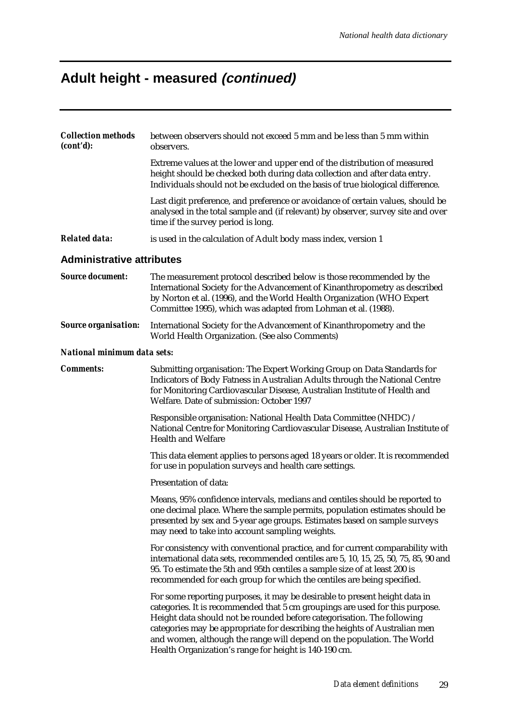# **Adult height - measured (continued)**

| <b>Collection methods</b><br>(cont'd): | between observers should not exceed 5 mm and be less than 5 mm within<br>observers.                                                                                                                                                                                                                                                                                                                                                                   |
|----------------------------------------|-------------------------------------------------------------------------------------------------------------------------------------------------------------------------------------------------------------------------------------------------------------------------------------------------------------------------------------------------------------------------------------------------------------------------------------------------------|
|                                        | Extreme values at the lower and upper end of the distribution of measured<br>height should be checked both during data collection and after data entry.<br>Individuals should not be excluded on the basis of true biological difference.                                                                                                                                                                                                             |
|                                        | Last digit preference, and preference or avoidance of certain values, should be<br>analysed in the total sample and (if relevant) by observer, survey site and over<br>time if the survey period is long.                                                                                                                                                                                                                                             |
| <b>Related data:</b>                   | is used in the calculation of Adult body mass index, version 1                                                                                                                                                                                                                                                                                                                                                                                        |
| <b>Administrative attributes</b>       |                                                                                                                                                                                                                                                                                                                                                                                                                                                       |
| <b>Source document:</b>                | The measurement protocol described below is those recommended by the<br>International Society for the Advancement of Kinanthropometry as described<br>by Norton et al. (1996), and the World Health Organization (WHO Expert<br>Committee 1995), which was adapted from Lohman et al. (1988).                                                                                                                                                         |
| <b>Source organisation:</b>            | International Society for the Advancement of Kinanthropometry and the<br>World Health Organization. (See also Comments)                                                                                                                                                                                                                                                                                                                               |
| National minimum data sets:            |                                                                                                                                                                                                                                                                                                                                                                                                                                                       |
| <b>Comments:</b>                       | Submitting organisation: The Expert Working Group on Data Standards for<br>Indicators of Body Fatness in Australian Adults through the National Centre<br>for Monitoring Cardiovascular Disease, Australian Institute of Health and<br>Welfare. Date of submission: October 1997                                                                                                                                                                      |
|                                        | Responsible organisation: National Health Data Committee (NHDC) /<br>National Centre for Monitoring Cardiovascular Disease, Australian Institute of<br><b>Health and Welfare</b>                                                                                                                                                                                                                                                                      |
|                                        | This data element applies to persons aged 18 years or older. It is recommended<br>for use in population surveys and health care settings.                                                                                                                                                                                                                                                                                                             |
|                                        | Presentation of data:                                                                                                                                                                                                                                                                                                                                                                                                                                 |
|                                        | Means, 95% confidence intervals, medians and centiles should be reported to<br>one decimal place. Where the sample permits, population estimates should be<br>presented by sex and 5-year age groups. Estimates based on sample surveys<br>may need to take into account sampling weights.                                                                                                                                                            |
|                                        | For consistency with conventional practice, and for current comparability with<br>international data sets, recommended centiles are 5, 10, 15, 25, 50, 75, 85, 90 and<br>95. To estimate the 5th and 95th centiles a sample size of at least 200 is<br>recommended for each group for which the centiles are being specified.                                                                                                                         |
|                                        | For some reporting purposes, it may be desirable to present height data in<br>categories. It is recommended that 5 cm groupings are used for this purpose.<br>Height data should not be rounded before categorisation. The following<br>categories may be appropriate for describing the heights of Australian men<br>and women, although the range will depend on the population. The World<br>Health Organization's range for height is 140-190 cm. |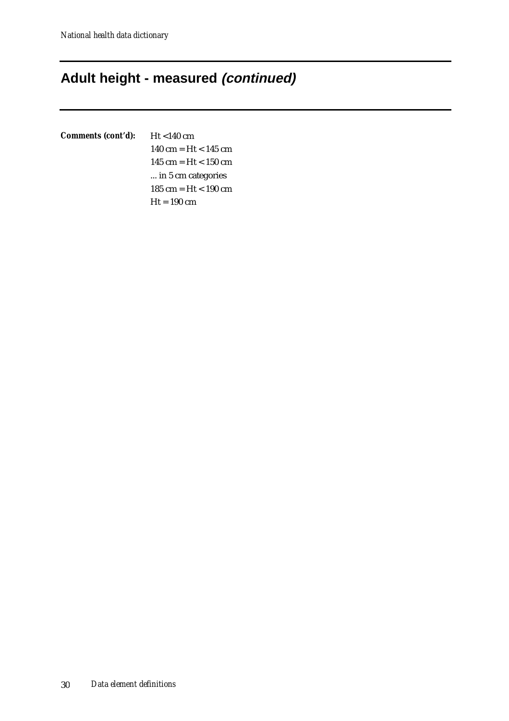## **Adult height - measured (continued)**

## *Comments (cont'd):* Ht <140 cm

140 cm = Ht < 145 cm 145 cm = Ht < 150 cm ... in 5 cm categories 185 cm = Ht < 190 cm  $Ht = 190$  cm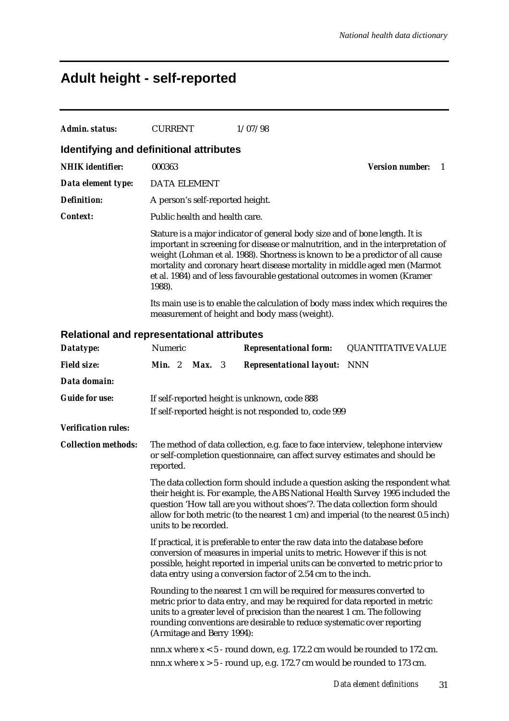# **Adult height - self-reported**

| <b>Admin. status:</b>      | <b>CURRENT</b><br>1/07/98                                                                                                                                                                                                                                                                                                                                                                                             |
|----------------------------|-----------------------------------------------------------------------------------------------------------------------------------------------------------------------------------------------------------------------------------------------------------------------------------------------------------------------------------------------------------------------------------------------------------------------|
|                            | Identifying and definitional attributes                                                                                                                                                                                                                                                                                                                                                                               |
| <b>NHIK</b> identifier:    | <b>Version number:</b><br>000363<br>1                                                                                                                                                                                                                                                                                                                                                                                 |
| Data element type:         | <b>DATA ELEMENT</b>                                                                                                                                                                                                                                                                                                                                                                                                   |
| <b>Definition:</b>         | A person's self-reported height.                                                                                                                                                                                                                                                                                                                                                                                      |
| <b>Context:</b>            | Public health and health care.                                                                                                                                                                                                                                                                                                                                                                                        |
|                            | Stature is a major indicator of general body size and of bone length. It is<br>important in screening for disease or malnutrition, and in the interpretation of<br>weight (Lohman et al. 1988). Shortness is known to be a predictor of all cause<br>mortality and coronary heart disease mortality in middle aged men (Marmot<br>et al. 1984) and of less favourable gestational outcomes in women (Kramer<br>1988). |
|                            | Its main use is to enable the calculation of body mass index which requires the<br>measurement of height and body mass (weight).                                                                                                                                                                                                                                                                                      |
|                            | Relational and representational attributes                                                                                                                                                                                                                                                                                                                                                                            |
| Datatype:                  | Numeric<br><b>QUANTITATIVE VALUE</b><br><b>Representational form:</b>                                                                                                                                                                                                                                                                                                                                                 |
| <b>Field size:</b>         | Min. 2<br><b>NNN</b><br>Max. 3<br><b>Representational layout:</b>                                                                                                                                                                                                                                                                                                                                                     |
| Data domain:               |                                                                                                                                                                                                                                                                                                                                                                                                                       |
| <b>Guide for use:</b>      | If self-reported height is unknown, code 888                                                                                                                                                                                                                                                                                                                                                                          |
|                            | If self-reported height is not responded to, code 999                                                                                                                                                                                                                                                                                                                                                                 |
| <b>Verification rules:</b> |                                                                                                                                                                                                                                                                                                                                                                                                                       |
| <b>Collection methods:</b> | The method of data collection, e.g. face to face interview, telephone interview<br>or self-completion questionnaire, can affect survey estimates and should be<br>reported.                                                                                                                                                                                                                                           |
|                            | The data collection form should include a question asking the respondent what<br>their height is. For example, the ABS National Health Survey 1995 included the<br>question 'How tall are you without shoes'?. The data collection form should<br>allow for both metric (to the nearest 1 cm) and imperial (to the nearest 0.5 inch)<br>units to be recorded.                                                         |
|                            | If practical, it is preferable to enter the raw data into the database before<br>conversion of measures in imperial units to metric. However if this is not<br>possible, height reported in imperial units can be converted to metric prior to<br>data entry using a conversion factor of 2.54 cm to the inch.                                                                                                        |
|                            | Rounding to the nearest 1 cm will be required for measures converted to<br>metric prior to data entry, and may be required for data reported in metric<br>units to a greater level of precision than the nearest 1 cm. The following<br>rounding conventions are desirable to reduce systematic over reporting<br>(Armitage and Berry 1994):                                                                          |
|                            | nnn. $x$ where $x < 5$ - round down, e.g. 172.2 cm would be rounded to 172 cm.<br>nnn.x where $x > 5$ - round up, e.g. 172.7 cm would be rounded to 173 cm.                                                                                                                                                                                                                                                           |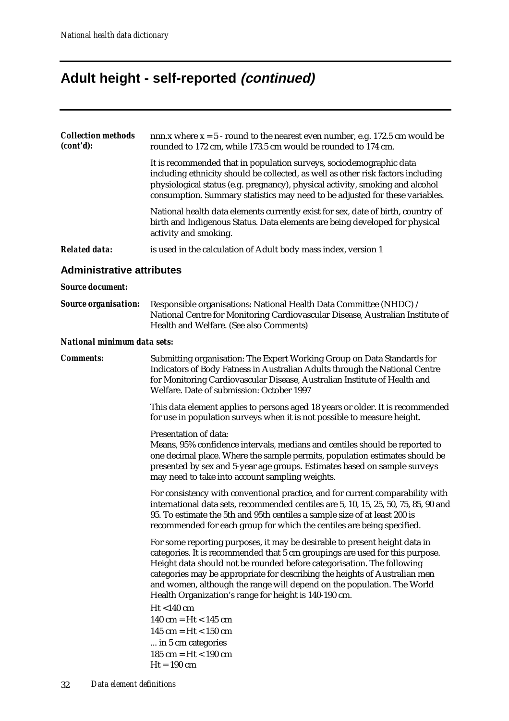# **Adult height - self-reported (continued)**

| <b>Collection methods</b><br>(cont'd): | nnn.x where $x = 5$ - round to the nearest even number, e.g. 172.5 cm would be<br>rounded to 172 cm, while 173.5 cm would be rounded to 174 cm.                                                                                                                                                                                                                                                                                                       |
|----------------------------------------|-------------------------------------------------------------------------------------------------------------------------------------------------------------------------------------------------------------------------------------------------------------------------------------------------------------------------------------------------------------------------------------------------------------------------------------------------------|
|                                        | It is recommended that in population surveys, sociodemographic data<br>including ethnicity should be collected, as well as other risk factors including<br>physiological status (e.g. pregnancy), physical activity, smoking and alcohol<br>consumption. Summary statistics may need to be adjusted for these variables.                                                                                                                              |
|                                        | National health data elements currently exist for sex, date of birth, country of<br>birth and Indigenous Status. Data elements are being developed for physical<br>activity and smoking.                                                                                                                                                                                                                                                              |
| <b>Related data:</b>                   | is used in the calculation of Adult body mass index, version 1                                                                                                                                                                                                                                                                                                                                                                                        |
| <b>Administrative attributes</b>       |                                                                                                                                                                                                                                                                                                                                                                                                                                                       |
| <b>Source document:</b>                |                                                                                                                                                                                                                                                                                                                                                                                                                                                       |
| <b>Source organisation:</b>            | Responsible organisations: National Health Data Committee (NHDC) /<br>National Centre for Monitoring Cardiovascular Disease, Australian Institute of<br>Health and Welfare. (See also Comments)                                                                                                                                                                                                                                                       |
| National minimum data sets:            |                                                                                                                                                                                                                                                                                                                                                                                                                                                       |
| <b>Comments:</b>                       | Submitting organisation: The Expert Working Group on Data Standards for<br>Indicators of Body Fatness in Australian Adults through the National Centre<br>for Monitoring Cardiovascular Disease, Australian Institute of Health and<br>Welfare. Date of submission: October 1997                                                                                                                                                                      |
|                                        | This data element applies to persons aged 18 years or older. It is recommended<br>for use in population surveys when it is not possible to measure height.                                                                                                                                                                                                                                                                                            |
|                                        | Presentation of data:<br>Means, 95% confidence intervals, medians and centiles should be reported to<br>one decimal place. Where the sample permits, population estimates should be<br>presented by sex and 5-year age groups. Estimates based on sample surveys<br>may need to take into account sampling weights.                                                                                                                                   |
|                                        | For consistency with conventional practice, and for current comparability with<br>international data sets, recommended centiles are 5, 10, 15, 25, 50, 75, 85, 90 and<br>95. To estimate the 5th and 95th centiles a sample size of at least 200 is<br>recommended for each group for which the centiles are being specified.                                                                                                                         |
|                                        | For some reporting purposes, it may be desirable to present height data in<br>categories. It is recommended that 5 cm groupings are used for this purpose.<br>Height data should not be rounded before categorisation. The following<br>categories may be appropriate for describing the heights of Australian men<br>and women, although the range will depend on the population. The World<br>Health Organization's range for height is 140-190 cm. |
|                                        | $Ht < 140$ cm<br>140 cm = $Ht < 145$ cm<br>145 cm = $Ht < 150$ cm<br>in 5 cm categories<br>185 cm = $Ht < 190$ cm<br>$Ht = 190$ cm                                                                                                                                                                                                                                                                                                                    |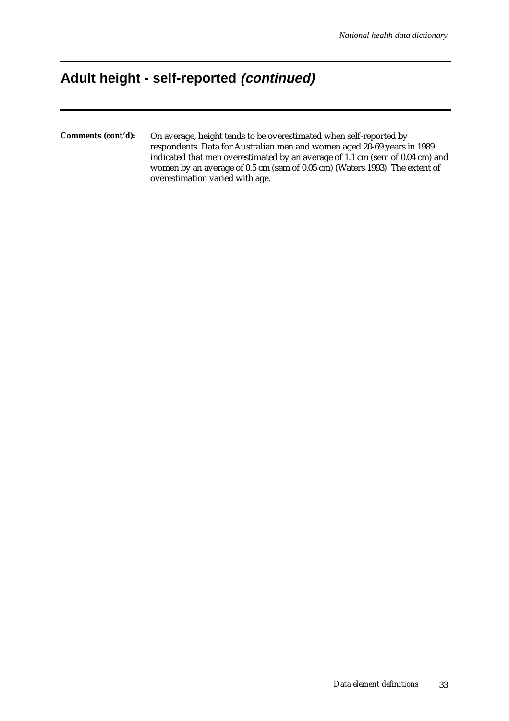## **Adult height - self-reported (continued)**

*Comments (cont'd):* On average, height tends to be overestimated when self-reported by respondents. Data for Australian men and women aged 20-69 years in 1989 indicated that men overestimated by an average of 1.1 cm (sem of 0.04 cm) and women by an average of 0.5 cm (sem of 0.05 cm) (Waters 1993). The extent of overestimation varied with age.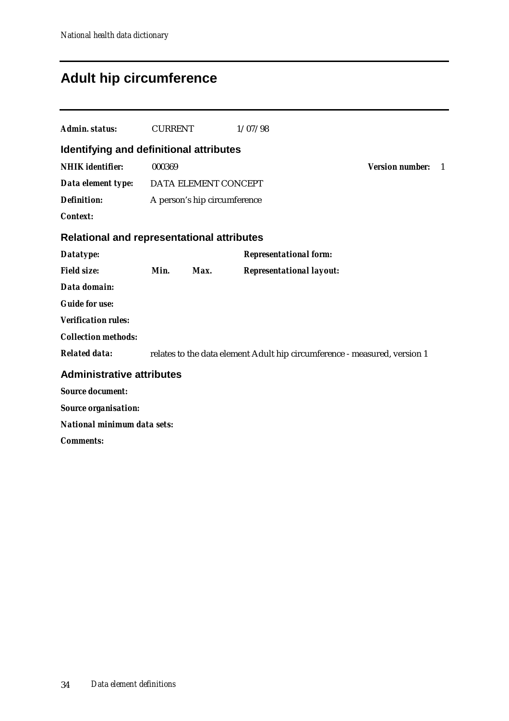# **Adult hip circumference**

| Admin. status:                                    | <b>CURRENT</b> |                              | 1/07/98                                                                   |                        |    |
|---------------------------------------------------|----------------|------------------------------|---------------------------------------------------------------------------|------------------------|----|
| Identifying and definitional attributes           |                |                              |                                                                           |                        |    |
| <b>NHIK</b> identifier:                           | 000369         |                              |                                                                           | <b>Version number:</b> | -1 |
| Data element type: DATA ELEMENT CONCEPT           |                |                              |                                                                           |                        |    |
| <b>Definition:</b>                                |                | A person's hip circumference |                                                                           |                        |    |
| <b>Context:</b>                                   |                |                              |                                                                           |                        |    |
| <b>Relational and representational attributes</b> |                |                              |                                                                           |                        |    |
| Datatype:                                         |                |                              | <b>Representational form:</b>                                             |                        |    |
| <b>Field size:</b>                                | Min.           | Max.                         | <b>Representational layout:</b>                                           |                        |    |
| Data domain:                                      |                |                              |                                                                           |                        |    |
| <b>Guide for use:</b>                             |                |                              |                                                                           |                        |    |
| <b>Verification rules:</b>                        |                |                              |                                                                           |                        |    |
| <b>Collection methods:</b>                        |                |                              |                                                                           |                        |    |
| <b>Related data:</b>                              |                |                              | relates to the data element Adult hip circumference - measured, version 1 |                        |    |
| <b>Administrative attributes</b>                  |                |                              |                                                                           |                        |    |
| <b>Source document:</b>                           |                |                              |                                                                           |                        |    |
| <b>Source organisation:</b>                       |                |                              |                                                                           |                        |    |
| National minimum data sets:                       |                |                              |                                                                           |                        |    |
| <b>Comments:</b>                                  |                |                              |                                                                           |                        |    |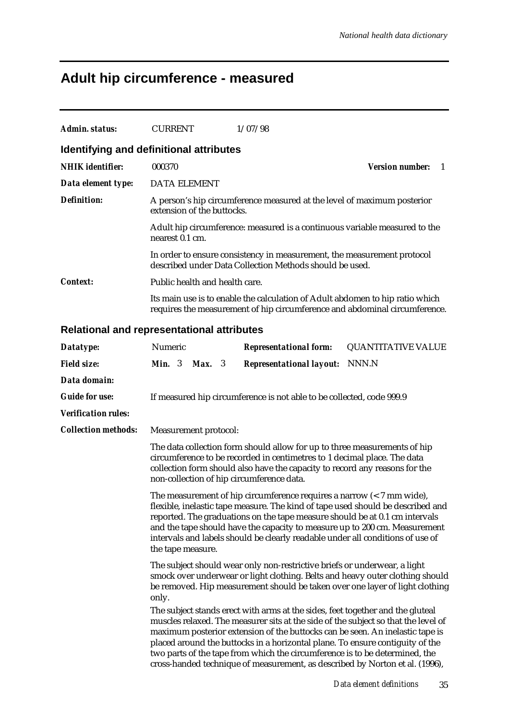# **Adult hip circumference - measured**

| Admin. status:             | <b>CURRENT</b><br>1/07/98                                                                                                                                                                                                                                                                                                                                                                                                                                                                             |
|----------------------------|-------------------------------------------------------------------------------------------------------------------------------------------------------------------------------------------------------------------------------------------------------------------------------------------------------------------------------------------------------------------------------------------------------------------------------------------------------------------------------------------------------|
|                            | <b>Identifying and definitional attributes</b>                                                                                                                                                                                                                                                                                                                                                                                                                                                        |
| <b>NHIK</b> identifier:    | 000370<br><b>Version number:</b><br>-1                                                                                                                                                                                                                                                                                                                                                                                                                                                                |
| Data element type:         | <b>DATA ELEMENT</b>                                                                                                                                                                                                                                                                                                                                                                                                                                                                                   |
| <b>Definition:</b>         | A person's hip circumference measured at the level of maximum posterior<br>extension of the buttocks.                                                                                                                                                                                                                                                                                                                                                                                                 |
|                            | Adult hip circumference: measured is a continuous variable measured to the<br>nearest 0.1 cm.                                                                                                                                                                                                                                                                                                                                                                                                         |
|                            | In order to ensure consistency in measurement, the measurement protocol<br>described under Data Collection Methods should be used.                                                                                                                                                                                                                                                                                                                                                                    |
| <b>Context:</b>            | Public health and health care.                                                                                                                                                                                                                                                                                                                                                                                                                                                                        |
|                            | Its main use is to enable the calculation of Adult abdomen to hip ratio which<br>requires the measurement of hip circumference and abdominal circumference.                                                                                                                                                                                                                                                                                                                                           |
|                            | <b>Relational and representational attributes</b>                                                                                                                                                                                                                                                                                                                                                                                                                                                     |
| Datatype:                  | Numeric<br><b>Representational form:</b><br><b>QUANTITATIVE VALUE</b>                                                                                                                                                                                                                                                                                                                                                                                                                                 |
| <b>Field size:</b>         | <b>Min.</b> $3$<br>Max. 3<br><b>Representational layout:</b><br>NNN.N                                                                                                                                                                                                                                                                                                                                                                                                                                 |
| Data domain:               |                                                                                                                                                                                                                                                                                                                                                                                                                                                                                                       |
| <b>Guide for use:</b>      | If measured hip circumference is not able to be collected, code 999.9                                                                                                                                                                                                                                                                                                                                                                                                                                 |
| <b>Verification rules:</b> |                                                                                                                                                                                                                                                                                                                                                                                                                                                                                                       |
| <b>Collection methods:</b> | Measurement protocol:                                                                                                                                                                                                                                                                                                                                                                                                                                                                                 |
|                            | The data collection form should allow for up to three measurements of hip<br>circumference to be recorded in centimetres to 1 decimal place. The data<br>collection form should also have the capacity to record any reasons for the<br>non-collection of hip circumference data.                                                                                                                                                                                                                     |
|                            | The measurement of hip circumference requires a narrow $\left($ < 7 mm wide),<br>flexible, inelastic tape measure. The kind of tape used should be described and<br>reported. The graduations on the tape measure should be at 0.1 cm intervals<br>and the tape should have the capacity to measure up to 200 cm. Measurement<br>intervals and labels should be clearly readable under all conditions of use of<br>the tape measure.                                                                  |
|                            | The subject should wear only non-restrictive briefs or underwear, a light<br>smock over underwear or light clothing. Belts and heavy outer clothing should<br>be removed. Hip measurement should be taken over one layer of light clothing<br>only.                                                                                                                                                                                                                                                   |
|                            | The subject stands erect with arms at the sides, feet together and the gluteal<br>muscles relaxed. The measurer sits at the side of the subject so that the level of<br>maximum posterior extension of the buttocks can be seen. An inelastic tape is<br>placed around the buttocks in a horizontal plane. To ensure contiguity of the<br>two parts of the tape from which the circumference is to be determined, the<br>cross-handed technique of measurement, as described by Norton et al. (1996), |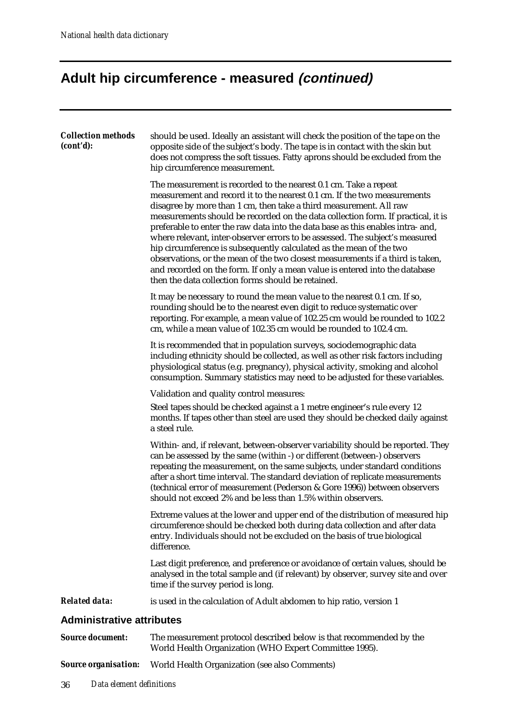# **Adult hip circumference - measured (continued)**

| <b>Collection methods</b><br>(cont'd): | should be used. Ideally an assistant will check the position of the tape on the<br>opposite side of the subject's body. The tape is in contact with the skin but<br>does not compress the soft tissues. Fatty aprons should be excluded from the<br>hip circumference measurement.                                                                                                                                                                                                                                                                                                                                                                                                                                                                                      |
|----------------------------------------|-------------------------------------------------------------------------------------------------------------------------------------------------------------------------------------------------------------------------------------------------------------------------------------------------------------------------------------------------------------------------------------------------------------------------------------------------------------------------------------------------------------------------------------------------------------------------------------------------------------------------------------------------------------------------------------------------------------------------------------------------------------------------|
|                                        | The measurement is recorded to the nearest 0.1 cm. Take a repeat<br>measurement and record it to the nearest 0.1 cm. If the two measurements<br>disagree by more than 1 cm, then take a third measurement. All raw<br>measurements should be recorded on the data collection form. If practical, it is<br>preferable to enter the raw data into the data base as this enables intra- and,<br>where relevant, inter-observer errors to be assessed. The subject's measured<br>hip circumference is subsequently calculated as the mean of the two<br>observations, or the mean of the two closest measurements if a third is taken,<br>and recorded on the form. If only a mean value is entered into the database<br>then the data collection forms should be retained. |
|                                        | It may be necessary to round the mean value to the nearest 0.1 cm. If so,<br>rounding should be to the nearest even digit to reduce systematic over<br>reporting. For example, a mean value of 102.25 cm would be rounded to 102.2<br>cm, while a mean value of 102.35 cm would be rounded to 102.4 cm.                                                                                                                                                                                                                                                                                                                                                                                                                                                                 |
|                                        | It is recommended that in population surveys, sociodemographic data<br>including ethnicity should be collected, as well as other risk factors including<br>physiological status (e.g. pregnancy), physical activity, smoking and alcohol<br>consumption. Summary statistics may need to be adjusted for these variables.                                                                                                                                                                                                                                                                                                                                                                                                                                                |
|                                        | Validation and quality control measures:<br>Steel tapes should be checked against a 1 metre engineer's rule every 12<br>months. If tapes other than steel are used they should be checked daily against<br>a steel rule.                                                                                                                                                                                                                                                                                                                                                                                                                                                                                                                                                |
|                                        | Within- and, if relevant, between-observer variability should be reported. They<br>can be assessed by the same (within -) or different (between-) observers<br>repeating the measurement, on the same subjects, under standard conditions<br>after a short time interval. The standard deviation of replicate measurements<br>(technical error of measurement (Pederson & Gore 1996)) between observers<br>should not exceed 2% and be less than 1.5% within observers.                                                                                                                                                                                                                                                                                                 |
|                                        | Extreme values at the lower and upper end of the distribution of measured hip<br>circumference should be checked both during data collection and after data<br>entry. Individuals should not be excluded on the basis of true biological<br>difference.                                                                                                                                                                                                                                                                                                                                                                                                                                                                                                                 |
|                                        | Last digit preference, and preference or avoidance of certain values, should be<br>analysed in the total sample and (if relevant) by observer, survey site and over<br>time if the survey period is long.                                                                                                                                                                                                                                                                                                                                                                                                                                                                                                                                                               |
| <b>Related data:</b>                   | is used in the calculation of Adult abdomen to hip ratio, version 1                                                                                                                                                                                                                                                                                                                                                                                                                                                                                                                                                                                                                                                                                                     |
| <b>Administrative attributes</b>       |                                                                                                                                                                                                                                                                                                                                                                                                                                                                                                                                                                                                                                                                                                                                                                         |
| <b>Source document:</b>                | The measurement protocol described below is that recommended by the<br>World Health Organization (WHO Expert Committee 1995).                                                                                                                                                                                                                                                                                                                                                                                                                                                                                                                                                                                                                                           |

*Source organisation:* World Health Organization (see also Comments)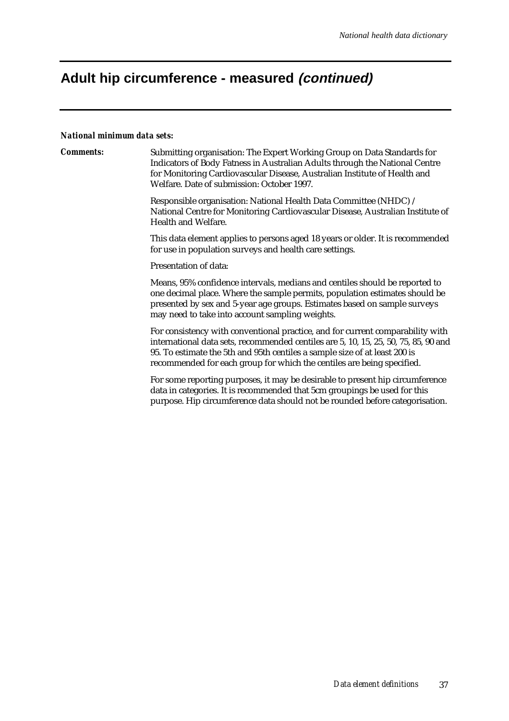# **Adult hip circumference - measured (continued)**

#### *National minimum data sets:*

| <b>Comments:</b> | Submitting organisation: The Expert Working Group on Data Standards for<br>Indicators of Body Fatness in Australian Adults through the National Centre<br>for Monitoring Cardiovascular Disease, Australian Institute of Health and<br>Welfare. Date of submission: October 1997.                                             |  |  |  |  |  |
|------------------|-------------------------------------------------------------------------------------------------------------------------------------------------------------------------------------------------------------------------------------------------------------------------------------------------------------------------------|--|--|--|--|--|
|                  | Responsible organisation: National Health Data Committee (NHDC) /<br>National Centre for Monitoring Cardiovascular Disease, Australian Institute of<br>Health and Welfare.                                                                                                                                                    |  |  |  |  |  |
|                  | This data element applies to persons aged 18 years or older. It is recommended<br>for use in population surveys and health care settings.                                                                                                                                                                                     |  |  |  |  |  |
|                  | Presentation of data:                                                                                                                                                                                                                                                                                                         |  |  |  |  |  |
|                  | Means, 95% confidence intervals, medians and centiles should be reported to<br>one decimal place. Where the sample permits, population estimates should be<br>presented by sex and 5-year age groups. Estimates based on sample surveys<br>may need to take into account sampling weights.                                    |  |  |  |  |  |
|                  | For consistency with conventional practice, and for current comparability with<br>international data sets, recommended centiles are 5, 10, 15, 25, 50, 75, 85, 90 and<br>95. To estimate the 5th and 95th centiles a sample size of at least 200 is<br>recommended for each group for which the centiles are being specified. |  |  |  |  |  |
|                  | For some reporting purposes, it may be desirable to present hip circumference<br>data in categories. It is recommended that 5cm groupings be used for this<br>purpose. Hip circumference data should not be rounded before categorisation.                                                                                    |  |  |  |  |  |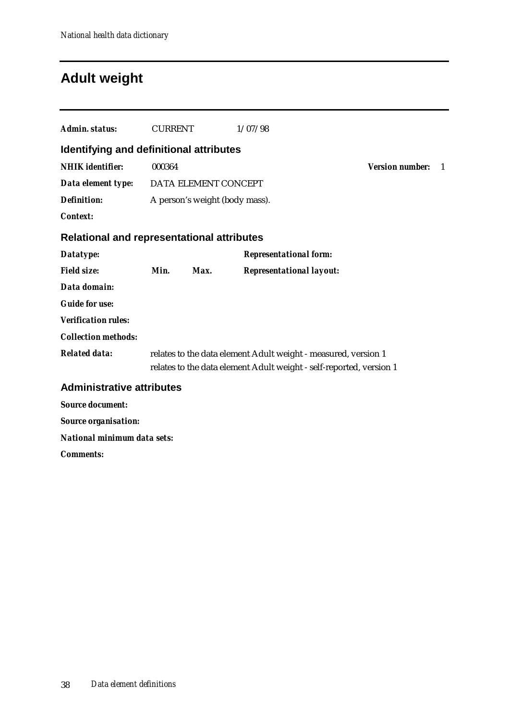## **Adult weight**

| Admin. status:                                    | <b>CURRENT</b> |                                | 1/07/98                                                                                                                               |                        |    |
|---------------------------------------------------|----------------|--------------------------------|---------------------------------------------------------------------------------------------------------------------------------------|------------------------|----|
| <b>Identifying and definitional attributes</b>    |                |                                |                                                                                                                                       |                        |    |
| <b>NHIK</b> identifier:                           | 000364         |                                |                                                                                                                                       | <b>Version number:</b> | -1 |
| Data element type:                                |                | DATA ELEMENT CONCEPT           |                                                                                                                                       |                        |    |
| <b>Definition:</b>                                |                | A person's weight (body mass). |                                                                                                                                       |                        |    |
| <b>Context:</b>                                   |                |                                |                                                                                                                                       |                        |    |
| <b>Relational and representational attributes</b> |                |                                |                                                                                                                                       |                        |    |
| Datatype:                                         |                |                                | <b>Representational form:</b>                                                                                                         |                        |    |
| <b>Field size:</b>                                | Min.           | Max.                           | <b>Representational layout:</b>                                                                                                       |                        |    |
| Data domain:                                      |                |                                |                                                                                                                                       |                        |    |
| <b>Guide for use:</b>                             |                |                                |                                                                                                                                       |                        |    |
| <b>Verification rules:</b>                        |                |                                |                                                                                                                                       |                        |    |
| <b>Collection methods:</b>                        |                |                                |                                                                                                                                       |                        |    |
| <b>Related data:</b>                              |                |                                | relates to the data element Adult weight - measured, version 1<br>relates to the data element Adult weight - self-reported, version 1 |                        |    |
| <b>Administrative attributes</b>                  |                |                                |                                                                                                                                       |                        |    |
| <b>Source document:</b>                           |                |                                |                                                                                                                                       |                        |    |
| <b>Source organisation:</b>                       |                |                                |                                                                                                                                       |                        |    |
| <b>National minimum data sets:</b>                |                |                                |                                                                                                                                       |                        |    |
| <b>Comments:</b>                                  |                |                                |                                                                                                                                       |                        |    |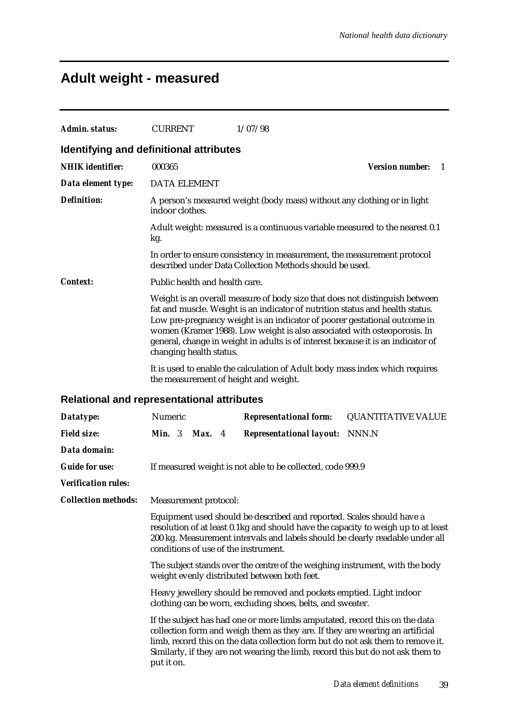# **Adult weight - measured**

| Admin. status:             | <b>CURRENT</b><br>1/07/98                                                                                                                                                                                                                                                                                                                                                                                                            |  |  |  |  |  |  |  |
|----------------------------|--------------------------------------------------------------------------------------------------------------------------------------------------------------------------------------------------------------------------------------------------------------------------------------------------------------------------------------------------------------------------------------------------------------------------------------|--|--|--|--|--|--|--|
|                            | Identifying and definitional attributes                                                                                                                                                                                                                                                                                                                                                                                              |  |  |  |  |  |  |  |
| <b>NHIK</b> identifier:    | <b>Version number:</b><br>000365<br>-1                                                                                                                                                                                                                                                                                                                                                                                               |  |  |  |  |  |  |  |
| Data element type:         | <b>DATA ELEMENT</b>                                                                                                                                                                                                                                                                                                                                                                                                                  |  |  |  |  |  |  |  |
| <b>Definition:</b>         | A person's measured weight (body mass) without any clothing or in light<br>indoor clothes.                                                                                                                                                                                                                                                                                                                                           |  |  |  |  |  |  |  |
|                            | Adult weight: measured is a continuous variable measured to the nearest 0.1<br>kg.                                                                                                                                                                                                                                                                                                                                                   |  |  |  |  |  |  |  |
|                            | In order to ensure consistency in measurement, the measurement protocol<br>described under Data Collection Methods should be used.                                                                                                                                                                                                                                                                                                   |  |  |  |  |  |  |  |
| <b>Context:</b>            | Public health and health care.                                                                                                                                                                                                                                                                                                                                                                                                       |  |  |  |  |  |  |  |
|                            | Weight is an overall measure of body size that does not distinguish between<br>fat and muscle. Weight is an indicator of nutrition status and health status.<br>Low pre-pregnancy weight is an indicator of poorer gestational outcome in<br>women (Kramer 1988). Low weight is also associated with osteoporosis. In<br>general, change in weight in adults is of interest because it is an indicator of<br>changing health status. |  |  |  |  |  |  |  |
|                            | It is used to enable the calculation of Adult body mass index which requires<br>the measurement of height and weight.                                                                                                                                                                                                                                                                                                                |  |  |  |  |  |  |  |
|                            | Relational and representational attributes                                                                                                                                                                                                                                                                                                                                                                                           |  |  |  |  |  |  |  |
| Datatype:                  | Numeric<br><b>Representational form:</b><br><b>QUANTITATIVE VALUE</b>                                                                                                                                                                                                                                                                                                                                                                |  |  |  |  |  |  |  |
| <b>Field size:</b>         | <b>Min.</b> $3$<br>Max. 4<br><b>Representational layout:</b><br>NNN.N                                                                                                                                                                                                                                                                                                                                                                |  |  |  |  |  |  |  |
| Data domain:               |                                                                                                                                                                                                                                                                                                                                                                                                                                      |  |  |  |  |  |  |  |
| <b>Guide for use:</b>      | If measured weight is not able to be collected, code 999.9                                                                                                                                                                                                                                                                                                                                                                           |  |  |  |  |  |  |  |
| <b>Verification rules:</b> |                                                                                                                                                                                                                                                                                                                                                                                                                                      |  |  |  |  |  |  |  |
| <b>Collection methods:</b> | Measurement protocol:                                                                                                                                                                                                                                                                                                                                                                                                                |  |  |  |  |  |  |  |
|                            | Equipment used should be described and reported. Scales should have a<br>resolution of at least 0.1kg and should have the capacity to weigh up to at least<br>200 kg. Measurement intervals and labels should be clearly readable under all<br>conditions of use of the instrument.                                                                                                                                                  |  |  |  |  |  |  |  |
|                            | The subject stands over the centre of the weighing instrument, with the body<br>weight evenly distributed between both feet.                                                                                                                                                                                                                                                                                                         |  |  |  |  |  |  |  |
|                            | Heavy jewellery should be removed and pockets emptied. Light indoor<br>clothing can be worn, excluding shoes, belts, and sweater.                                                                                                                                                                                                                                                                                                    |  |  |  |  |  |  |  |
|                            | If the subject has had one or more limbs amputated, record this on the data<br>collection form and weigh them as they are. If they are wearing an artificial<br>limb, record this on the data collection form but do not ask them to remove it.<br>Similarly, if they are not wearing the limb, record this but do not ask them to<br>put it on.                                                                                     |  |  |  |  |  |  |  |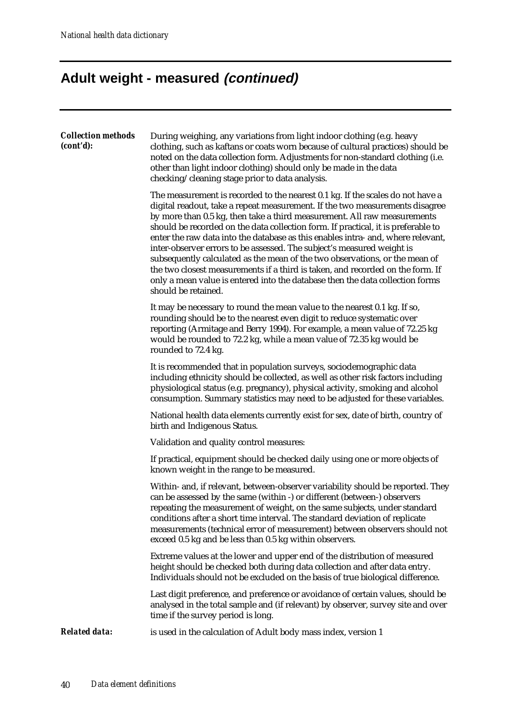# **Adult weight - measured (continued)**

| <b>Collection methods</b><br>(cont'd): | During weighing, any variations from light indoor clothing (e.g. heavy<br>clothing, such as kaftans or coats worn because of cultural practices) should be<br>noted on the data collection form. Adjustments for non-standard clothing (i.e.<br>other than light indoor clothing) should only be made in the data<br>checking/cleaning stage prior to data analysis.                                                                                                                                                                                                                                                                                                                                                                                                   |
|----------------------------------------|------------------------------------------------------------------------------------------------------------------------------------------------------------------------------------------------------------------------------------------------------------------------------------------------------------------------------------------------------------------------------------------------------------------------------------------------------------------------------------------------------------------------------------------------------------------------------------------------------------------------------------------------------------------------------------------------------------------------------------------------------------------------|
|                                        | The measurement is recorded to the nearest 0.1 kg. If the scales do not have a<br>digital readout, take a repeat measurement. If the two measurements disagree<br>by more than 0.5 kg, then take a third measurement. All raw measurements<br>should be recorded on the data collection form. If practical, it is preferable to<br>enter the raw data into the database as this enables intra- and, where relevant,<br>inter-observer errors to be assessed. The subject's measured weight is<br>subsequently calculated as the mean of the two observations, or the mean of<br>the two closest measurements if a third is taken, and recorded on the form. If<br>only a mean value is entered into the database then the data collection forms<br>should be retained. |
|                                        | It may be necessary to round the mean value to the nearest 0.1 kg. If so,<br>rounding should be to the nearest even digit to reduce systematic over<br>reporting (Armitage and Berry 1994). For example, a mean value of 72.25 kg<br>would be rounded to 72.2 kg, while a mean value of 72.35 kg would be<br>rounded to 72.4 kg.                                                                                                                                                                                                                                                                                                                                                                                                                                       |
|                                        | It is recommended that in population surveys, sociodemographic data<br>including ethnicity should be collected, as well as other risk factors including<br>physiological status (e.g. pregnancy), physical activity, smoking and alcohol<br>consumption. Summary statistics may need to be adjusted for these variables.                                                                                                                                                                                                                                                                                                                                                                                                                                               |
|                                        | National health data elements currently exist for sex, date of birth, country of<br>birth and Indigenous Status.                                                                                                                                                                                                                                                                                                                                                                                                                                                                                                                                                                                                                                                       |
|                                        | Validation and quality control measures:                                                                                                                                                                                                                                                                                                                                                                                                                                                                                                                                                                                                                                                                                                                               |
|                                        | If practical, equipment should be checked daily using one or more objects of<br>known weight in the range to be measured.                                                                                                                                                                                                                                                                                                                                                                                                                                                                                                                                                                                                                                              |
|                                        | Within- and, if relevant, between-observer variability should be reported. They<br>can be assessed by the same (within -) or different (between-) observers<br>repeating the measurement of weight, on the same subjects, under standard<br>conditions after a short time interval. The standard deviation of replicate<br>measurements (technical error of measurement) between observers should not<br>exceed 0.5 kg and be less than 0.5 kg within observers.                                                                                                                                                                                                                                                                                                       |
|                                        | Extreme values at the lower and upper end of the distribution of measured<br>height should be checked both during data collection and after data entry.<br>Individuals should not be excluded on the basis of true biological difference.                                                                                                                                                                                                                                                                                                                                                                                                                                                                                                                              |
|                                        | Last digit preference, and preference or avoidance of certain values, should be<br>analysed in the total sample and (if relevant) by observer, survey site and over<br>time if the survey period is long.                                                                                                                                                                                                                                                                                                                                                                                                                                                                                                                                                              |
| <b>Related data:</b>                   | is used in the calculation of Adult body mass index, version 1                                                                                                                                                                                                                                                                                                                                                                                                                                                                                                                                                                                                                                                                                                         |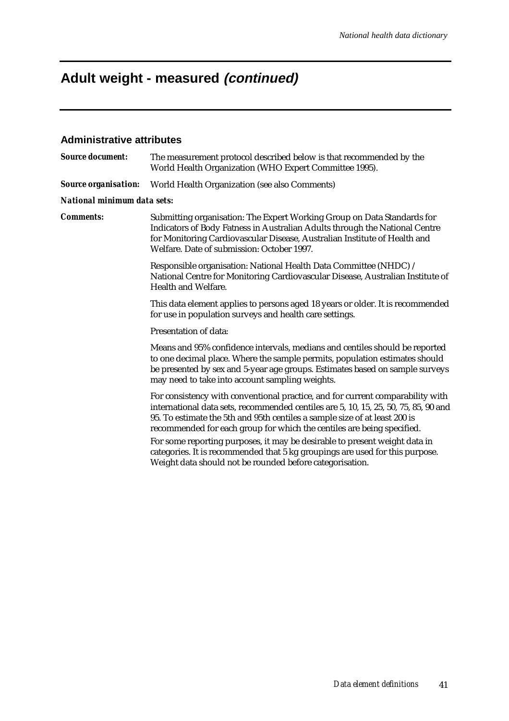### **Adult weight - measured (continued)**

#### **Administrative attributes**

*Source document:* The measurement protocol described below is that recommended by the World Health Organization (WHO Expert Committee 1995). *Source organisation:* World Health Organization (see also Comments) *National minimum data sets: Comments:* Submitting organisation: The Expert Working Group on Data Standards for Indicators of Body Fatness in Australian Adults through the National Centre for Monitoring Cardiovascular Disease, Australian Institute of Health and Welfare. Date of submission: October 1997. Responsible organisation: National Health Data Committee (NHDC) / National Centre for Monitoring Cardiovascular Disease, Australian Institute of Health and Welfare. This data element applies to persons aged 18 years or older. It is recommended for use in population surveys and health care settings. Presentation of data: Means and 95% confidence intervals, medians and centiles should be reported to one decimal place. Where the sample permits, population estimates should be presented by sex and 5-year age groups. Estimates based on sample surveys may need to take into account sampling weights. For consistency with conventional practice, and for current comparability with international data sets, recommended centiles are 5, 10, 15, 25, 50, 75, 85, 90 and 95. To estimate the 5th and 95th centiles a sample size of at least 200 is recommended for each group for which the centiles are being specified. For some reporting purposes, it may be desirable to present weight data in categories. It is recommended that 5 kg groupings are used for this purpose. Weight data should not be rounded before categorisation.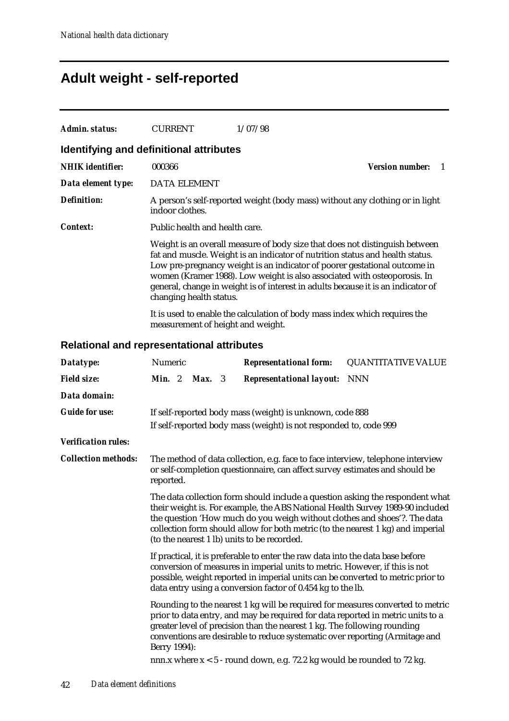## **Adult weight - self-reported**

| Admin. status:          | <b>CURRENT</b>                          | 1/07/98                                                                                                                                                                                                                                                                                                                                                                                                   |                              |
|-------------------------|-----------------------------------------|-----------------------------------------------------------------------------------------------------------------------------------------------------------------------------------------------------------------------------------------------------------------------------------------------------------------------------------------------------------------------------------------------------------|------------------------------|
|                         | Identifying and definitional attributes |                                                                                                                                                                                                                                                                                                                                                                                                           |                              |
| <b>NHIK</b> identifier: | 000366                                  |                                                                                                                                                                                                                                                                                                                                                                                                           | <b>Version number:</b><br>-1 |
| Data element type:      | DATA ELEMENT                            |                                                                                                                                                                                                                                                                                                                                                                                                           |                              |
| <b>Definition:</b>      | indoor clothes.                         | A person's self-reported weight (body mass) without any clothing or in light                                                                                                                                                                                                                                                                                                                              |                              |
| Context:                | Public health and health care.          |                                                                                                                                                                                                                                                                                                                                                                                                           |                              |
|                         | changing health status.                 | Weight is an overall measure of body size that does not distinguish between<br>fat and muscle. Weight is an indicator of nutrition status and health status.<br>Low pre-pregnancy weight is an indicator of poorer gestational outcome in<br>women (Kramer 1988). Low weight is also associated with osteoporosis. In<br>general, change in weight is of interest in adults because it is an indicator of |                              |
|                         | measurement of height and weight.       | It is used to enable the calculation of body mass index which requires the                                                                                                                                                                                                                                                                                                                                |                              |

#### **Relational and representational attributes**

| Datatype:                  | Numeric                                                                                                                                                                                                                                                                                                                                                                       |                                                                                                                                                                                                                                                                                                                 |        |  | <b>Representational form:</b>                                                                                                                                                                                                              | <b>QUANTITATIVE VALUE</b>                                                      |  |
|----------------------------|-------------------------------------------------------------------------------------------------------------------------------------------------------------------------------------------------------------------------------------------------------------------------------------------------------------------------------------------------------------------------------|-----------------------------------------------------------------------------------------------------------------------------------------------------------------------------------------------------------------------------------------------------------------------------------------------------------------|--------|--|--------------------------------------------------------------------------------------------------------------------------------------------------------------------------------------------------------------------------------------------|--------------------------------------------------------------------------------|--|
| <b>Field size:</b>         | Min. 2                                                                                                                                                                                                                                                                                                                                                                        |                                                                                                                                                                                                                                                                                                                 | Max. 3 |  | <b>Representational layout:</b>                                                                                                                                                                                                            | <b>NNN</b>                                                                     |  |
| Data domain:               |                                                                                                                                                                                                                                                                                                                                                                               |                                                                                                                                                                                                                                                                                                                 |        |  |                                                                                                                                                                                                                                            |                                                                                |  |
| <b>Guide for use:</b>      |                                                                                                                                                                                                                                                                                                                                                                               |                                                                                                                                                                                                                                                                                                                 |        |  | If self-reported body mass (weight) is unknown, code 888<br>If self-reported body mass (weight) is not responded to, code 999                                                                                                              |                                                                                |  |
| <b>Verification rules:</b> |                                                                                                                                                                                                                                                                                                                                                                               |                                                                                                                                                                                                                                                                                                                 |        |  |                                                                                                                                                                                                                                            |                                                                                |  |
| <b>Collection methods:</b> | The method of data collection, e.g. face to face interview, telephone interview<br>or self-completion questionnaire, can affect survey estimates and should be<br>reported.                                                                                                                                                                                                   |                                                                                                                                                                                                                                                                                                                 |        |  |                                                                                                                                                                                                                                            |                                                                                |  |
|                            | The data collection form should include a question asking the respondent what<br>their weight is. For example, the ABS National Health Survey 1989-90 included<br>the question 'How much do you weigh without clothes and shoes'?. The data<br>collection form should allow for both metric (to the nearest 1 kg) and imperial<br>(to the nearest 1 lb) units to be recorded. |                                                                                                                                                                                                                                                                                                                 |        |  |                                                                                                                                                                                                                                            |                                                                                |  |
|                            |                                                                                                                                                                                                                                                                                                                                                                               | If practical, it is preferable to enter the raw data into the data base before<br>conversion of measures in imperial units to metric. However, if this is not<br>possible, weight reported in imperial units can be converted to metric prior to<br>data entry using a conversion factor of 0.454 kg to the lb. |        |  |                                                                                                                                                                                                                                            |                                                                                |  |
|                            | Berry 1994):                                                                                                                                                                                                                                                                                                                                                                  |                                                                                                                                                                                                                                                                                                                 |        |  | prior to data entry, and may be required for data reported in metric units to a<br>greater level of precision than the nearest 1 kg. The following rounding<br>conventions are desirable to reduce systematic over reporting (Armitage and | Rounding to the nearest 1 kg will be required for measures converted to metric |  |
|                            |                                                                                                                                                                                                                                                                                                                                                                               |                                                                                                                                                                                                                                                                                                                 |        |  | nnn.x where x < 5 - round down, e.g. 72.2 kg would be rounded to 72 kg.                                                                                                                                                                    |                                                                                |  |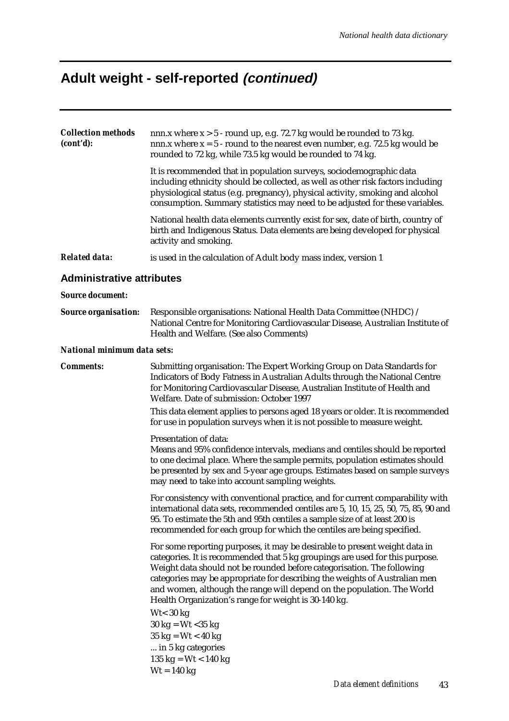# **Adult weight - self-reported (continued)**

| <b>Collection methods</b><br>(cont'd): | nnn.x where $x > 5$ - round up, e.g. 72.7 kg would be rounded to 73 kg.<br>nnn.x where $x = 5$ - round to the nearest even number, e.g. 72.5 kg would be<br>rounded to 72 kg, while 73.5 kg would be rounded to 74 kg.                                                                                                                                                                                                                               |  |  |  |  |  |
|----------------------------------------|------------------------------------------------------------------------------------------------------------------------------------------------------------------------------------------------------------------------------------------------------------------------------------------------------------------------------------------------------------------------------------------------------------------------------------------------------|--|--|--|--|--|
|                                        | It is recommended that in population surveys, sociodemographic data<br>including ethnicity should be collected, as well as other risk factors including<br>physiological status (e.g. pregnancy), physical activity, smoking and alcohol<br>consumption. Summary statistics may need to be adjusted for these variables.                                                                                                                             |  |  |  |  |  |
|                                        | National health data elements currently exist for sex, date of birth, country of<br>birth and Indigenous Status. Data elements are being developed for physical<br>activity and smoking.                                                                                                                                                                                                                                                             |  |  |  |  |  |
| <b>Related data:</b>                   | is used in the calculation of Adult body mass index, version 1                                                                                                                                                                                                                                                                                                                                                                                       |  |  |  |  |  |
| <b>Administrative attributes</b>       |                                                                                                                                                                                                                                                                                                                                                                                                                                                      |  |  |  |  |  |
| <b>Source document:</b>                |                                                                                                                                                                                                                                                                                                                                                                                                                                                      |  |  |  |  |  |
| <b>Source organisation:</b>            | Responsible organisations: National Health Data Committee (NHDC) /<br>National Centre for Monitoring Cardiovascular Disease, Australian Institute of<br>Health and Welfare. (See also Comments)                                                                                                                                                                                                                                                      |  |  |  |  |  |
| National minimum data sets:            |                                                                                                                                                                                                                                                                                                                                                                                                                                                      |  |  |  |  |  |
| <b>Comments:</b>                       | Submitting organisation: The Expert Working Group on Data Standards for<br>Indicators of Body Fatness in Australian Adults through the National Centre<br>for Monitoring Cardiovascular Disease, Australian Institute of Health and<br>Welfare. Date of submission: October 1997                                                                                                                                                                     |  |  |  |  |  |
|                                        | This data element applies to persons aged 18 years or older. It is recommended<br>for use in population surveys when it is not possible to measure weight.                                                                                                                                                                                                                                                                                           |  |  |  |  |  |
|                                        | Presentation of data:<br>Means and 95% confidence intervals, medians and centiles should be reported<br>to one decimal place. Where the sample permits, population estimates should<br>be presented by sex and 5-year age groups. Estimates based on sample surveys<br>may need to take into account sampling weights.                                                                                                                               |  |  |  |  |  |
|                                        | For consistency with conventional practice, and for current comparability with<br>international data sets, recommended centiles are 5, 10, 15, 25, 50, 75, 85, 90 and<br>95. To estimate the 5th and 95th centiles a sample size of at least 200 is<br>recommended for each group for which the centiles are being specified.                                                                                                                        |  |  |  |  |  |
|                                        | For some reporting purposes, it may be desirable to present weight data in<br>categories. It is recommended that 5 kg groupings are used for this purpose.<br>Weight data should not be rounded before categorisation. The following<br>categories may be appropriate for describing the weights of Australian men<br>and women, although the range will depend on the population. The World<br>Health Organization's range for weight is 30-140 kg. |  |  |  |  |  |
|                                        | $Wt < 30$ kg<br>$30 \text{ kg} = \text{Wt} < 35 \text{ kg}$<br>$35 \text{ kg} = \text{Wt} < 40 \text{ kg}$<br>in 5 kg categories<br>135 kg = $Wt < 140$ kg<br>$Wt = 140$ kg                                                                                                                                                                                                                                                                          |  |  |  |  |  |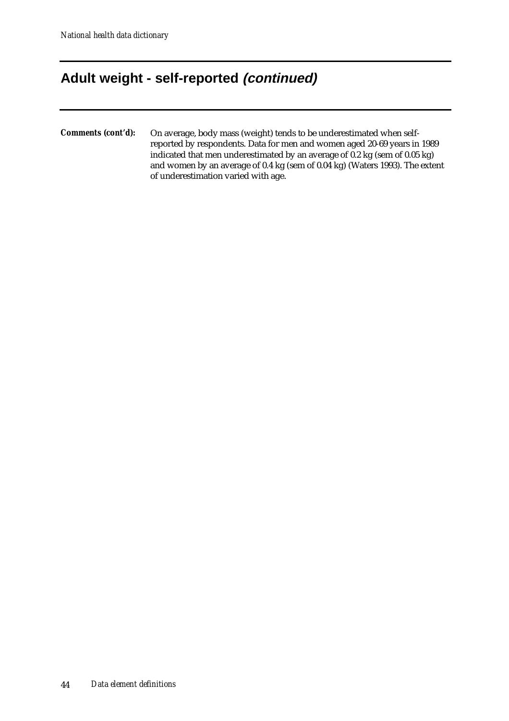### **Adult weight - self-reported (continued)**

*Comments (cont'd):* On average, body mass (weight) tends to be underestimated when selfreported by respondents. Data for men and women aged 20-69 years in 1989 indicated that men underestimated by an average of 0.2 kg (sem of 0.05 kg) and women by an average of 0.4 kg (sem of 0.04 kg) (Waters 1993). The extent of underestimation varied with age.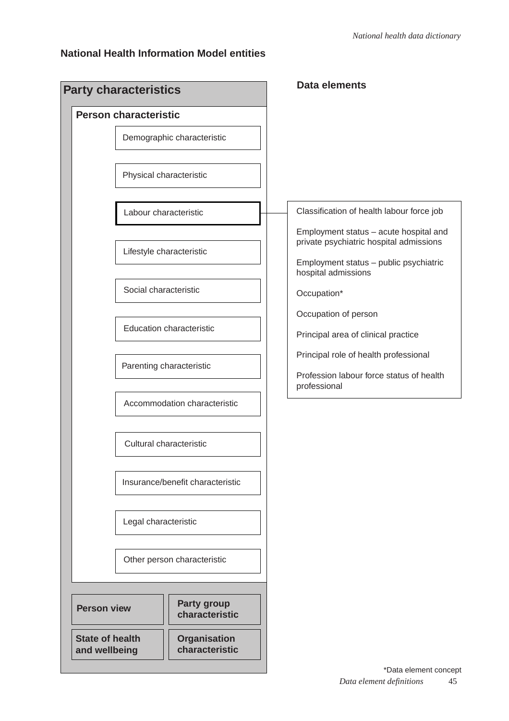#### **National Health Information Model entities**

| <b>Party characteristics</b><br><b>Person characteristic</b> |                                       |                                                                                   |
|--------------------------------------------------------------|---------------------------------------|-----------------------------------------------------------------------------------|
|                                                              | Demographic characteristic            |                                                                                   |
|                                                              | Physical characteristic               |                                                                                   |
|                                                              | Labour characteristic                 | Classification of health labour force job                                         |
|                                                              | Lifestyle characteristic              | Employment status - acute hospital and<br>private psychiatric hospital admissions |
|                                                              |                                       | Employment status - public psychiatric<br>hospital admissions                     |
|                                                              | Social characteristic                 | Occupation*                                                                       |
|                                                              | <b>Education characteristic</b>       | Occupation of person<br>Principal area of clinical practice                       |
|                                                              |                                       | Principal role of health professional                                             |
|                                                              | Parenting characteristic              | Profession labour force status of health<br>professional                          |
|                                                              | Accommodation characteristic          |                                                                                   |
|                                                              | Cultural characteristic               |                                                                                   |
|                                                              | Insurance/benefit characteristic      |                                                                                   |
| Legal characteristic                                         |                                       |                                                                                   |
|                                                              | Other person characteristic           |                                                                                   |
| <b>Person view</b>                                           | <b>Party group</b><br>characteristic  |                                                                                   |
| <b>State of health</b><br>and wellbeing                      | <b>Organisation</b><br>characteristic |                                                                                   |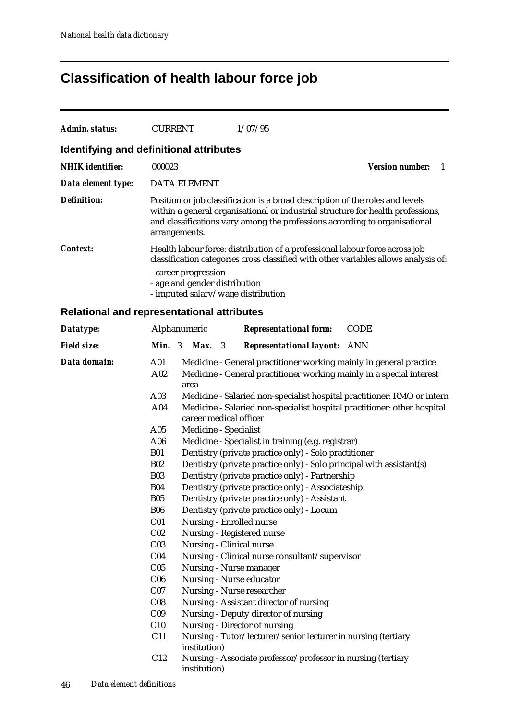# **Classification of health labour force job**

| Admin. status:                                    | <b>CURRENT</b>           |                                                       |    | 1/07/95                                                                                        |                                                                                                                                                                                                                                                |
|---------------------------------------------------|--------------------------|-------------------------------------------------------|----|------------------------------------------------------------------------------------------------|------------------------------------------------------------------------------------------------------------------------------------------------------------------------------------------------------------------------------------------------|
| Identifying and definitional attributes           |                          |                                                       |    |                                                                                                |                                                                                                                                                                                                                                                |
| <b>NHIK identifier:</b>                           | 000023                   |                                                       |    |                                                                                                | <b>Version number:</b><br>-1                                                                                                                                                                                                                   |
| Data element type:                                |                          | <b>DATA ELEMENT</b>                                   |    |                                                                                                |                                                                                                                                                                                                                                                |
| Definition:                                       |                          | arrangements.                                         |    |                                                                                                | Position or job classification is a broad description of the roles and levels<br>within a general organisational or industrial structure for health professions,<br>and classifications vary among the professions according to organisational |
| <b>Context:</b>                                   |                          | - career progression<br>- age and gender distribution |    | - imputed salary/wage distribution                                                             | Health labour force: distribution of a professional labour force across job<br>classification categories cross classified with other variables allows analysis of:                                                                             |
| <b>Relational and representational attributes</b> |                          |                                                       |    |                                                                                                |                                                                                                                                                                                                                                                |
| Datatype:                                         |                          | Alphanumeric                                          |    | <b>Representational form:</b>                                                                  | <b>CODE</b>                                                                                                                                                                                                                                    |
| <b>Field size:</b>                                | <b>Min.</b> $3$          | Max.                                                  | -3 | <b>Representational layout:</b> ANN                                                            |                                                                                                                                                                                                                                                |
| Data domain:                                      | A <sub>01</sub><br>A02   | area                                                  |    |                                                                                                | Medicine - General practitioner working mainly in general practice<br>Medicine - General practitioner working mainly in a special interest                                                                                                     |
|                                                   | A03<br>A04               | career medical officer                                |    |                                                                                                | Medicine - Salaried non-specialist hospital practitioner: RMO or intern<br>Medicine - Salaried non-specialist hospital practitioner: other hospital                                                                                            |
|                                                   | A05                      | Medicine - Specialist                                 |    |                                                                                                |                                                                                                                                                                                                                                                |
|                                                   | A06                      |                                                       |    | Medicine - Specialist in training (e.g. registrar)                                             |                                                                                                                                                                                                                                                |
|                                                   | <b>B01</b><br><b>B02</b> |                                                       |    | Dentistry (private practice only) - Solo practitioner                                          | Dentistry (private practice only) - Solo principal with assistant(s)                                                                                                                                                                           |
|                                                   | <b>B03</b>               |                                                       |    | Dentistry (private practice only) - Partnership                                                |                                                                                                                                                                                                                                                |
|                                                   | <b>B04</b>               |                                                       |    | Dentistry (private practice only) - Associateship                                              |                                                                                                                                                                                                                                                |
|                                                   | <b>B05</b>               |                                                       |    | Dentistry (private practice only) - Assistant                                                  |                                                                                                                                                                                                                                                |
|                                                   | <b>B06</b>               |                                                       |    | Dentistry (private practice only) - Locum                                                      |                                                                                                                                                                                                                                                |
|                                                   | C <sub>01</sub>          |                                                       |    | Nursing - Enrolled nurse                                                                       |                                                                                                                                                                                                                                                |
|                                                   | C <sub>02</sub>          |                                                       |    | Nursing - Registered nurse                                                                     |                                                                                                                                                                                                                                                |
|                                                   | C <sub>03</sub>          |                                                       |    | Nursing - Clinical nurse                                                                       |                                                                                                                                                                                                                                                |
|                                                   | C <sub>04</sub>          |                                                       |    | Nursing - Clinical nurse consultant/supervisor                                                 |                                                                                                                                                                                                                                                |
|                                                   | C <sub>05</sub>          |                                                       |    | Nursing - Nurse manager                                                                        |                                                                                                                                                                                                                                                |
|                                                   | C <sub>06</sub>          |                                                       |    | Nursing - Nurse educator                                                                       |                                                                                                                                                                                                                                                |
|                                                   | C <sub>07</sub>          |                                                       |    | Nursing - Nurse researcher                                                                     |                                                                                                                                                                                                                                                |
|                                                   | C <sub>08</sub>          |                                                       |    | Nursing - Assistant director of nursing                                                        |                                                                                                                                                                                                                                                |
|                                                   | C <sub>09</sub>          |                                                       |    | Nursing - Deputy director of nursing                                                           |                                                                                                                                                                                                                                                |
|                                                   | C10<br>C11               | institution)                                          |    | Nursing - Director of nursing<br>Nursing - Tutor/lecturer/senior lecturer in nursing (tertiary |                                                                                                                                                                                                                                                |
|                                                   | C12                      | institution)                                          |    | Nursing - Associate professor/professor in nursing (tertiary                                   |                                                                                                                                                                                                                                                |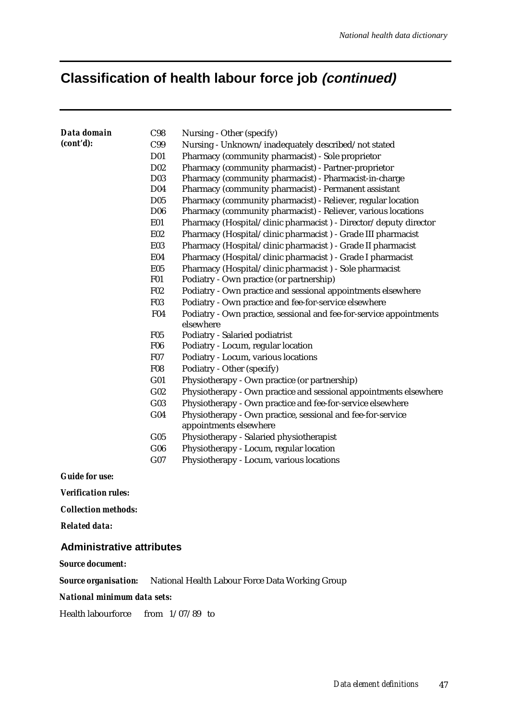### **Classification of health labour force job (continued)**

| Data domain | C98              | Nursing - Other (specify)                                           |
|-------------|------------------|---------------------------------------------------------------------|
| (cont'd):   | C99              | Nursing - Unknown/inadequately described/not stated                 |
|             | D <sub>01</sub>  | Pharmacy (community pharmacist) - Sole proprietor                   |
|             | D <sub>0</sub> 2 | Pharmacy (community pharmacist) - Partner-proprietor                |
|             | D <sub>03</sub>  | Pharmacy (community pharmacist) - Pharmacist-in-charge              |
|             | D <sub>04</sub>  | Pharmacy (community pharmacist) - Permanent assistant               |
|             | D <sub>05</sub>  | Pharmacy (community pharmacist) - Reliever, regular location        |
|             | D <sub>06</sub>  | Pharmacy (community pharmacist) - Reliever, various locations       |
|             | <b>E01</b>       | Pharmacy (Hospital/clinic pharmacist) - Director/deputy director    |
|             | <b>E02</b>       | Pharmacy (Hospital/clinic pharmacist) - Grade III pharmacist        |
|             | <b>E03</b>       | Pharmacy (Hospital/clinic pharmacist) - Grade II pharmacist         |
|             | <b>E04</b>       | Pharmacy (Hospital/clinic pharmacist) - Grade I pharmacist          |
|             | <b>E05</b>       | Pharmacy (Hospital/clinic pharmacist) - Sole pharmacist             |
|             | <b>F01</b>       | Podiatry - Own practice (or partnership)                            |
|             | F02              | Podiatry - Own practice and sessional appointments elsewhere        |
|             | <b>F03</b>       | Podiatry - Own practice and fee-for-service elsewhere               |
|             | <b>F04</b>       | Podiatry - Own practice, sessional and fee-for-service appointments |
|             |                  | elsewhere                                                           |
|             | <b>F05</b>       | Podiatry - Salaried podiatrist                                      |
|             | <b>F06</b>       | Podiatry - Locum, regular location                                  |
|             | <b>F07</b>       | Podiatry - Locum, various locations                                 |
|             | <b>F08</b>       | Podiatry - Other (specify)                                          |
|             | G <sub>01</sub>  | Physiotherapy - Own practice (or partnership)                       |
|             | G02              | Physiotherapy - Own practice and sessional appointments elsewhere   |
|             | G03              | Physiotherapy - Own practice and fee-for-service elsewhere          |
|             | G04              | Physiotherapy - Own practice, sessional and fee-for-service         |
|             |                  | appointments elsewhere                                              |
|             | $G_{05}$         | Physiotherapy - Salaried physiotherapist                            |
|             | G06              | Physiotherapy - Locum, regular location                             |
|             | G07              | Physiotherapy - Locum, various locations                            |
|             |                  |                                                                     |

*Guide for use:*

*Verification rules:*

*Collection methods:*

*Related data:*

#### **Administrative attributes**

*Source document:*

*Source organisation:* National Health Labour Force Data Working Group

*National minimum data sets:*

Health labourforce from 1/07/89 to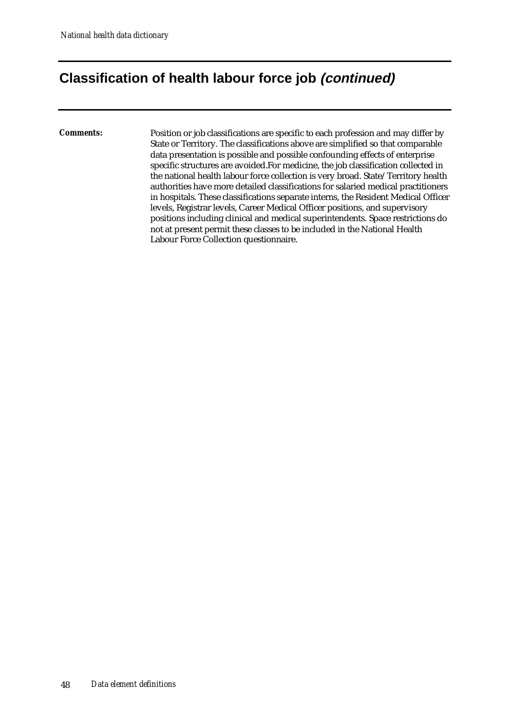### **Classification of health labour force job (continued)**

*Comments:* Position or job classifications are specific to each profession and may differ by State or Territory. The classifications above are simplified so that comparable data presentation is possible and possible confounding effects of enterprise specific structures are avoided.For medicine, the job classification collected in the national health labour force collection is very broad. State/Territory health authorities have more detailed classifications for salaried medical practitioners in hospitals. These classifications separate interns, the Resident Medical Officer levels, Registrar levels, Career Medical Officer positions, and supervisory positions including clinical and medical superintendents. Space restrictions do not at present permit these classes to be included in the National Health Labour Force Collection questionnaire.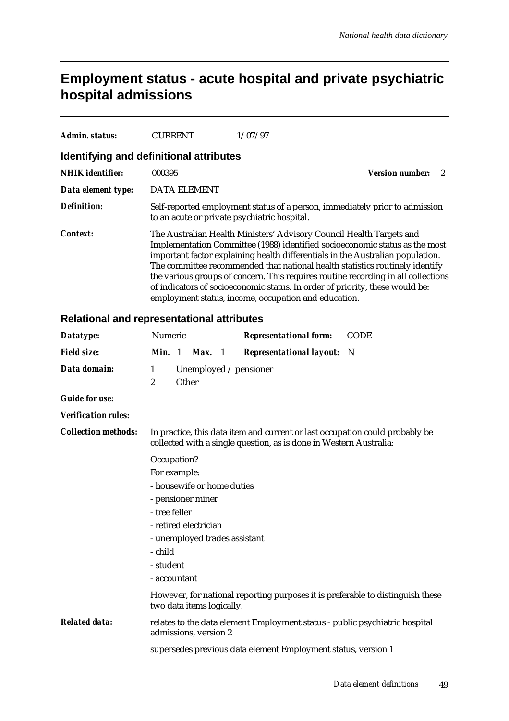### **Employment status - acute hospital and private psychiatric hospital admissions**

| Admin. status:          | <b>CURRENT</b>                               | 1/07/97                                                                                                                                                                                                                                                                                                                                                                                                                                                                                                                                            |                        |  |
|-------------------------|----------------------------------------------|----------------------------------------------------------------------------------------------------------------------------------------------------------------------------------------------------------------------------------------------------------------------------------------------------------------------------------------------------------------------------------------------------------------------------------------------------------------------------------------------------------------------------------------------------|------------------------|--|
|                         | Identifying and definitional attributes      |                                                                                                                                                                                                                                                                                                                                                                                                                                                                                                                                                    |                        |  |
| <b>NHIK</b> identifier: | 000395                                       |                                                                                                                                                                                                                                                                                                                                                                                                                                                                                                                                                    | <b>Version number:</b> |  |
| Data element type:      | <b>DATA ELEMENT</b>                          |                                                                                                                                                                                                                                                                                                                                                                                                                                                                                                                                                    |                        |  |
| <b>Definition:</b>      | to an acute or private psychiatric hospital. | Self-reported employment status of a person, immediately prior to admission                                                                                                                                                                                                                                                                                                                                                                                                                                                                        |                        |  |
| <i>Context:</i>         |                                              | The Australian Health Ministers' Advisory Council Health Targets and<br>Implementation Committee (1988) identified socioeconomic status as the most<br>important factor explaining health differentials in the Australian population.<br>The committee recommended that national health statistics routinely identify<br>the various groups of concern. This requires routine recording in all collections<br>of indicators of socioeconomic status. In order of priority, these would be:<br>employment status, income, occupation and education. |                        |  |

#### **Relational and representational attributes**

| Datatype:                  | Numeric           |       |                               |     | <b>Representational form:</b>                                                                                                                      | <b>CODE</b> |
|----------------------------|-------------------|-------|-------------------------------|-----|----------------------------------------------------------------------------------------------------------------------------------------------------|-------------|
| <b>Field size:</b>         | Min. 1            |       | Max.                          | - 1 | <b>Representational layout:</b> N                                                                                                                  |             |
| Data domain:               | $\mathbf{1}$<br>2 | Other |                               |     | Unemployed $\prime$ pensioner                                                                                                                      |             |
| <b>Guide for use:</b>      |                   |       |                               |     |                                                                                                                                                    |             |
| <b>Verification rules:</b> |                   |       |                               |     |                                                                                                                                                    |             |
| <b>Collection methods:</b> |                   |       |                               |     | In practice, this data item and current or last occupation could probably be<br>collected with a single question, as is done in Western Australia: |             |
|                            | Occupation?       |       |                               |     |                                                                                                                                                    |             |
|                            | For example:      |       |                               |     |                                                                                                                                                    |             |
|                            |                   |       | - housewife or home duties    |     |                                                                                                                                                    |             |
|                            |                   |       | - pensioner miner             |     |                                                                                                                                                    |             |
|                            | - tree feller     |       |                               |     |                                                                                                                                                    |             |
|                            |                   |       | - retired electrician         |     |                                                                                                                                                    |             |
|                            |                   |       | - unemployed trades assistant |     |                                                                                                                                                    |             |
|                            | - child           |       |                               |     |                                                                                                                                                    |             |
|                            | - student         |       |                               |     |                                                                                                                                                    |             |
|                            | - accountant      |       |                               |     |                                                                                                                                                    |             |
|                            |                   |       | two data items logically.     |     | However, for national reporting purposes it is preferable to distinguish these                                                                     |             |
| <b>Related data:</b>       |                   |       | admissions, version 2         |     | relates to the data element Employment status - public psychiatric hospital                                                                        |             |
|                            |                   |       |                               |     | supersedes previous data element Employment status, version 1                                                                                      |             |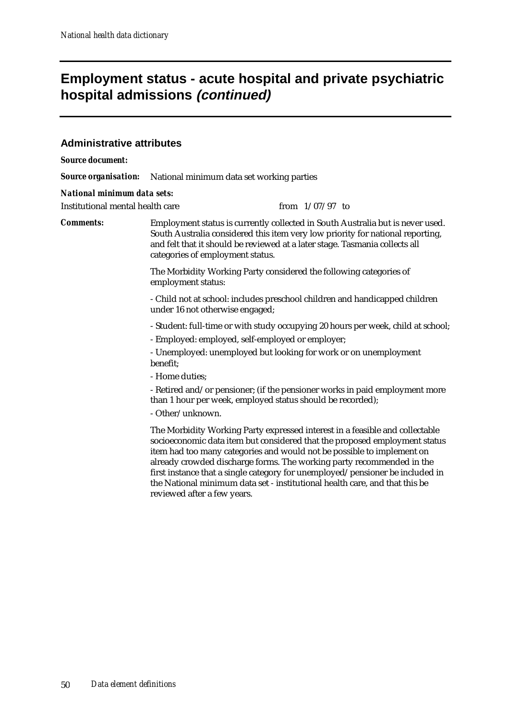### **Employment status - acute hospital and private psychiatric hospital admissions (continued)**

#### **Administrative attributes**

*Source document:*

*Source organisation:* National minimum data set working parties

#### *National minimum data sets:*

Institutional mental health care from  $1/07/97$  to

*Comments:* Employment status is currently collected in South Australia but is never used. South Australia considered this item very low priority for national reporting, and felt that it should be reviewed at a later stage. Tasmania collects all categories of employment status.

> The Morbidity Working Party considered the following categories of employment status:

- Child not at school: includes preschool children and handicapped children under 16 not otherwise engaged;

- Student: full-time or with study occupying 20 hours per week, child at school;

- Employed: employed, self-employed or employer;

- Unemployed: unemployed but looking for work or on unemployment benefit;

- Home duties;

- Retired and/or pensioner; (if the pensioner works in paid employment more than 1 hour per week, employed status should be recorded);

- Other/unknown.

The Morbidity Working Party expressed interest in a feasible and collectable socioeconomic data item but considered that the proposed employment status item had too many categories and would not be possible to implement on already crowded discharge forms. The working party recommended in the first instance that a single category for unemployed/pensioner be included in the National minimum data set - institutional health care, and that this be reviewed after a few years.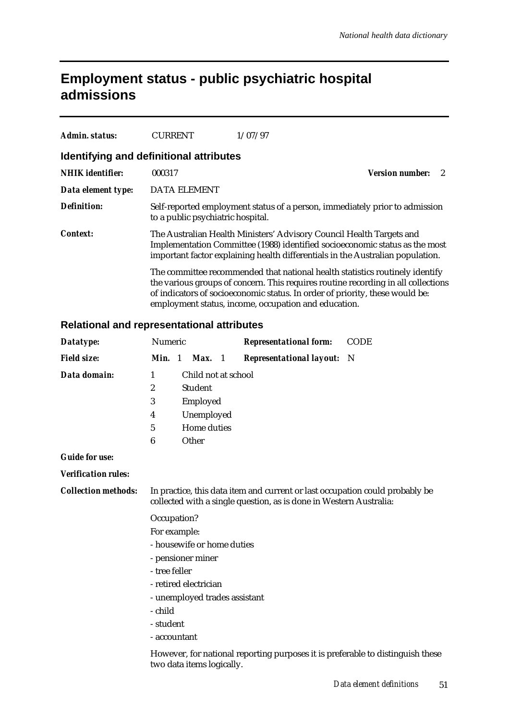## **Employment status - public psychiatric hospital admissions**

| Admin. status:     | <b>CURRENT</b>                          | 1/07/97                                                                                                                                                                                                                                                                                                   |
|--------------------|-----------------------------------------|-----------------------------------------------------------------------------------------------------------------------------------------------------------------------------------------------------------------------------------------------------------------------------------------------------------|
|                    | Identifying and definitional attributes |                                                                                                                                                                                                                                                                                                           |
| NHIK identifier:   | 000317                                  | Version number:                                                                                                                                                                                                                                                                                           |
| Data element type: | <b>DATA ELEMENT</b>                     |                                                                                                                                                                                                                                                                                                           |
| Definition:        | to a public psychiatric hospital.       | Self-reported employment status of a person, immediately prior to admission                                                                                                                                                                                                                               |
| <i>Context:</i>    |                                         | The Australian Health Ministers' Advisory Council Health Targets and<br>Implementation Committee (1988) identified socioeconomic status as the most<br>important factor explaining health differentials in the Australian population.                                                                     |
|                    |                                         | The committee recommended that national health statistics routinely identify<br>the various groups of concern. This requires routine recording in all collections<br>of indicators of socioeconomic status. In order of priority, these would be:<br>employment status, income, occupation and education. |

#### **Relational and representational attributes**

| Datatype:                  | Numeric                                                                                                                                            |  |                           |  | <b>Representational form:</b>                                                  | <b>CODE</b> |
|----------------------------|----------------------------------------------------------------------------------------------------------------------------------------------------|--|---------------------------|--|--------------------------------------------------------------------------------|-------------|
| <b>Field size:</b>         | Min. 1                                                                                                                                             |  | Max. 1                    |  | <b>Representational layout:</b> N                                              |             |
| Data domain:               | 1                                                                                                                                                  |  | Child not at school       |  |                                                                                |             |
|                            | $\boldsymbol{2}$                                                                                                                                   |  | <b>Student</b>            |  |                                                                                |             |
|                            | 3                                                                                                                                                  |  | Employed                  |  |                                                                                |             |
|                            | Unemployed<br>4                                                                                                                                    |  |                           |  |                                                                                |             |
|                            | 5                                                                                                                                                  |  | Home duties               |  |                                                                                |             |
|                            | 6                                                                                                                                                  |  | Other                     |  |                                                                                |             |
| <b>Guide for use:</b>      |                                                                                                                                                    |  |                           |  |                                                                                |             |
| <b>Verification rules:</b> |                                                                                                                                                    |  |                           |  |                                                                                |             |
| <b>Collection methods:</b> | In practice, this data item and current or last occupation could probably be<br>collected with a single question, as is done in Western Australia: |  |                           |  |                                                                                |             |
|                            | Occupation?                                                                                                                                        |  |                           |  |                                                                                |             |
|                            | For example:                                                                                                                                       |  |                           |  |                                                                                |             |
|                            | - housewife or home duties                                                                                                                         |  |                           |  |                                                                                |             |
|                            | - pensioner miner                                                                                                                                  |  |                           |  |                                                                                |             |
|                            | - tree feller                                                                                                                                      |  |                           |  |                                                                                |             |
|                            | - retired electrician                                                                                                                              |  |                           |  |                                                                                |             |
|                            | - unemployed trades assistant                                                                                                                      |  |                           |  |                                                                                |             |
|                            | - child                                                                                                                                            |  |                           |  |                                                                                |             |
|                            | - student                                                                                                                                          |  |                           |  |                                                                                |             |
|                            | - accountant                                                                                                                                       |  |                           |  |                                                                                |             |
|                            |                                                                                                                                                    |  | two data items logically. |  | However, for national reporting purposes it is preferable to distinguish these |             |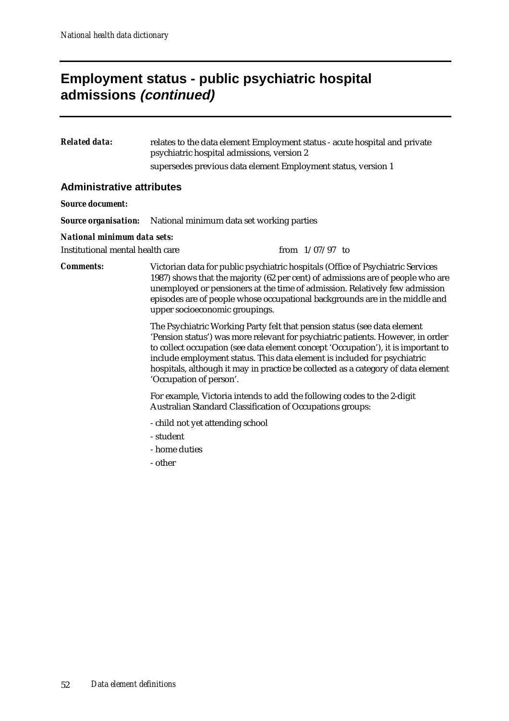### **Employment status - public psychiatric hospital admissions (continued)**

*Related data:* relates to the data element Employment status - acute hospital and private psychiatric hospital admissions, version 2 supersedes previous data element Employment status, version 1

#### **Administrative attributes**

#### *Source document:*

*Source organisation:* National minimum data set working parties

#### *National minimum data sets:*

Institutional mental health care  $\mu$  from  $1/07/97$  to

*Comments:* Victorian data for public psychiatric hospitals (Office of Psychiatric Services 1987) shows that the majority (62 per cent) of admissions are of people who are unemployed or pensioners at the time of admission. Relatively few admission episodes are of people whose occupational backgrounds are in the middle and upper socioeconomic groupings.

> The Psychiatric Working Party felt that pension status (see data element 'Pension status') was more relevant for psychiatric patients. However, in order to collect occupation (see data element concept 'Occupation'), it is important to include employment status. This data element is included for psychiatric hospitals, although it may in practice be collected as a category of data element 'Occupation of person'.

For example, Victoria intends to add the following codes to the 2-digit Australian Standard Classification of Occupations groups:

- child not yet attending school
- student
- home duties
- other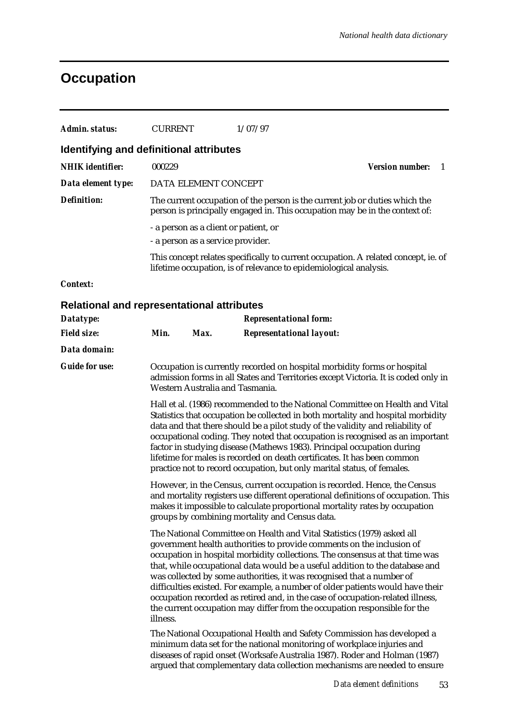# **Occupation**

| <b>Admin. status:</b>                             | <b>CURRENT</b>                                                                                                                                                                                                                                                                                                                                                                                                                                                                                                                                                                                                                                        |                      | 1/07/97                                                                                                                                                                                                                                                                                                     |                        |     |  |
|---------------------------------------------------|-------------------------------------------------------------------------------------------------------------------------------------------------------------------------------------------------------------------------------------------------------------------------------------------------------------------------------------------------------------------------------------------------------------------------------------------------------------------------------------------------------------------------------------------------------------------------------------------------------------------------------------------------------|----------------------|-------------------------------------------------------------------------------------------------------------------------------------------------------------------------------------------------------------------------------------------------------------------------------------------------------------|------------------------|-----|--|
| Identifying and definitional attributes           |                                                                                                                                                                                                                                                                                                                                                                                                                                                                                                                                                                                                                                                       |                      |                                                                                                                                                                                                                                                                                                             |                        |     |  |
| <b>NHIK</b> identifier:                           | 000229                                                                                                                                                                                                                                                                                                                                                                                                                                                                                                                                                                                                                                                |                      |                                                                                                                                                                                                                                                                                                             | <b>Version number:</b> | - 1 |  |
| Data element type:                                |                                                                                                                                                                                                                                                                                                                                                                                                                                                                                                                                                                                                                                                       | DATA ELEMENT CONCEPT |                                                                                                                                                                                                                                                                                                             |                        |     |  |
| <b>Definition:</b>                                |                                                                                                                                                                                                                                                                                                                                                                                                                                                                                                                                                                                                                                                       |                      | The current occupation of the person is the current job or duties which the<br>person is principally engaged in. This occupation may be in the context of:                                                                                                                                                  |                        |     |  |
|                                                   | - a person as a client or patient, or<br>- a person as a service provider.<br>This concept relates specifically to current occupation. A related concept, ie. of<br>lifetime occupation, is of relevance to epidemiological analysis.                                                                                                                                                                                                                                                                                                                                                                                                                 |                      |                                                                                                                                                                                                                                                                                                             |                        |     |  |
|                                                   |                                                                                                                                                                                                                                                                                                                                                                                                                                                                                                                                                                                                                                                       |                      |                                                                                                                                                                                                                                                                                                             |                        |     |  |
| <b>Context:</b>                                   |                                                                                                                                                                                                                                                                                                                                                                                                                                                                                                                                                                                                                                                       |                      |                                                                                                                                                                                                                                                                                                             |                        |     |  |
| <b>Relational and representational attributes</b> |                                                                                                                                                                                                                                                                                                                                                                                                                                                                                                                                                                                                                                                       |                      |                                                                                                                                                                                                                                                                                                             |                        |     |  |
| Datatype:                                         |                                                                                                                                                                                                                                                                                                                                                                                                                                                                                                                                                                                                                                                       |                      | <b>Representational form:</b>                                                                                                                                                                                                                                                                               |                        |     |  |
| <b>Field size:</b>                                | Min.                                                                                                                                                                                                                                                                                                                                                                                                                                                                                                                                                                                                                                                  | Max.                 | <b>Representational layout:</b>                                                                                                                                                                                                                                                                             |                        |     |  |
| Data domain:                                      |                                                                                                                                                                                                                                                                                                                                                                                                                                                                                                                                                                                                                                                       |                      |                                                                                                                                                                                                                                                                                                             |                        |     |  |
| <b>Guide for use:</b>                             | Occupation is currently recorded on hospital morbidity forms or hospital<br>admission forms in all States and Territories except Victoria. It is coded only in<br>Western Australia and Tasmania.                                                                                                                                                                                                                                                                                                                                                                                                                                                     |                      |                                                                                                                                                                                                                                                                                                             |                        |     |  |
|                                                   | Hall et al. (1986) recommended to the National Committee on Health and Vital<br>Statistics that occupation be collected in both mortality and hospital morbidity<br>data and that there should be a pilot study of the validity and reliability of<br>occupational coding. They noted that occupation is recognised as an important<br>factor in studying disease (Mathews 1983). Principal occupation during<br>lifetime for males is recorded on death certificates. It has been common<br>practice not to record occupation, but only marital status, of females.                                                                                  |                      |                                                                                                                                                                                                                                                                                                             |                        |     |  |
|                                                   |                                                                                                                                                                                                                                                                                                                                                                                                                                                                                                                                                                                                                                                       |                      | However, in the Census, current occupation is recorded. Hence, the Census<br>and mortality registers use different operational definitions of occupation. This<br>makes it impossible to calculate proportional mortality rates by occupation<br>groups by combining mortality and Census data.             |                        |     |  |
|                                                   | The National Committee on Health and Vital Statistics (1979) asked all<br>government health authorities to provide comments on the inclusion of<br>occupation in hospital morbidity collections. The consensus at that time was<br>that, while occupational data would be a useful addition to the database and<br>was collected by some authorities, it was recognised that a number of<br>difficulties existed. For example, a number of older patients would have their<br>occupation recorded as retired and, in the case of occupation-related illness,<br>the current occupation may differ from the occupation responsible for the<br>illness. |                      |                                                                                                                                                                                                                                                                                                             |                        |     |  |
|                                                   |                                                                                                                                                                                                                                                                                                                                                                                                                                                                                                                                                                                                                                                       |                      | The National Occupational Health and Safety Commission has developed a<br>minimum data set for the national monitoring of workplace injuries and<br>diseases of rapid onset (Worksafe Australia 1987). Roder and Holman (1987)<br>argued that complementary data collection mechanisms are needed to ensure |                        |     |  |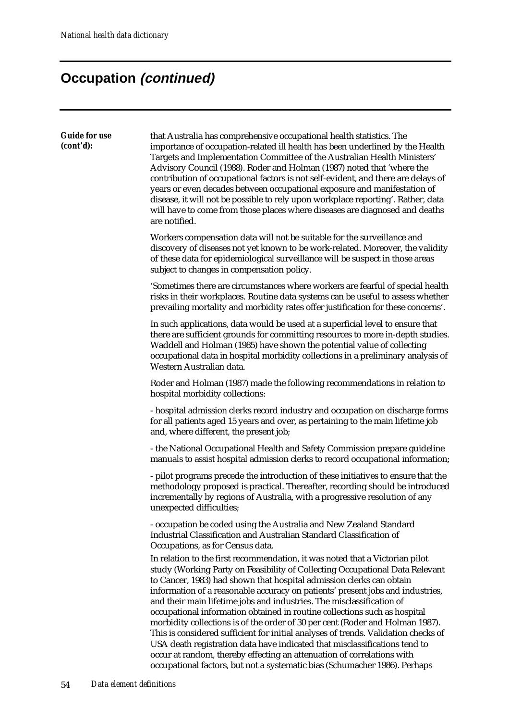| <b>Guide for use</b><br>(cont'd): | that Australia has comprehensive occupational health statistics. The<br>importance of occupation-related ill health has been underlined by the Health<br>Targets and Implementation Committee of the Australian Health Ministers'<br>Advisory Council (1988). Roder and Holman (1987) noted that 'where the<br>contribution of occupational factors is not self-evident, and there are delays of<br>years or even decades between occupational exposure and manifestation of<br>disease, it will not be possible to rely upon workplace reporting'. Rather, data<br>will have to come from those places where diseases are diagnosed and deaths<br>are notified.                                                                                                                                                                                                                          |
|-----------------------------------|-------------------------------------------------------------------------------------------------------------------------------------------------------------------------------------------------------------------------------------------------------------------------------------------------------------------------------------------------------------------------------------------------------------------------------------------------------------------------------------------------------------------------------------------------------------------------------------------------------------------------------------------------------------------------------------------------------------------------------------------------------------------------------------------------------------------------------------------------------------------------------------------|
|                                   | Workers compensation data will not be suitable for the surveillance and<br>discovery of diseases not yet known to be work-related. Moreover, the validity<br>of these data for epidemiological surveillance will be suspect in those areas<br>subject to changes in compensation policy.                                                                                                                                                                                                                                                                                                                                                                                                                                                                                                                                                                                                  |
|                                   | 'Sometimes there are circumstances where workers are fearful of special health<br>risks in their workplaces. Routine data systems can be useful to assess whether<br>prevailing mortality and morbidity rates offer justification for these concerns'.                                                                                                                                                                                                                                                                                                                                                                                                                                                                                                                                                                                                                                    |
|                                   | In such applications, data would be used at a superficial level to ensure that<br>there are sufficient grounds for committing resources to more in-depth studies.<br>Waddell and Holman (1985) have shown the potential value of collecting<br>occupational data in hospital morbidity collections in a preliminary analysis of<br>Western Australian data.                                                                                                                                                                                                                                                                                                                                                                                                                                                                                                                               |
|                                   | Roder and Holman (1987) made the following recommendations in relation to<br>hospital morbidity collections:                                                                                                                                                                                                                                                                                                                                                                                                                                                                                                                                                                                                                                                                                                                                                                              |
|                                   | - hospital admission clerks record industry and occupation on discharge forms<br>for all patients aged 15 years and over, as pertaining to the main lifetime job<br>and, where different, the present job;                                                                                                                                                                                                                                                                                                                                                                                                                                                                                                                                                                                                                                                                                |
|                                   | - the National Occupational Health and Safety Commission prepare guideline<br>manuals to assist hospital admission clerks to record occupational information;                                                                                                                                                                                                                                                                                                                                                                                                                                                                                                                                                                                                                                                                                                                             |
|                                   | - pilot programs precede the introduction of these initiatives to ensure that the<br>methodology proposed is practical. Thereafter, recording should be introduced<br>incrementally by regions of Australia, with a progressive resolution of any<br>unexpected difficulties;                                                                                                                                                                                                                                                                                                                                                                                                                                                                                                                                                                                                             |
|                                   | - occupation be coded using the Australia and New Zealand Standard<br>Industrial Classification and Australian Standard Classification of<br>Occupations, as for Census data.                                                                                                                                                                                                                                                                                                                                                                                                                                                                                                                                                                                                                                                                                                             |
|                                   | In relation to the first recommendation, it was noted that a Victorian pilot<br>study (Working Party on Feasibility of Collecting Occupational Data Relevant<br>to Cancer, 1983) had shown that hospital admission clerks can obtain<br>information of a reasonable accuracy on patients' present jobs and industries,<br>and their main lifetime jobs and industries. The misclassification of<br>occupational information obtained in routine collections such as hospital<br>morbidity collections is of the order of 30 per cent (Roder and Holman 1987).<br>This is considered sufficient for initial analyses of trends. Validation checks of<br>USA death registration data have indicated that misclassifications tend to<br>occur at random, thereby effecting an attenuation of correlations with<br>occupational factors, but not a systematic bias (Schumacher 1986). Perhaps |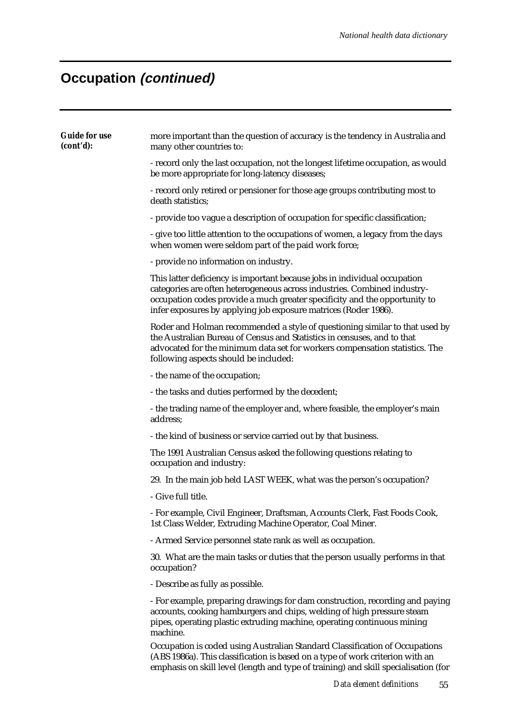| <b>Guide for use</b><br>(cont'd): | more important than the question of accuracy is the tendency in Australia and<br>many other countries to:                                                                                                                                                                                              |
|-----------------------------------|--------------------------------------------------------------------------------------------------------------------------------------------------------------------------------------------------------------------------------------------------------------------------------------------------------|
|                                   | - record only the last occupation, not the longest lifetime occupation, as would<br>be more appropriate for long-latency diseases;                                                                                                                                                                     |
|                                   | - record only retired or pensioner for those age groups contributing most to<br>death statistics;                                                                                                                                                                                                      |
|                                   | - provide too vague a description of occupation for specific classification;                                                                                                                                                                                                                           |
|                                   | - give too little attention to the occupations of women, a legacy from the days<br>when women were seldom part of the paid work force;                                                                                                                                                                 |
|                                   | - provide no information on industry.                                                                                                                                                                                                                                                                  |
|                                   | This latter deficiency is important because jobs in individual occupation<br>categories are often heterogeneous across industries. Combined industry-<br>occupation codes provide a much greater specificity and the opportunity to<br>infer exposures by applying job exposure matrices (Roder 1986). |
|                                   | Roder and Holman recommended a style of questioning similar to that used by<br>the Australian Bureau of Census and Statistics in censuses, and to that<br>advocated for the minimum data set for workers compensation statistics. The<br>following aspects should be included:                         |
|                                   | - the name of the occupation;                                                                                                                                                                                                                                                                          |
|                                   | - the tasks and duties performed by the decedent;                                                                                                                                                                                                                                                      |
|                                   | - the trading name of the employer and, where feasible, the employer's main<br>address;                                                                                                                                                                                                                |
|                                   | - the kind of business or service carried out by that business.                                                                                                                                                                                                                                        |
|                                   | The 1991 Australian Census asked the following questions relating to<br>occupation and industry:                                                                                                                                                                                                       |
|                                   | 29. In the main job held LAST WEEK, what was the person's occupation?                                                                                                                                                                                                                                  |
|                                   | - Give full title.                                                                                                                                                                                                                                                                                     |
|                                   | - For example, Civil Engineer, Draftsman, Accounts Clerk, Fast Foods Cook,<br>1st Class Welder, Extruding Machine Operator, Coal Miner.                                                                                                                                                                |
|                                   | - Armed Service personnel state rank as well as occupation.                                                                                                                                                                                                                                            |
|                                   | 30. What are the main tasks or duties that the person usually performs in that<br>occupation?                                                                                                                                                                                                          |
|                                   | - Describe as fully as possible.                                                                                                                                                                                                                                                                       |
|                                   | - For example, preparing drawings for dam construction, recording and paying<br>accounts, cooking hamburgers and chips, welding of high pressure steam<br>pipes, operating plastic extruding machine, operating continuous mining<br>machine.                                                          |
|                                   | Occupation is coded using Australian Standard Classification of Occupations<br>(ABS 1986a). This classification is based on a type of work criterion with an<br>emphasis on skill level (length and type of training) and skill specialisation (for                                                    |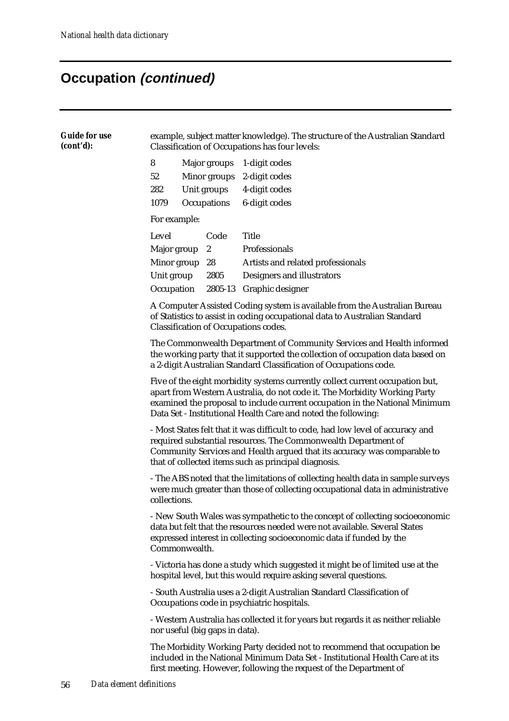| <b>Guide for use</b><br>(cont'd): | example, subject matter knowledge). The structure of the Australian Standard<br>Classification of Occupations has four levels:                                                                                                                                                                             |              |                                                   |                                                                                                                      |  |  |  |  |
|-----------------------------------|------------------------------------------------------------------------------------------------------------------------------------------------------------------------------------------------------------------------------------------------------------------------------------------------------------|--------------|---------------------------------------------------|----------------------------------------------------------------------------------------------------------------------|--|--|--|--|
|                                   | 8<br>Major groups<br>52<br>Minor groups<br>Unit groups<br>282<br>Occupations<br>1079                                                                                                                                                                                                                       |              |                                                   | 1-digit codes<br>2-digit codes<br>4-digit codes<br>6-digit codes                                                     |  |  |  |  |
|                                   |                                                                                                                                                                                                                                                                                                            | For example: |                                                   |                                                                                                                      |  |  |  |  |
|                                   | Level<br>Major group<br>Minor group<br>Unit group<br>Occupation                                                                                                                                                                                                                                            |              | Code<br>$\boldsymbol{2}$<br>28<br>2805<br>2805-13 | <b>Title</b><br>Professionals<br>Artists and related professionals<br>Designers and illustrators<br>Graphic designer |  |  |  |  |
|                                   | A Computer Assisted Coding system is available from the Australian Bureau<br>of Statistics to assist in coding occupational data to Australian Standard<br><b>Classification of Occupations codes.</b>                                                                                                     |              |                                                   |                                                                                                                      |  |  |  |  |
|                                   | The Commonwealth Department of Community Services and Health informed<br>the working party that it supported the collection of occupation data based on<br>a 2-digit Australian Standard Classification of Occupations code.                                                                               |              |                                                   |                                                                                                                      |  |  |  |  |
|                                   | Five of the eight morbidity systems currently collect current occupation but,<br>apart from Western Australia, do not code it. The Morbidity Working Party<br>examined the proposal to include current occupation in the National Minimum<br>Data Set - Institutional Health Care and noted the following: |              |                                                   |                                                                                                                      |  |  |  |  |
|                                   | - Most States felt that it was difficult to code, had low level of accuracy and<br>required substantial resources. The Commonwealth Department of<br>Community Services and Health argued that its accuracy was comparable to<br>that of collected items such as principal diagnosis.                      |              |                                                   |                                                                                                                      |  |  |  |  |
|                                   | - The ABS noted that the limitations of collecting health data in sample surveys<br>were much greater than those of collecting occupational data in administrative<br>collections.                                                                                                                         |              |                                                   |                                                                                                                      |  |  |  |  |
|                                   | - New South Wales was sympathetic to the concept of collecting socioeconomic<br>data but felt that the resources needed were not available. Several States<br>expressed interest in collecting socioeconomic data if funded by the<br>Commonwealth.                                                        |              |                                                   |                                                                                                                      |  |  |  |  |
|                                   | - Victoria has done a study which suggested it might be of limited use at the<br>hospital level, but this would require asking several questions.                                                                                                                                                          |              |                                                   |                                                                                                                      |  |  |  |  |
|                                   | - South Australia uses a 2-digit Australian Standard Classification of<br>Occupations code in psychiatric hospitals.                                                                                                                                                                                       |              |                                                   |                                                                                                                      |  |  |  |  |
|                                   | - Western Australia has collected it for years but regards it as neither reliable<br>nor useful (big gaps in data).                                                                                                                                                                                        |              |                                                   |                                                                                                                      |  |  |  |  |
|                                   | The Morbidity Working Party decided not to recommend that occupation be<br>included in the National Minimum Data Set - Institutional Health Care at its<br>first meeting. However, following the request of the Department of                                                                              |              |                                                   |                                                                                                                      |  |  |  |  |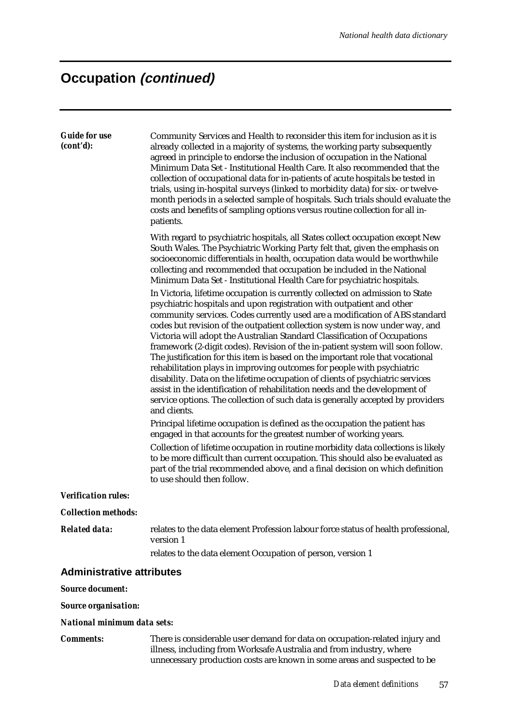| <b>Guide for use</b><br>(cont'd): | Community Services and Health to reconsider this item for inclusion as it is<br>already collected in a majority of systems, the working party subsequently<br>agreed in principle to endorse the inclusion of occupation in the National                                                                                                                                                                                                                                                                                                                                                                                                                                                                                                                                                                                                                                                                                                                                                                                                                                                                                                                                                                                                                                                                                         |
|-----------------------------------|----------------------------------------------------------------------------------------------------------------------------------------------------------------------------------------------------------------------------------------------------------------------------------------------------------------------------------------------------------------------------------------------------------------------------------------------------------------------------------------------------------------------------------------------------------------------------------------------------------------------------------------------------------------------------------------------------------------------------------------------------------------------------------------------------------------------------------------------------------------------------------------------------------------------------------------------------------------------------------------------------------------------------------------------------------------------------------------------------------------------------------------------------------------------------------------------------------------------------------------------------------------------------------------------------------------------------------|
|                                   | Minimum Data Set - Institutional Health Care. It also recommended that the<br>collection of occupational data for in-patients of acute hospitals be tested in<br>trials, using in-hospital surveys (linked to morbidity data) for six- or twelve-<br>month periods in a selected sample of hospitals. Such trials should evaluate the<br>costs and benefits of sampling options versus routine collection for all in-<br>patients.                                                                                                                                                                                                                                                                                                                                                                                                                                                                                                                                                                                                                                                                                                                                                                                                                                                                                               |
|                                   | With regard to psychiatric hospitals, all States collect occupation except New<br>South Wales. The Psychiatric Working Party felt that, given the emphasis on<br>socioeconomic differentials in health, occupation data would be worthwhile<br>collecting and recommended that occupation be included in the National<br>Minimum Data Set - Institutional Health Care for psychiatric hospitals.                                                                                                                                                                                                                                                                                                                                                                                                                                                                                                                                                                                                                                                                                                                                                                                                                                                                                                                                 |
|                                   | In Victoria, lifetime occupation is currently collected on admission to State<br>psychiatric hospitals and upon registration with outpatient and other<br>community services. Codes currently used are a modification of ABS standard<br>codes but revision of the outpatient collection system is now under way, and<br>Victoria will adopt the Australian Standard Classification of Occupations<br>framework (2-digit codes). Revision of the in-patient system will soon follow.<br>The justification for this item is based on the important role that vocational<br>rehabilitation plays in improving outcomes for people with psychiatric<br>disability. Data on the lifetime occupation of clients of psychiatric services<br>assist in the identification of rehabilitation needs and the development of<br>service options. The collection of such data is generally accepted by providers<br>and clients.<br>Principal lifetime occupation is defined as the occupation the patient has<br>engaged in that accounts for the greatest number of working years.<br>Collection of lifetime occupation in routine morbidity data collections is likely<br>to be more difficult than current occupation. This should also be evaluated as<br>part of the trial recommended above, and a final decision on which definition |
| <b>Verification rules:</b>        | to use should then follow.                                                                                                                                                                                                                                                                                                                                                                                                                                                                                                                                                                                                                                                                                                                                                                                                                                                                                                                                                                                                                                                                                                                                                                                                                                                                                                       |
| <b>Collection methods:</b>        |                                                                                                                                                                                                                                                                                                                                                                                                                                                                                                                                                                                                                                                                                                                                                                                                                                                                                                                                                                                                                                                                                                                                                                                                                                                                                                                                  |
| <b>Related data:</b>              | relates to the data element Profession labour force status of health professional,<br>version 1                                                                                                                                                                                                                                                                                                                                                                                                                                                                                                                                                                                                                                                                                                                                                                                                                                                                                                                                                                                                                                                                                                                                                                                                                                  |
|                                   | relates to the data element Occupation of person, version 1                                                                                                                                                                                                                                                                                                                                                                                                                                                                                                                                                                                                                                                                                                                                                                                                                                                                                                                                                                                                                                                                                                                                                                                                                                                                      |
| <b>Administrative attributes</b>  |                                                                                                                                                                                                                                                                                                                                                                                                                                                                                                                                                                                                                                                                                                                                                                                                                                                                                                                                                                                                                                                                                                                                                                                                                                                                                                                                  |
| <b>Source document:</b>           |                                                                                                                                                                                                                                                                                                                                                                                                                                                                                                                                                                                                                                                                                                                                                                                                                                                                                                                                                                                                                                                                                                                                                                                                                                                                                                                                  |
| <b>Source organisation:</b>       |                                                                                                                                                                                                                                                                                                                                                                                                                                                                                                                                                                                                                                                                                                                                                                                                                                                                                                                                                                                                                                                                                                                                                                                                                                                                                                                                  |

#### *National minimum data sets:*

*Comments:* There is considerable user demand for data on occupation-related injury and illness, including from Worksafe Australia and from industry, where unnecessary production costs are known in some areas and suspected to be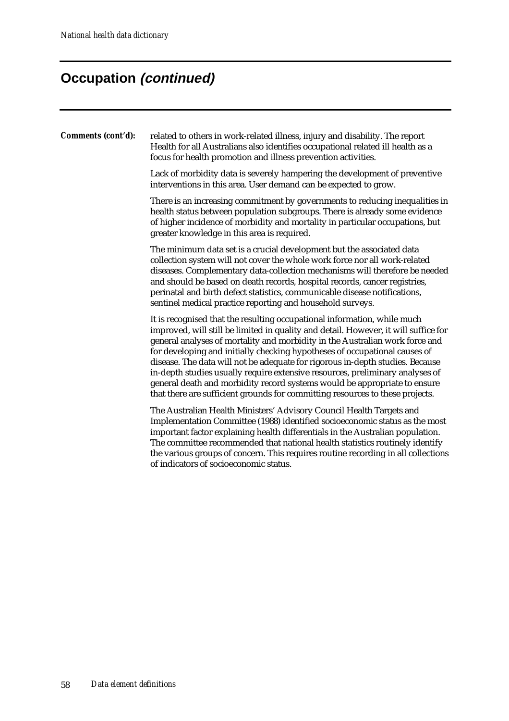| Comments (cont'd): | related to others in work-related illness, injury and disability. The report<br>Health for all Australians also identifies occupational related ill health as a<br>focus for health promotion and illness prevention activities.                                                                                                                                                                                                                                                                                                                                                                                                                              |
|--------------------|---------------------------------------------------------------------------------------------------------------------------------------------------------------------------------------------------------------------------------------------------------------------------------------------------------------------------------------------------------------------------------------------------------------------------------------------------------------------------------------------------------------------------------------------------------------------------------------------------------------------------------------------------------------|
|                    | Lack of morbidity data is severely hampering the development of preventive<br>interventions in this area. User demand can be expected to grow.                                                                                                                                                                                                                                                                                                                                                                                                                                                                                                                |
|                    | There is an increasing commitment by governments to reducing inequalities in<br>health status between population subgroups. There is already some evidence<br>of higher incidence of morbidity and mortality in particular occupations, but<br>greater knowledge in this area is required.                                                                                                                                                                                                                                                                                                                                                                    |
|                    | The minimum data set is a crucial development but the associated data<br>collection system will not cover the whole work force nor all work-related<br>diseases. Complementary data-collection mechanisms will therefore be needed<br>and should be based on death records, hospital records, cancer registries,<br>perinatal and birth defect statistics, communicable disease notifications,<br>sentinel medical practice reporting and household surveys.                                                                                                                                                                                                  |
|                    | It is recognised that the resulting occupational information, while much<br>improved, will still be limited in quality and detail. However, it will suffice for<br>general analyses of mortality and morbidity in the Australian work force and<br>for developing and initially checking hypotheses of occupational causes of<br>disease. The data will not be adequate for rigorous in-depth studies. Because<br>in-depth studies usually require extensive resources, preliminary analyses of<br>general death and morbidity record systems would be appropriate to ensure<br>that there are sufficient grounds for committing resources to these projects. |
|                    | The Australian Health Ministers' Advisory Council Health Targets and<br>Implementation Committee (1988) identified socioeconomic status as the most<br>important factor explaining health differentials in the Australian population.<br>The committee recommended that national health statistics routinely identify<br>the various groups of concern. This requires routine recording in all collections<br>of indicators of socioeconomic status.                                                                                                                                                                                                          |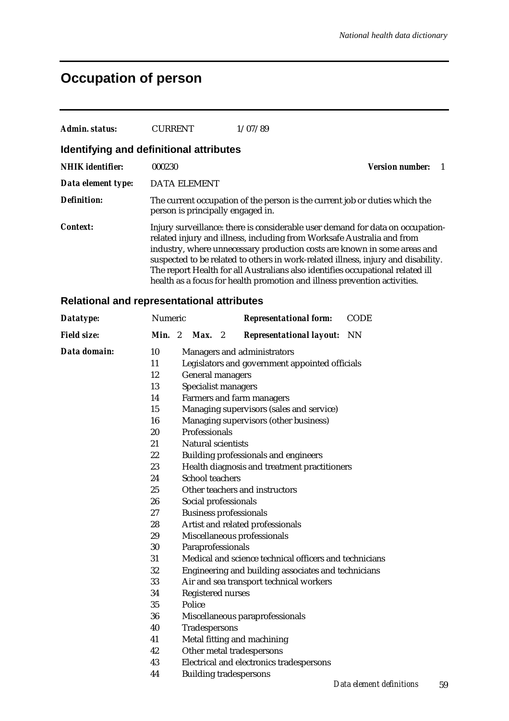## **Occupation of person**

| Admin. status:          | <b>CURRENT</b>                          | 1/07/89                                                                                                                                                                                                                                                                                                                                                                                                                                                                                  |                        |
|-------------------------|-----------------------------------------|------------------------------------------------------------------------------------------------------------------------------------------------------------------------------------------------------------------------------------------------------------------------------------------------------------------------------------------------------------------------------------------------------------------------------------------------------------------------------------------|------------------------|
|                         | Identifying and definitional attributes |                                                                                                                                                                                                                                                                                                                                                                                                                                                                                          |                        |
| <b>NHIK</b> identifier: | 000230                                  |                                                                                                                                                                                                                                                                                                                                                                                                                                                                                          | <b>Version number:</b> |
| Data element type:      | <b>DATA ELEMENT</b>                     |                                                                                                                                                                                                                                                                                                                                                                                                                                                                                          |                        |
| <b>Definition:</b>      | person is principally engaged in.       | The current occupation of the person is the current job or duties which the                                                                                                                                                                                                                                                                                                                                                                                                              |                        |
| Context:                |                                         | Injury surveillance: there is considerable user demand for data on occupation-<br>related injury and illness, including from Worksafe Australia and from<br>industry, where unnecessary production costs are known in some areas and<br>suspected to be related to others in work-related illness, injury and disability.<br>The report Health for all Australians also identifies occupational related ill<br>health as a focus for health promotion and illness prevention activities. |                        |

#### **Relational and representational attributes**

| Datatype:          | Numeric |                               | <b>Representational form:</b>                          | <b>CODE</b>          |
|--------------------|---------|-------------------------------|--------------------------------------------------------|----------------------|
| <b>Field size:</b> | Min. 2  | $Max.$ 2                      | <b>Representational layout:</b>                        | <b>NN</b>            |
| Data domain:       | 10      |                               | Managers and administrators                            |                      |
|                    | 11      |                               | Legislators and government appointed officials         |                      |
|                    | 12      | <b>General managers</b>       |                                                        |                      |
|                    | 13      | Specialist managers           |                                                        |                      |
|                    | 14      |                               | Farmers and farm managers                              |                      |
|                    | 15      |                               | Managing supervisors (sales and service)               |                      |
|                    | 16      |                               | Managing supervisors (other business)                  |                      |
|                    | 20      | Professionals                 |                                                        |                      |
|                    | 21      | <b>Natural scientists</b>     |                                                        |                      |
|                    | 22      |                               | <b>Building professionals and engineers</b>            |                      |
|                    | 23      |                               | Health diagnosis and treatment practitioners           |                      |
|                    | 24      | <b>School teachers</b>        |                                                        |                      |
|                    | 25      |                               | Other teachers and instructors                         |                      |
|                    | 26      | Social professionals          |                                                        |                      |
|                    | 27      | <b>Business professionals</b> |                                                        |                      |
|                    | 28      |                               | Artist and related professionals                       |                      |
|                    | 29      |                               | Miscellaneous professionals                            |                      |
|                    | 30      | Paraprofessionals             |                                                        |                      |
|                    | 31      |                               | Medical and science technical officers and technicians |                      |
|                    | 32      |                               | Engineering and building associates and technicians    |                      |
|                    | 33      |                               | Air and sea transport technical workers                |                      |
|                    | 34      | Registered nurses             |                                                        |                      |
|                    | 35      | Police                        |                                                        |                      |
|                    | 36      |                               | Miscellaneous paraprofessionals                        |                      |
|                    | 40      | Tradespersons                 |                                                        |                      |
|                    | 41      |                               | Metal fitting and machining                            |                      |
|                    | 42      |                               | Other metal tradespersons                              |                      |
|                    | 43      |                               | Electrical and electronics tradespersons               |                      |
|                    | 44      |                               | <b>Building tradespersons</b>                          |                      |
|                    |         |                               |                                                        | Data element definit |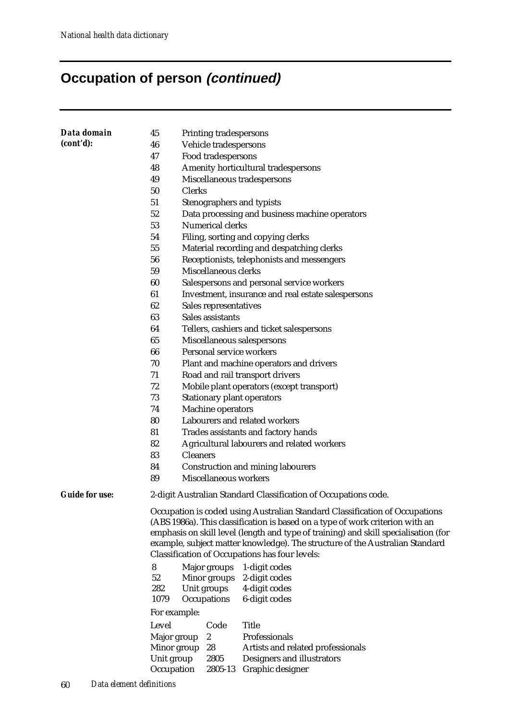# **Occupation of person (continued)**

| Data domain           | 45                                                                                                                             | Printing tradespersons                             |                                                                                     |  |  |  |  |
|-----------------------|--------------------------------------------------------------------------------------------------------------------------------|----------------------------------------------------|-------------------------------------------------------------------------------------|--|--|--|--|
| (cont'd):             | 46                                                                                                                             | Vehicle tradespersons                              |                                                                                     |  |  |  |  |
|                       | 47                                                                                                                             | Food tradespersons                                 |                                                                                     |  |  |  |  |
|                       | 48                                                                                                                             |                                                    | Amenity horticultural tradespersons                                                 |  |  |  |  |
|                       | 49                                                                                                                             | Miscellaneous tradespersons                        |                                                                                     |  |  |  |  |
|                       | 50                                                                                                                             | <b>Clerks</b>                                      |                                                                                     |  |  |  |  |
|                       | 51                                                                                                                             | Stenographers and typists                          |                                                                                     |  |  |  |  |
|                       | 52                                                                                                                             |                                                    | Data processing and business machine operators                                      |  |  |  |  |
|                       | 53                                                                                                                             | Numerical clerks                                   |                                                                                     |  |  |  |  |
|                       | 54                                                                                                                             |                                                    | Filing, sorting and copying clerks                                                  |  |  |  |  |
|                       | 55                                                                                                                             |                                                    | Material recording and despatching clerks                                           |  |  |  |  |
|                       | 56                                                                                                                             |                                                    | Receptionists, telephonists and messengers                                          |  |  |  |  |
|                       | 59                                                                                                                             | Miscellaneous clerks                               |                                                                                     |  |  |  |  |
|                       | 60                                                                                                                             |                                                    | Salespersons and personal service workers                                           |  |  |  |  |
|                       | 61                                                                                                                             |                                                    | Investment, insurance and real estate salespersons                                  |  |  |  |  |
|                       | 62                                                                                                                             | Sales representatives                              |                                                                                     |  |  |  |  |
|                       | 63                                                                                                                             | Sales assistants                                   |                                                                                     |  |  |  |  |
|                       | 64                                                                                                                             |                                                    | Tellers, cashiers and ticket salespersons                                           |  |  |  |  |
|                       | 65                                                                                                                             | Miscellaneous salespersons                         |                                                                                     |  |  |  |  |
|                       | 66                                                                                                                             | Personal service workers                           |                                                                                     |  |  |  |  |
|                       | 70                                                                                                                             | Plant and machine operators and drivers            |                                                                                     |  |  |  |  |
|                       | 71                                                                                                                             | Road and rail transport drivers                    |                                                                                     |  |  |  |  |
|                       | 72                                                                                                                             | Mobile plant operators (except transport)          |                                                                                     |  |  |  |  |
|                       | 73                                                                                                                             | <b>Stationary plant operators</b>                  |                                                                                     |  |  |  |  |
|                       | 74                                                                                                                             | Machine operators<br>Labourers and related workers |                                                                                     |  |  |  |  |
|                       | 80                                                                                                                             | Trades assistants and factory hands                |                                                                                     |  |  |  |  |
|                       | 81<br>82                                                                                                                       | Agricultural labourers and related workers         |                                                                                     |  |  |  |  |
|                       | 83                                                                                                                             | <b>Cleaners</b>                                    |                                                                                     |  |  |  |  |
|                       | 84                                                                                                                             | <b>Construction and mining labourers</b>           |                                                                                     |  |  |  |  |
|                       | 89                                                                                                                             | Miscellaneous workers                              |                                                                                     |  |  |  |  |
|                       |                                                                                                                                |                                                    |                                                                                     |  |  |  |  |
| <b>Guide for use:</b> | 2-digit Australian Standard Classification of Occupations code.                                                                |                                                    |                                                                                     |  |  |  |  |
|                       | Occupation is coded using Australian Standard Classification of Occupations                                                    |                                                    |                                                                                     |  |  |  |  |
|                       | (ABS 1986a). This classification is based on a type of work criterion with an                                                  |                                                    |                                                                                     |  |  |  |  |
|                       |                                                                                                                                |                                                    | emphasis on skill level (length and type of training) and skill specialisation (for |  |  |  |  |
|                       | example, subject matter knowledge). The structure of the Australian Standard<br>Classification of Occupations has four levels: |                                                    |                                                                                     |  |  |  |  |
|                       | 8                                                                                                                              | Major groups                                       | 1-digit codes                                                                       |  |  |  |  |
|                       | 52                                                                                                                             | Minor groups                                       | 2-digit codes                                                                       |  |  |  |  |
|                       | 282                                                                                                                            | Unit groups                                        | 4-digit codes                                                                       |  |  |  |  |
|                       | 1079                                                                                                                           | Occupations                                        | 6-digit codes                                                                       |  |  |  |  |
|                       | For example:                                                                                                                   |                                                    |                                                                                     |  |  |  |  |
|                       | Level                                                                                                                          | Code                                               | <b>Title</b>                                                                        |  |  |  |  |
|                       | Major group                                                                                                                    | $\boldsymbol{2}$                                   | Professionals                                                                       |  |  |  |  |
|                       | Minor group                                                                                                                    | 28                                                 | Artists and related professionals                                                   |  |  |  |  |
|                       | Unit group                                                                                                                     | 2805                                               | Designers and illustrators                                                          |  |  |  |  |
|                       | Occupation                                                                                                                     | 2805-13                                            | Graphic designer                                                                    |  |  |  |  |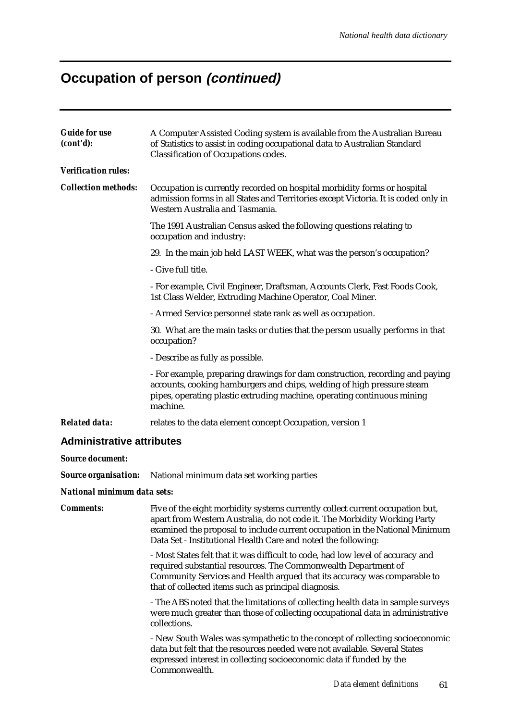# **Occupation of person (continued)**

| <b>Guide for use</b><br>(cont'd):  | A Computer Assisted Coding system is available from the Australian Bureau<br>of Statistics to assist in coding occupational data to Australian Standard<br>Classification of Occupations codes.                                                                                                            |  |  |  |  |  |  |
|------------------------------------|------------------------------------------------------------------------------------------------------------------------------------------------------------------------------------------------------------------------------------------------------------------------------------------------------------|--|--|--|--|--|--|
| <b>Verification rules:</b>         |                                                                                                                                                                                                                                                                                                            |  |  |  |  |  |  |
| <b>Collection methods:</b>         | Occupation is currently recorded on hospital morbidity forms or hospital<br>admission forms in all States and Territories except Victoria. It is coded only in<br>Western Australia and Tasmania.                                                                                                          |  |  |  |  |  |  |
|                                    | The 1991 Australian Census asked the following questions relating to<br>occupation and industry:                                                                                                                                                                                                           |  |  |  |  |  |  |
|                                    | 29. In the main job held LAST WEEK, what was the person's occupation?                                                                                                                                                                                                                                      |  |  |  |  |  |  |
|                                    | - Give full title.                                                                                                                                                                                                                                                                                         |  |  |  |  |  |  |
|                                    | - For example, Civil Engineer, Draftsman, Accounts Clerk, Fast Foods Cook,<br>1st Class Welder, Extruding Machine Operator, Coal Miner.                                                                                                                                                                    |  |  |  |  |  |  |
|                                    | - Armed Service personnel state rank as well as occupation.                                                                                                                                                                                                                                                |  |  |  |  |  |  |
|                                    | 30. What are the main tasks or duties that the person usually performs in that<br>occupation?                                                                                                                                                                                                              |  |  |  |  |  |  |
|                                    | - Describe as fully as possible.                                                                                                                                                                                                                                                                           |  |  |  |  |  |  |
|                                    | - For example, preparing drawings for dam construction, recording and paying<br>accounts, cooking hamburgers and chips, welding of high pressure steam<br>pipes, operating plastic extruding machine, operating continuous mining<br>machine.                                                              |  |  |  |  |  |  |
| <b>Related data:</b>               | relates to the data element concept Occupation, version 1                                                                                                                                                                                                                                                  |  |  |  |  |  |  |
| <b>Administrative attributes</b>   |                                                                                                                                                                                                                                                                                                            |  |  |  |  |  |  |
| <b>Source document:</b>            |                                                                                                                                                                                                                                                                                                            |  |  |  |  |  |  |
| <b>Source organisation:</b>        | National minimum data set working parties                                                                                                                                                                                                                                                                  |  |  |  |  |  |  |
| <b>National minimum data sets:</b> |                                                                                                                                                                                                                                                                                                            |  |  |  |  |  |  |
| <b>Comments:</b>                   | Five of the eight morbidity systems currently collect current occupation but,<br>apart from Western Australia, do not code it. The Morbidity Working Party<br>examined the proposal to include current occupation in the National Minimum<br>Data Set - Institutional Health Care and noted the following: |  |  |  |  |  |  |
|                                    | - Most States felt that it was difficult to code, had low level of accuracy and<br>required substantial resources. The Commonwealth Department of<br>Community Services and Health argued that its accuracy was comparable to<br>that of collected items such as principal diagnosis.                      |  |  |  |  |  |  |
|                                    | - The ABS noted that the limitations of collecting health data in sample surveys<br>were much greater than those of collecting occupational data in administrative<br>collections.                                                                                                                         |  |  |  |  |  |  |
|                                    | - New South Wales was sympathetic to the concept of collecting socioeconomic<br>data but felt that the resources needed were not available. Several States<br>expressed interest in collecting socioeconomic data if funded by the<br>Commonwealth.                                                        |  |  |  |  |  |  |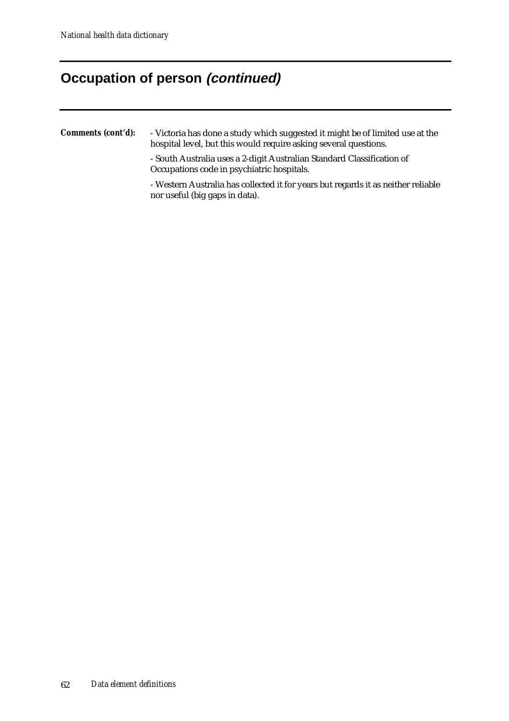### **Occupation of person (continued)**

#### *Comments (cont'd):* - Victoria has done a study which suggested it might be of limited use at the hospital level, but this would require asking several questions.

- South Australia uses a 2-digit Australian Standard Classification of Occupations code in psychiatric hospitals.

- Western Australia has collected it for years but regards it as neither reliable nor useful (big gaps in data).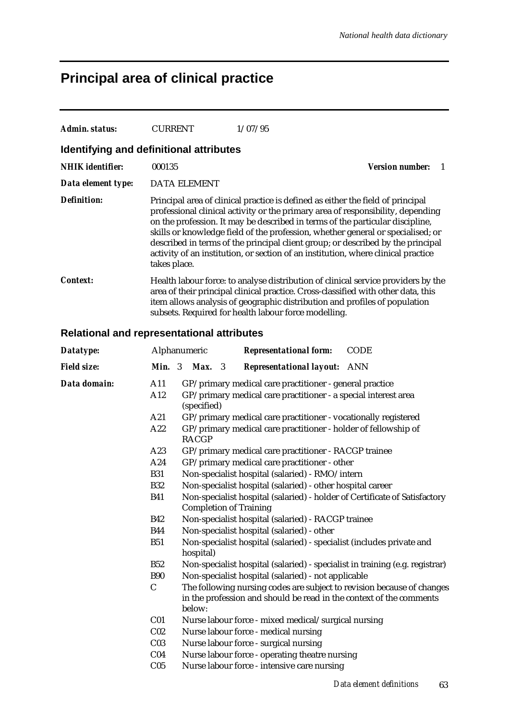# **Principal area of clinical practice**

| Admin. status:                                    | <b>CURRENT</b>           |                                                                                                                                                         |  | 1/07/95 |                                 |  |  |                                                                                                                                                                                                                                                                                                                                                                                                                                                                                                                |
|---------------------------------------------------|--------------------------|---------------------------------------------------------------------------------------------------------------------------------------------------------|--|---------|---------------------------------|--|--|----------------------------------------------------------------------------------------------------------------------------------------------------------------------------------------------------------------------------------------------------------------------------------------------------------------------------------------------------------------------------------------------------------------------------------------------------------------------------------------------------------------|
| Identifying and definitional attributes           |                          |                                                                                                                                                         |  |         |                                 |  |  |                                                                                                                                                                                                                                                                                                                                                                                                                                                                                                                |
| <b>NHIK</b> identifier:                           | 000135                   |                                                                                                                                                         |  |         |                                 |  |  | <b>Version number:</b><br>1                                                                                                                                                                                                                                                                                                                                                                                                                                                                                    |
| Data element type:                                |                          | <b>DATA ELEMENT</b>                                                                                                                                     |  |         |                                 |  |  |                                                                                                                                                                                                                                                                                                                                                                                                                                                                                                                |
| <b>Definition:</b>                                | takes place.             |                                                                                                                                                         |  |         |                                 |  |  | Principal area of clinical practice is defined as either the field of principal<br>professional clinical activity or the primary area of responsibility, depending<br>on the profession. It may be described in terms of the particular discipline,<br>skills or knowledge field of the profession, whether general or specialised; or<br>described in terms of the principal client group; or described by the principal<br>activity of an institution, or section of an institution, where clinical practice |
| <b>Context:</b>                                   |                          | subsets. Required for health labour force modelling.                                                                                                    |  |         |                                 |  |  | Health labour force: to analyse distribution of clinical service providers by the<br>area of their principal clinical practice. Cross-classified with other data, this<br>item allows analysis of geographic distribution and profiles of population                                                                                                                                                                                                                                                           |
| <b>Relational and representational attributes</b> |                          |                                                                                                                                                         |  |         |                                 |  |  |                                                                                                                                                                                                                                                                                                                                                                                                                                                                                                                |
| Datatype:                                         |                          | Alphanumeric                                                                                                                                            |  |         | <b>Representational form:</b>   |  |  | <b>CODE</b>                                                                                                                                                                                                                                                                                                                                                                                                                                                                                                    |
| <b>Field size:</b>                                |                          | <b>Min.</b> 3 <b>Max.</b> 3                                                                                                                             |  |         | <b>Representational layout:</b> |  |  | ANN                                                                                                                                                                                                                                                                                                                                                                                                                                                                                                            |
| Data domain:                                      | A11<br>A12<br>A21<br>A22 | (specified)<br><b>RACGP</b>                                                                                                                             |  |         |                                 |  |  | GP/primary medical care practitioner - general practice<br>GP/primary medical care practitioner - a special interest area<br>GP/primary medical care practitioner - vocationally registered<br>GP/primary medical care practitioner - holder of fellowship of                                                                                                                                                                                                                                                  |
|                                                   | A23<br>A24               | GP/primary medical care practitioner - other                                                                                                            |  |         |                                 |  |  | GP/primary medical care practitioner - RACGP trainee                                                                                                                                                                                                                                                                                                                                                                                                                                                           |
|                                                   | <b>B31</b>               | Non-specialist hospital (salaried) - RMO/intern                                                                                                         |  |         |                                 |  |  |                                                                                                                                                                                                                                                                                                                                                                                                                                                                                                                |
|                                                   | <b>B32</b>               |                                                                                                                                                         |  |         |                                 |  |  | Non-specialist hospital (salaried) - other hospital career                                                                                                                                                                                                                                                                                                                                                                                                                                                     |
|                                                   | <b>B41</b>               | <b>Completion of Training</b>                                                                                                                           |  |         |                                 |  |  | Non-specialist hospital (salaried) - holder of Certificate of Satisfactory                                                                                                                                                                                                                                                                                                                                                                                                                                     |
|                                                   | <b>B42</b>               | Non-specialist hospital (salaried) - RACGP trainee                                                                                                      |  |         |                                 |  |  |                                                                                                                                                                                                                                                                                                                                                                                                                                                                                                                |
|                                                   | <b>B44</b>               | Non-specialist hospital (salaried) - other                                                                                                              |  |         |                                 |  |  |                                                                                                                                                                                                                                                                                                                                                                                                                                                                                                                |
|                                                   | <b>B51</b>               | hospital)                                                                                                                                               |  |         |                                 |  |  | Non-specialist hospital (salaried) - specialist (includes private and                                                                                                                                                                                                                                                                                                                                                                                                                                          |
|                                                   | <b>B52</b>               |                                                                                                                                                         |  |         |                                 |  |  | Non-specialist hospital (salaried) - specialist in training (e.g. registrar)                                                                                                                                                                                                                                                                                                                                                                                                                                   |
|                                                   | <b>B90</b>               | Non-specialist hospital (salaried) - not applicable                                                                                                     |  |         |                                 |  |  |                                                                                                                                                                                                                                                                                                                                                                                                                                                                                                                |
|                                                   | $\mathbf C$              | The following nursing codes are subject to revision because of changes<br>in the profession and should be read in the context of the comments<br>below: |  |         |                                 |  |  |                                                                                                                                                                                                                                                                                                                                                                                                                                                                                                                |
|                                                   | C <sub>01</sub>          |                                                                                                                                                         |  |         |                                 |  |  | Nurse labour force - mixed medical/surgical nursing                                                                                                                                                                                                                                                                                                                                                                                                                                                            |
|                                                   | C <sub>02</sub>          | Nurse labour force - medical nursing                                                                                                                    |  |         |                                 |  |  |                                                                                                                                                                                                                                                                                                                                                                                                                                                                                                                |
|                                                   | C <sub>03</sub>          | Nurse labour force - surgical nursing                                                                                                                   |  |         |                                 |  |  |                                                                                                                                                                                                                                                                                                                                                                                                                                                                                                                |
|                                                   | C <sub>04</sub>          | Nurse labour force - operating theatre nursing                                                                                                          |  |         |                                 |  |  |                                                                                                                                                                                                                                                                                                                                                                                                                                                                                                                |
|                                                   | C <sub>05</sub>          | Nurse labour force - intensive care nursing                                                                                                             |  |         |                                 |  |  |                                                                                                                                                                                                                                                                                                                                                                                                                                                                                                                |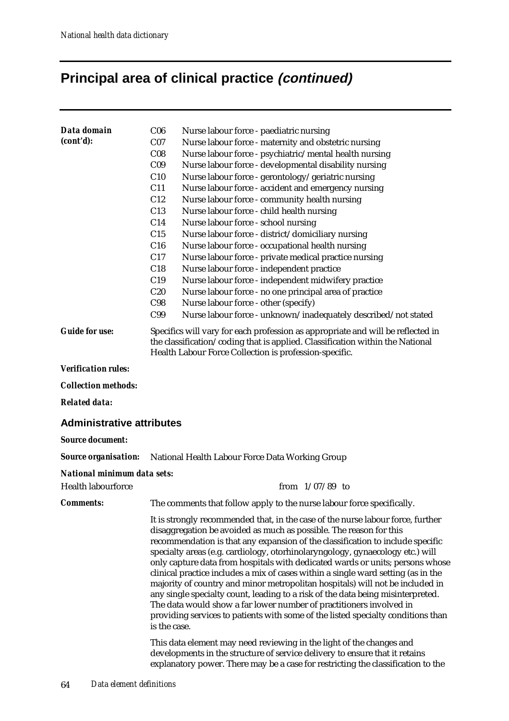# **Principal area of clinical practice (continued)**

| Data domain                      | C <sub>06</sub> | Nurse labour force - paediatric nursing                                                                                                                                                                                                                                                                                                                                                                                                                                                                                                                                                                                                                                                                                                                                                                                       |
|----------------------------------|-----------------|-------------------------------------------------------------------------------------------------------------------------------------------------------------------------------------------------------------------------------------------------------------------------------------------------------------------------------------------------------------------------------------------------------------------------------------------------------------------------------------------------------------------------------------------------------------------------------------------------------------------------------------------------------------------------------------------------------------------------------------------------------------------------------------------------------------------------------|
| (cont'd):                        | C <sub>07</sub> | Nurse labour force - maternity and obstetric nursing                                                                                                                                                                                                                                                                                                                                                                                                                                                                                                                                                                                                                                                                                                                                                                          |
|                                  | C <sub>08</sub> | Nurse labour force - psychiatric/mental health nursing                                                                                                                                                                                                                                                                                                                                                                                                                                                                                                                                                                                                                                                                                                                                                                        |
|                                  | C <sub>09</sub> | Nurse labour force - developmental disability nursing                                                                                                                                                                                                                                                                                                                                                                                                                                                                                                                                                                                                                                                                                                                                                                         |
|                                  | C10             | Nurse labour force - gerontology/geriatric nursing                                                                                                                                                                                                                                                                                                                                                                                                                                                                                                                                                                                                                                                                                                                                                                            |
|                                  | C11             | Nurse labour force - accident and emergency nursing                                                                                                                                                                                                                                                                                                                                                                                                                                                                                                                                                                                                                                                                                                                                                                           |
|                                  | C12             | Nurse labour force - community health nursing                                                                                                                                                                                                                                                                                                                                                                                                                                                                                                                                                                                                                                                                                                                                                                                 |
|                                  | C13             | Nurse labour force - child health nursing                                                                                                                                                                                                                                                                                                                                                                                                                                                                                                                                                                                                                                                                                                                                                                                     |
|                                  | C14             | Nurse labour force - school nursing                                                                                                                                                                                                                                                                                                                                                                                                                                                                                                                                                                                                                                                                                                                                                                                           |
|                                  | C15             | Nurse labour force - district/domiciliary nursing                                                                                                                                                                                                                                                                                                                                                                                                                                                                                                                                                                                                                                                                                                                                                                             |
|                                  | C16             | Nurse labour force - occupational health nursing                                                                                                                                                                                                                                                                                                                                                                                                                                                                                                                                                                                                                                                                                                                                                                              |
|                                  | C17             | Nurse labour force - private medical practice nursing                                                                                                                                                                                                                                                                                                                                                                                                                                                                                                                                                                                                                                                                                                                                                                         |
|                                  | C18             | Nurse labour force - independent practice                                                                                                                                                                                                                                                                                                                                                                                                                                                                                                                                                                                                                                                                                                                                                                                     |
|                                  | C19             | Nurse labour force - independent midwifery practice                                                                                                                                                                                                                                                                                                                                                                                                                                                                                                                                                                                                                                                                                                                                                                           |
|                                  | C20             | Nurse labour force - no one principal area of practice                                                                                                                                                                                                                                                                                                                                                                                                                                                                                                                                                                                                                                                                                                                                                                        |
|                                  | C98             | Nurse labour force - other (specify)                                                                                                                                                                                                                                                                                                                                                                                                                                                                                                                                                                                                                                                                                                                                                                                          |
|                                  | C99             | Nurse labour force - unknown/inadequately described/not stated                                                                                                                                                                                                                                                                                                                                                                                                                                                                                                                                                                                                                                                                                                                                                                |
| <b>Guide for use:</b>            |                 | Specifics will vary for each profession as appropriate and will be reflected in<br>the classification/coding that is applied. Classification within the National<br>Health Labour Force Collection is profession-specific.                                                                                                                                                                                                                                                                                                                                                                                                                                                                                                                                                                                                    |
| <b>Verification rules:</b>       |                 |                                                                                                                                                                                                                                                                                                                                                                                                                                                                                                                                                                                                                                                                                                                                                                                                                               |
| <b>Collection methods:</b>       |                 |                                                                                                                                                                                                                                                                                                                                                                                                                                                                                                                                                                                                                                                                                                                                                                                                                               |
| <b>Related data:</b>             |                 |                                                                                                                                                                                                                                                                                                                                                                                                                                                                                                                                                                                                                                                                                                                                                                                                                               |
| <b>Administrative attributes</b> |                 |                                                                                                                                                                                                                                                                                                                                                                                                                                                                                                                                                                                                                                                                                                                                                                                                                               |
| <b>Source document:</b>          |                 |                                                                                                                                                                                                                                                                                                                                                                                                                                                                                                                                                                                                                                                                                                                                                                                                                               |
| <b>Source organisation:</b>      |                 | National Health Labour Force Data Working Group                                                                                                                                                                                                                                                                                                                                                                                                                                                                                                                                                                                                                                                                                                                                                                               |
| National minimum data sets:      |                 |                                                                                                                                                                                                                                                                                                                                                                                                                                                                                                                                                                                                                                                                                                                                                                                                                               |
| <b>Health labourforce</b>        |                 | from $1/07/89$ to                                                                                                                                                                                                                                                                                                                                                                                                                                                                                                                                                                                                                                                                                                                                                                                                             |
| <b>Comments:</b>                 |                 | The comments that follow apply to the nurse labour force specifically.                                                                                                                                                                                                                                                                                                                                                                                                                                                                                                                                                                                                                                                                                                                                                        |
|                                  | is the case.    | It is strongly recommended that, in the case of the nurse labour force, further<br>disaggregation be avoided as much as possible. The reason for this<br>recommendation is that any expansion of the classification to include specific<br>specialty areas (e.g. cardiology, otorhinolaryngology, gynaecology etc.) will<br>only capture data from hospitals with dedicated wards or units; persons whose<br>clinical practice includes a mix of cases within a single ward setting (as in the<br>majority of country and minor metropolitan hospitals) will not be included in<br>any single specialty count, leading to a risk of the data being misinterpreted.<br>The data would show a far lower number of practitioners involved in<br>providing services to patients with some of the listed specialty conditions than |
|                                  |                 | This data element may need reviewing in the light of the changes and<br>developments in the structure of service delivery to ensure that it retains<br>explanatory power. There may be a case for restricting the classification to the                                                                                                                                                                                                                                                                                                                                                                                                                                                                                                                                                                                       |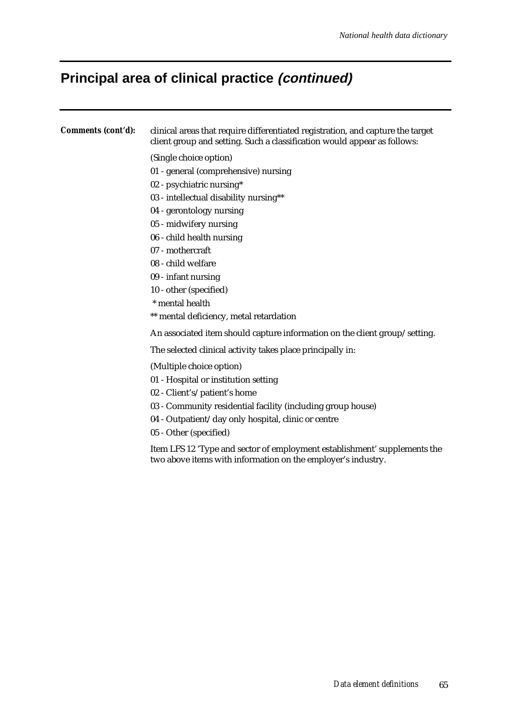# **Principal area of clinical practice (continued)**

| Comments (cont'd): | clinical areas that require differentiated registration, and capture the target<br>client group and setting. Such a classification would appear as follows: |
|--------------------|-------------------------------------------------------------------------------------------------------------------------------------------------------------|
|                    | (Single choice option)                                                                                                                                      |
|                    | 01 - general (comprehensive) nursing                                                                                                                        |
|                    | 02 - psychiatric nursing*                                                                                                                                   |
|                    | 03 - intellectual disability nursing**                                                                                                                      |
|                    | 04 - gerontology nursing                                                                                                                                    |
|                    | 05 - midwifery nursing                                                                                                                                      |
|                    | 06 - child health nursing                                                                                                                                   |
|                    | 07 - mothercraft                                                                                                                                            |
|                    | 08 - child welfare                                                                                                                                          |
|                    | 09 - infant nursing                                                                                                                                         |
|                    | 10 - other (specified)                                                                                                                                      |
|                    | * mental health                                                                                                                                             |
|                    | ** mental deficiency, metal retardation                                                                                                                     |
|                    | An associated item should capture information on the client group/setting.                                                                                  |
|                    | The selected clinical activity takes place principally in:                                                                                                  |
|                    | (Multiple choice option)                                                                                                                                    |
|                    | 01 - Hospital or institution setting                                                                                                                        |
|                    | 02 - Client's/patient's home                                                                                                                                |
|                    | 03 - Community residential facility (including group house)                                                                                                 |
|                    | 04 - Outpatient/day only hospital, clinic or centre                                                                                                         |
|                    | 05 - Other (specified)                                                                                                                                      |
|                    | Item LFS 12 'Type and sector of employment establishment' supplements the<br>two above items with information on the employer's industry.                   |
|                    |                                                                                                                                                             |
|                    |                                                                                                                                                             |
|                    |                                                                                                                                                             |
|                    |                                                                                                                                                             |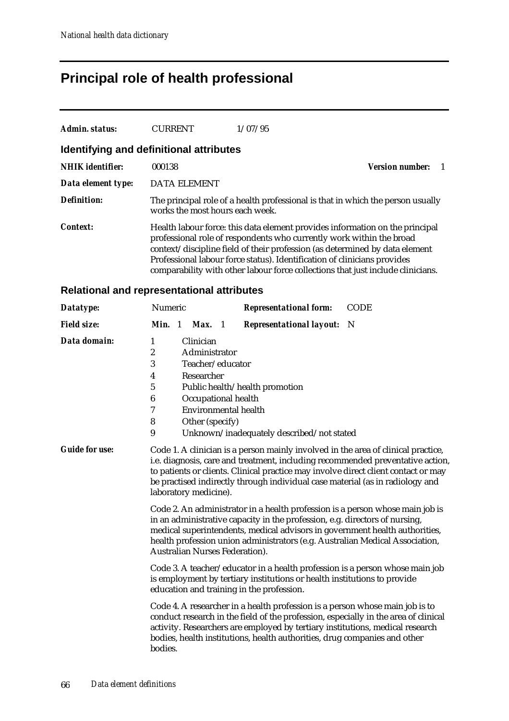## **Principal role of health professional**

| Admin. status:                          | <b>CURRENT</b>                  | 1/07/95                                                                                                                                          |                                                                                                                                                                                                                                                |
|-----------------------------------------|---------------------------------|--------------------------------------------------------------------------------------------------------------------------------------------------|------------------------------------------------------------------------------------------------------------------------------------------------------------------------------------------------------------------------------------------------|
| Identifying and definitional attributes |                                 |                                                                                                                                                  |                                                                                                                                                                                                                                                |
| <b>NHIK</b> identifier:                 | 000138                          |                                                                                                                                                  | <b>Version number:</b>                                                                                                                                                                                                                         |
| Data element type:                      | <b>DATA ELEMENT</b>             |                                                                                                                                                  |                                                                                                                                                                                                                                                |
| <b>Definition:</b>                      | works the most hours each week. |                                                                                                                                                  | The principal role of a health professional is that in which the person usually                                                                                                                                                                |
| <b>Context:</b>                         |                                 | professional role of respondents who currently work within the broad<br>Professional labour force status). Identification of clinicians provides | Health labour force: this data element provides information on the principal<br>context/discipline field of their profession (as determined by data element<br>comparability with other labour force collections that just include clinicians. |

#### **Relational and representational attributes**

| Datatype:             | Numeric                                                                                                                                                                                                                                                                                                                                                              |  |                                                                                                                                       |  | <b>Representational form:</b>                                                                                                                                                                                                                                                                                                     | <b>CODE</b> |  |
|-----------------------|----------------------------------------------------------------------------------------------------------------------------------------------------------------------------------------------------------------------------------------------------------------------------------------------------------------------------------------------------------------------|--|---------------------------------------------------------------------------------------------------------------------------------------|--|-----------------------------------------------------------------------------------------------------------------------------------------------------------------------------------------------------------------------------------------------------------------------------------------------------------------------------------|-------------|--|
| <b>Field size:</b>    | Min. 1                                                                                                                                                                                                                                                                                                                                                               |  | Max. 1                                                                                                                                |  | <b>Representational layout:</b>                                                                                                                                                                                                                                                                                                   | N           |  |
| Data domain:          | 1<br>2<br>3<br>4<br>5<br>6<br>7<br>8<br>9                                                                                                                                                                                                                                                                                                                            |  | Clinician<br>Administrator<br>Teacher/educator<br>Researcher<br>Occupational health<br><b>Environmental health</b><br>Other (specify) |  | Public health/health promotion<br>Unknown/inadequately described/not stated                                                                                                                                                                                                                                                       |             |  |
| <b>Guide for use:</b> | Code 1. A clinician is a person mainly involved in the area of clinical practice,<br>i.e. diagnosis, care and treatment, including recommended preventative action,<br>to patients or clients. Clinical practice may involve direct client contact or may<br>be practised indirectly through individual case material (as in radiology and<br>laboratory medicine).  |  |                                                                                                                                       |  |                                                                                                                                                                                                                                                                                                                                   |             |  |
|                       | Code 2. An administrator in a health profession is a person whose main job is<br>in an administrative capacity in the profession, e.g. directors of nursing,<br>medical superintendents, medical advisors in government health authorities,<br>health profession union administrators (e.g. Australian Medical Association,<br><b>Australian Nurses Federation).</b> |  |                                                                                                                                       |  |                                                                                                                                                                                                                                                                                                                                   |             |  |
|                       | Code 3. A teacher/educator in a health profession is a person whose main job<br>is employment by tertiary institutions or health institutions to provide<br>education and training in the profession.                                                                                                                                                                |  |                                                                                                                                       |  |                                                                                                                                                                                                                                                                                                                                   |             |  |
|                       | bodies.                                                                                                                                                                                                                                                                                                                                                              |  |                                                                                                                                       |  | Code 4. A researcher in a health profession is a person whose main job is to<br>conduct research in the field of the profession, especially in the area of clinical<br>activity. Researchers are employed by tertiary institutions, medical research<br>bodies, health institutions, health authorities, drug companies and other |             |  |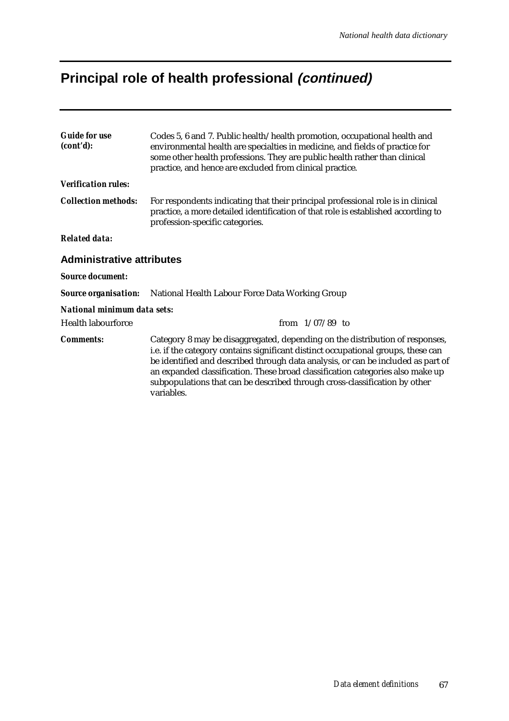# **Principal role of health professional (continued)**

| <b>Guide for use</b><br>(cont'd): | Codes 5, 6 and 7. Public health/health promotion, occupational health and<br>environmental health are specialties in medicine, and fields of practice for<br>some other health professions. They are public health rather than clinical<br>practice, and hence are excluded from clinical practice.                                                                                                                                 |
|-----------------------------------|-------------------------------------------------------------------------------------------------------------------------------------------------------------------------------------------------------------------------------------------------------------------------------------------------------------------------------------------------------------------------------------------------------------------------------------|
| <b>Verification rules:</b>        |                                                                                                                                                                                                                                                                                                                                                                                                                                     |
| <b>Collection methods:</b>        | For respondents indicating that their principal professional role is in clinical<br>practice, a more detailed identification of that role is established according to<br>profession-specific categories.                                                                                                                                                                                                                            |
| <b>Related data:</b>              |                                                                                                                                                                                                                                                                                                                                                                                                                                     |
| <b>Administrative attributes</b>  |                                                                                                                                                                                                                                                                                                                                                                                                                                     |
| <b>Source document:</b>           |                                                                                                                                                                                                                                                                                                                                                                                                                                     |
| <b>Source organisation:</b>       | National Health Labour Force Data Working Group                                                                                                                                                                                                                                                                                                                                                                                     |
| National minimum data sets:       |                                                                                                                                                                                                                                                                                                                                                                                                                                     |
| <b>Health labourforce</b>         | from $1/07/89$ to                                                                                                                                                                                                                                                                                                                                                                                                                   |
| <b>Comments:</b>                  | Category 8 may be disaggregated, depending on the distribution of responses,<br>i.e. if the category contains significant distinct occupational groups, these can<br>be identified and described through data analysis, or can be included as part of<br>an expanded classification. These broad classification categories also make up<br>subpopulations that can be described through cross-classification by other<br>variables. |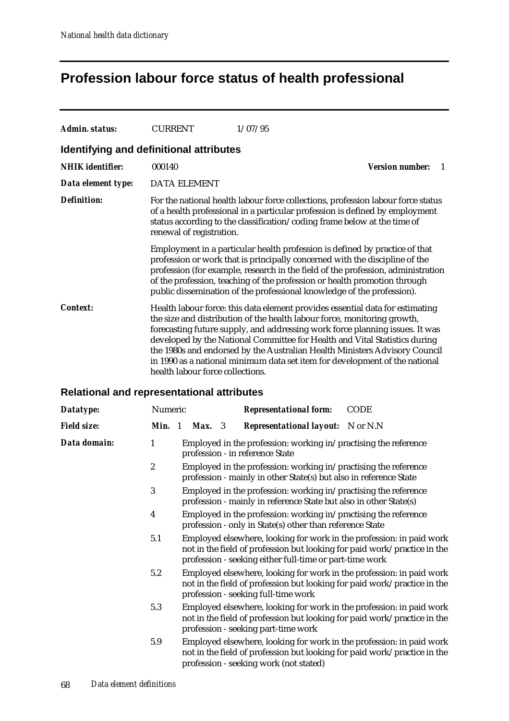### **Profession labour force status of health professional**

| <b>Admin. status:</b>                             | <b>CURRENT</b>                                                                                                                                                                                                                                                                                                                                                                                                                                                                                                           |                     |  | 1/07/95                                  |                              |  |  |
|---------------------------------------------------|--------------------------------------------------------------------------------------------------------------------------------------------------------------------------------------------------------------------------------------------------------------------------------------------------------------------------------------------------------------------------------------------------------------------------------------------------------------------------------------------------------------------------|---------------------|--|------------------------------------------|------------------------------|--|--|
| Identifying and definitional attributes           |                                                                                                                                                                                                                                                                                                                                                                                                                                                                                                                          |                     |  |                                          |                              |  |  |
| <b>NHIK</b> identifier:                           | 000140                                                                                                                                                                                                                                                                                                                                                                                                                                                                                                                   |                     |  |                                          | <b>Version number:</b><br>-1 |  |  |
| Data element type:                                |                                                                                                                                                                                                                                                                                                                                                                                                                                                                                                                          | <b>DATA ELEMENT</b> |  |                                          |                              |  |  |
| <b>Definition:</b>                                | For the national health labour force collections, profession labour force status<br>of a health professional in a particular profession is defined by employment<br>status according to the classification/coding frame below at the time of<br>renewal of registration.                                                                                                                                                                                                                                                 |                     |  |                                          |                              |  |  |
|                                                   | Employment in a particular health profession is defined by practice of that<br>profession or work that is principally concerned with the discipline of the<br>profession (for example, research in the field of the profession, administration<br>of the profession, teaching of the profession or health promotion through<br>public dissemination of the professional knowledge of the profession).                                                                                                                    |                     |  |                                          |                              |  |  |
| <i>Context:</i>                                   | Health labour force: this data element provides essential data for estimating<br>the size and distribution of the health labour force, monitoring growth,<br>forecasting future supply, and addressing work force planning issues. It was<br>developed by the National Committee for Health and Vital Statistics during<br>the 1980s and endorsed by the Australian Health Ministers Advisory Council<br>in 1990 as a national minimum data set item for development of the national<br>health labour force collections. |                     |  |                                          |                              |  |  |
| <b>Relational and representational attributes</b> |                                                                                                                                                                                                                                                                                                                                                                                                                                                                                                                          |                     |  |                                          |                              |  |  |
| Datatype:                                         | Numeric<br><b>Representational form:</b><br><b>CODE</b>                                                                                                                                                                                                                                                                                                                                                                                                                                                                  |                     |  |                                          |                              |  |  |
| <b>Field size:</b>                                | Min. 1                                                                                                                                                                                                                                                                                                                                                                                                                                                                                                                   | <b>Max.</b> 3       |  | <b>Representational layout:</b> N or N.N |                              |  |  |
| Data domain:                                      | 1<br>Employed in the profession: working in/practising the reference<br>profession - in reference State                                                                                                                                                                                                                                                                                                                                                                                                                  |                     |  |                                          |                              |  |  |
|                                                   | $\boldsymbol{2}$<br>Employed in the profession: working in/practising the reference<br>profession - mainly in other State(s) but also in reference State                                                                                                                                                                                                                                                                                                                                                                 |                     |  |                                          |                              |  |  |
|                                                   | 3<br>Employed in the profession: working in/practising the reference                                                                                                                                                                                                                                                                                                                                                                                                                                                     |                     |  |                                          |                              |  |  |

- profession mainly in reference State but also in other State(s)
- 4 Employed in the profession: working in/practising the reference profession - only in State(s) other than reference State
- 5.1 Employed elsewhere, looking for work in the profession: in paid work not in the field of profession but looking for paid work/practice in the profession - seeking either full-time or part-time work
- 5.2 Employed elsewhere, looking for work in the profession: in paid work not in the field of profession but looking for paid work/practice in the profession - seeking full-time work
- 5.3 Employed elsewhere, looking for work in the profession: in paid work not in the field of profession but looking for paid work/practice in the profession - seeking part-time work
- 5.9 Employed elsewhere, looking for work in the profession: in paid work not in the field of profession but looking for paid work/practice in the profession - seeking work (not stated)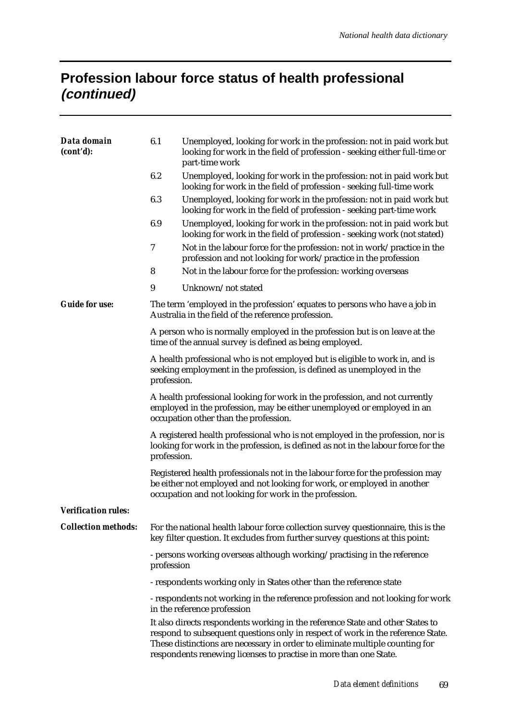## **Profession labour force status of health professional (continued)**

| Data domain<br>(cont'd):   | 6.1                                                                                                                                                                                            | Unemployed, looking for work in the profession: not in paid work but<br>looking for work in the field of profession - seeking either full-time or<br>part-time work                                                                                                                                                    |  |  |  |  |  |
|----------------------------|------------------------------------------------------------------------------------------------------------------------------------------------------------------------------------------------|------------------------------------------------------------------------------------------------------------------------------------------------------------------------------------------------------------------------------------------------------------------------------------------------------------------------|--|--|--|--|--|
|                            | 6.2                                                                                                                                                                                            | Unemployed, looking for work in the profession: not in paid work but<br>looking for work in the field of profession - seeking full-time work                                                                                                                                                                           |  |  |  |  |  |
|                            | 6.3                                                                                                                                                                                            | Unemployed, looking for work in the profession: not in paid work but<br>looking for work in the field of profession - seeking part-time work                                                                                                                                                                           |  |  |  |  |  |
|                            | 6.9                                                                                                                                                                                            | Unemployed, looking for work in the profession: not in paid work but<br>looking for work in the field of profession - seeking work (not stated)                                                                                                                                                                        |  |  |  |  |  |
|                            | 7                                                                                                                                                                                              | Not in the labour force for the profession: not in work/practice in the<br>profession and not looking for work/practice in the profession                                                                                                                                                                              |  |  |  |  |  |
|                            | 8                                                                                                                                                                                              | Not in the labour force for the profession: working overseas                                                                                                                                                                                                                                                           |  |  |  |  |  |
|                            | $\boldsymbol{9}$                                                                                                                                                                               | Unknown/not stated                                                                                                                                                                                                                                                                                                     |  |  |  |  |  |
| <b>Guide for use:</b>      |                                                                                                                                                                                                | The term 'employed in the profession' equates to persons who have a job in<br>Australia in the field of the reference profession.                                                                                                                                                                                      |  |  |  |  |  |
|                            |                                                                                                                                                                                                | A person who is normally employed in the profession but is on leave at the<br>time of the annual survey is defined as being employed.                                                                                                                                                                                  |  |  |  |  |  |
|                            | profession.                                                                                                                                                                                    | A health professional who is not employed but is eligible to work in, and is<br>seeking employment in the profession, is defined as unemployed in the                                                                                                                                                                  |  |  |  |  |  |
|                            | A health professional looking for work in the profession, and not currently<br>employed in the profession, may be either unemployed or employed in an<br>occupation other than the profession. |                                                                                                                                                                                                                                                                                                                        |  |  |  |  |  |
|                            | A registered health professional who is not employed in the profession, nor is<br>looking for work in the profession, is defined as not in the labour force for the<br>profession.             |                                                                                                                                                                                                                                                                                                                        |  |  |  |  |  |
|                            |                                                                                                                                                                                                | Registered health professionals not in the labour force for the profession may<br>be either not employed and not looking for work, or employed in another<br>occupation and not looking for work in the profession.                                                                                                    |  |  |  |  |  |
| <b>Verification rules:</b> |                                                                                                                                                                                                |                                                                                                                                                                                                                                                                                                                        |  |  |  |  |  |
| <b>Collection methods:</b> | For the national health labour force collection survey question aire, this is the<br>key filter question. It excludes from further survey questions at this point:                             |                                                                                                                                                                                                                                                                                                                        |  |  |  |  |  |
|                            | profession                                                                                                                                                                                     | - persons working overseas although working/practising in the reference                                                                                                                                                                                                                                                |  |  |  |  |  |
|                            |                                                                                                                                                                                                | - respondents working only in States other than the reference state                                                                                                                                                                                                                                                    |  |  |  |  |  |
|                            |                                                                                                                                                                                                | - respondents not working in the reference profession and not looking for work<br>in the reference profession                                                                                                                                                                                                          |  |  |  |  |  |
|                            |                                                                                                                                                                                                | It also directs respondents working in the reference State and other States to<br>respond to subsequent questions only in respect of work in the reference State.<br>These distinctions are necessary in order to eliminate multiple counting for<br>respondents renewing licenses to practise in more than one State. |  |  |  |  |  |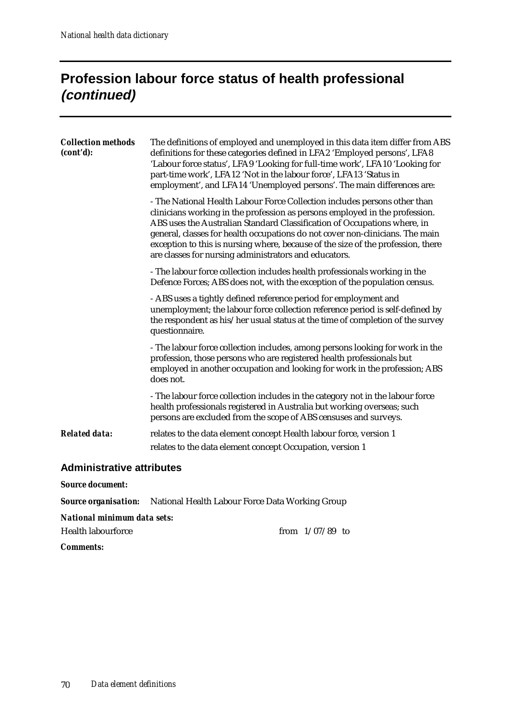## **Profession labour force status of health professional (continued)**

| <b>Collection methods</b><br>(cont'd): | The definitions of employed and unemployed in this data item differ from ABS<br>definitions for these categories defined in LFA2 'Employed persons', LFA8<br>'Labour force status', LFA9 'Looking for full-time work', LFA10 'Looking for<br>part-time work', LFA12 'Not in the labour force', LFA13 'Status in<br>employment', and LFA14 'Unemployed persons'. The main differences are:<br>- The National Health Labour Force Collection includes persons other than<br>clinicians working in the profession as persons employed in the profession.<br>ABS uses the Australian Standard Classification of Occupations where, in<br>general, classes for health occupations do not cover non-clinicians. The main<br>exception to this is nursing where, because of the size of the profession, there<br>are classes for nursing administrators and educators. |
|----------------------------------------|-----------------------------------------------------------------------------------------------------------------------------------------------------------------------------------------------------------------------------------------------------------------------------------------------------------------------------------------------------------------------------------------------------------------------------------------------------------------------------------------------------------------------------------------------------------------------------------------------------------------------------------------------------------------------------------------------------------------------------------------------------------------------------------------------------------------------------------------------------------------|
|                                        | - The labour force collection includes health professionals working in the<br>Defence Forces; ABS does not, with the exception of the population census.                                                                                                                                                                                                                                                                                                                                                                                                                                                                                                                                                                                                                                                                                                        |
|                                        | - ABS uses a tightly defined reference period for employment and<br>unemployment; the labour force collection reference period is self-defined by<br>the respondent as his/her usual status at the time of completion of the survey<br>questionnaire.                                                                                                                                                                                                                                                                                                                                                                                                                                                                                                                                                                                                           |
|                                        | - The labour force collection includes, among persons looking for work in the<br>profession, those persons who are registered health professionals but<br>employed in another occupation and looking for work in the profession; ABS<br>does not.                                                                                                                                                                                                                                                                                                                                                                                                                                                                                                                                                                                                               |
|                                        | - The labour force collection includes in the category not in the labour force<br>health professionals registered in Australia but working overseas; such<br>persons are excluded from the scope of ABS censuses and surveys.                                                                                                                                                                                                                                                                                                                                                                                                                                                                                                                                                                                                                                   |
| <b>Related data:</b>                   | relates to the data element concept Health labour force, version 1<br>relates to the data element concept Occupation, version 1                                                                                                                                                                                                                                                                                                                                                                                                                                                                                                                                                                                                                                                                                                                                 |
| <b>Administrative attributes</b>       |                                                                                                                                                                                                                                                                                                                                                                                                                                                                                                                                                                                                                                                                                                                                                                                                                                                                 |
| <b>Source document:</b>                |                                                                                                                                                                                                                                                                                                                                                                                                                                                                                                                                                                                                                                                                                                                                                                                                                                                                 |
| <b>Source organisation:</b>            | National Health Labour Force Data Working Group                                                                                                                                                                                                                                                                                                                                                                                                                                                                                                                                                                                                                                                                                                                                                                                                                 |

*National minimum data sets:*

| Health labourforce |  | from $1/07/89$ to |  |
|--------------------|--|-------------------|--|
|--------------------|--|-------------------|--|

*Comments:*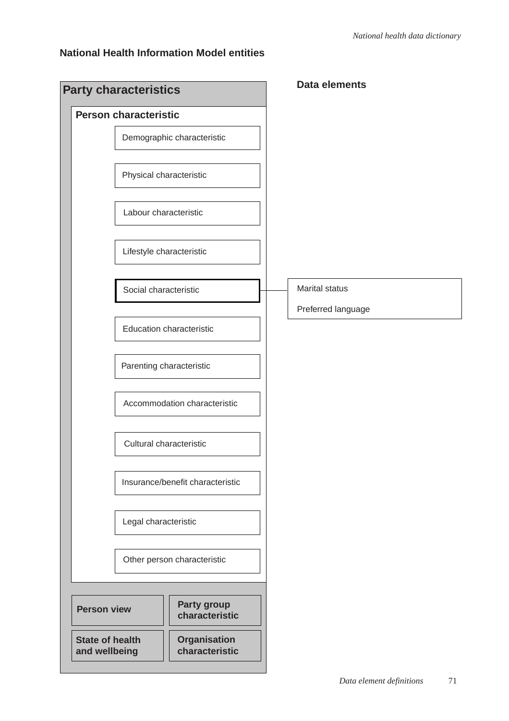#### **National Health Information Model entities**

| <b>Party characteristics</b>            |                                       | <b>Data elements</b>                        |
|-----------------------------------------|---------------------------------------|---------------------------------------------|
| <b>Person characteristic</b>            |                                       |                                             |
|                                         | Demographic characteristic            |                                             |
|                                         | Physical characteristic               |                                             |
| Labour characteristic                   |                                       |                                             |
|                                         | Lifestyle characteristic              |                                             |
| Social characteristic                   |                                       | <b>Marital status</b><br>Preferred language |
|                                         | <b>Education characteristic</b>       |                                             |
|                                         | Parenting characteristic              |                                             |
|                                         | Accommodation characteristic          |                                             |
|                                         | Cultural characteristic               |                                             |
|                                         | Insurance/benefit characteristic      |                                             |
| Legal characteristic                    |                                       |                                             |
|                                         | Other person characteristic           |                                             |
|                                         |                                       |                                             |
| <b>Person view</b>                      | Party group<br>characteristic         |                                             |
| <b>State of health</b><br>and wellbeing | <b>Organisation</b><br>characteristic |                                             |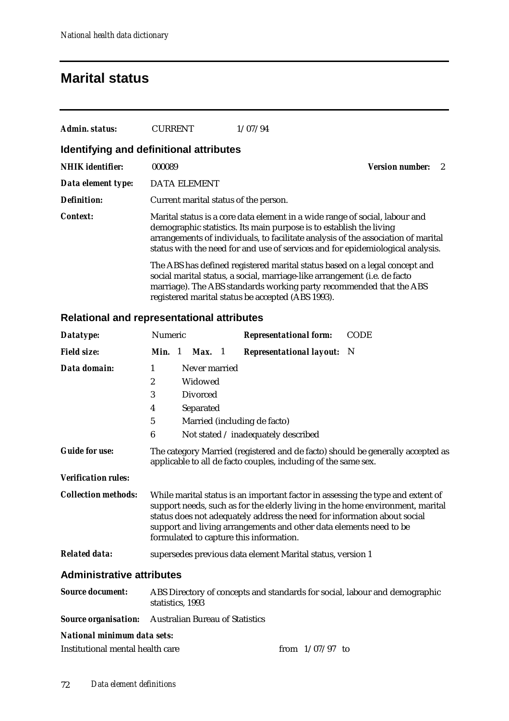### **Marital status**

| Admin. status:          | <b>CURRENT</b>                          | 1/07/94                                                                                                                                                                                                                                                                                                                   |                               |
|-------------------------|-----------------------------------------|---------------------------------------------------------------------------------------------------------------------------------------------------------------------------------------------------------------------------------------------------------------------------------------------------------------------------|-------------------------------|
|                         | Identifying and definitional attributes |                                                                                                                                                                                                                                                                                                                           |                               |
| <b>NHIK</b> identifier: | 000089                                  |                                                                                                                                                                                                                                                                                                                           | <b>Version number:</b><br>- 2 |
| Data element type:      | <b>DATA ELEMENT</b>                     |                                                                                                                                                                                                                                                                                                                           |                               |
| <b>Definition:</b>      | Current marital status of the person.   |                                                                                                                                                                                                                                                                                                                           |                               |
| <b>Context:</b>         |                                         | Marital status is a core data element in a wide range of social, labour and<br>demographic statistics. Its main purpose is to establish the living<br>arrangements of individuals, to facilitate analysis of the association of marital<br>status with the need for and use of services and for epidemiological analysis. |                               |
|                         |                                         | The ABS has defined registered marital status based on a legal concept and<br>social marital status, a social, marriage-like arrangement (i.e. de facto<br>marriage). The ABS standards working party recommended that the ABS<br>registered marital status be accepted (ABS 1993).                                       |                               |

#### **Relational and representational attributes**

| Datatype:                        | Numeric                                                                                                                                                                                                                                                                                                                                                        |  |                                        |  | <b>Representational form:</b>                                              | <b>CODE</b> |  |  |
|----------------------------------|----------------------------------------------------------------------------------------------------------------------------------------------------------------------------------------------------------------------------------------------------------------------------------------------------------------------------------------------------------------|--|----------------------------------------|--|----------------------------------------------------------------------------|-------------|--|--|
| <b>Field size:</b>               | <b>Min.</b> 1                                                                                                                                                                                                                                                                                                                                                  |  | Max. 1                                 |  | <b>Representational layout:</b> N                                          |             |  |  |
| Data domain:                     | 1                                                                                                                                                                                                                                                                                                                                                              |  | Never married                          |  |                                                                            |             |  |  |
|                                  | $\boldsymbol{2}$                                                                                                                                                                                                                                                                                                                                               |  | Widowed                                |  |                                                                            |             |  |  |
|                                  | 3                                                                                                                                                                                                                                                                                                                                                              |  | <b>Divorced</b>                        |  |                                                                            |             |  |  |
|                                  | 4                                                                                                                                                                                                                                                                                                                                                              |  | Separated                              |  |                                                                            |             |  |  |
|                                  | $\bf 5$<br>Married (including de facto)                                                                                                                                                                                                                                                                                                                        |  |                                        |  |                                                                            |             |  |  |
|                                  | $\boldsymbol{6}$                                                                                                                                                                                                                                                                                                                                               |  |                                        |  | Not stated / inadequately described                                        |             |  |  |
| <b>Guide for use:</b>            | The category Married (registered and de facto) should be generally accepted as<br>applicable to all de facto couples, including of the same sex.                                                                                                                                                                                                               |  |                                        |  |                                                                            |             |  |  |
| <b>Verification rules:</b>       |                                                                                                                                                                                                                                                                                                                                                                |  |                                        |  |                                                                            |             |  |  |
| <b>Collection methods:</b>       | While marital status is an important factor in assessing the type and extent of<br>support needs, such as for the elderly living in the home environment, marital<br>status does not adequately address the need for information about social<br>support and living arrangements and other data elements need to be<br>formulated to capture this information. |  |                                        |  |                                                                            |             |  |  |
| <b>Related data:</b>             | supersedes previous data element Marital status, version 1                                                                                                                                                                                                                                                                                                     |  |                                        |  |                                                                            |             |  |  |
| <b>Administrative attributes</b> |                                                                                                                                                                                                                                                                                                                                                                |  |                                        |  |                                                                            |             |  |  |
| <b>Source document:</b>          | statistics, 1993                                                                                                                                                                                                                                                                                                                                               |  |                                        |  | ABS Directory of concepts and standards for social, labour and demographic |             |  |  |
| <b>Source organisation:</b>      |                                                                                                                                                                                                                                                                                                                                                                |  | <b>Australian Bureau of Statistics</b> |  |                                                                            |             |  |  |

#### *National minimum data sets:*

| from $1/07/97$ to<br>Institutional mental health care |  |  |
|-------------------------------------------------------|--|--|
|-------------------------------------------------------|--|--|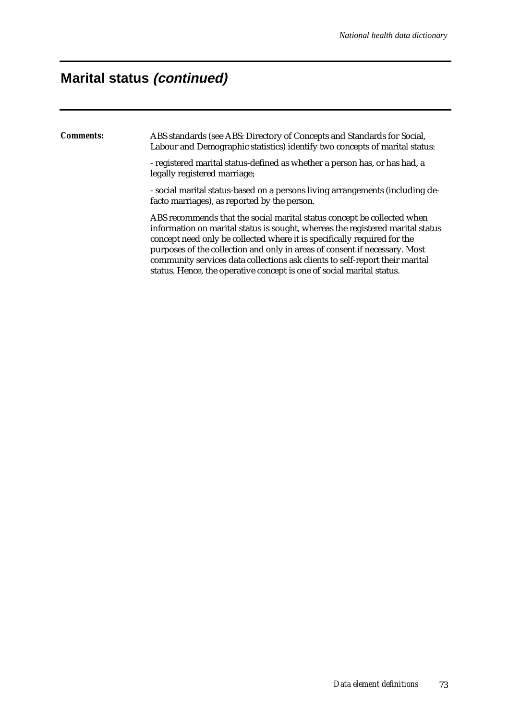## **Marital status (continued)**

*Comments:* ABS standards (see ABS: Directory of Concepts and Standards for Social, Labour and Demographic statistics) identify two concepts of marital status: - registered marital status-defined as whether a person has, or has had, a legally registered marriage; - social marital status-based on a persons living arrangements (including defacto marriages), as reported by the person. ABS recommends that the social marital status concept be collected when information on marital status is sought, whereas the registered marital status concept need only be collected where it is specifically required for the purposes of the collection and only in areas of consent if necessary. Most community services data collections ask clients to self-report their marital status. Hence, the operative concept is one of social marital status.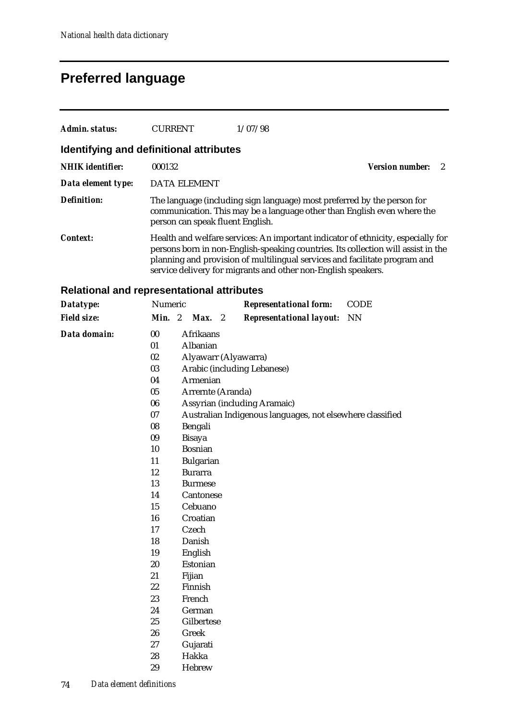## **Preferred language**

| Admin. status:          | <b>CURRENT</b>                          | 1/07/98                                                                                                                                                                                                                                                                                                              |                          |
|-------------------------|-----------------------------------------|----------------------------------------------------------------------------------------------------------------------------------------------------------------------------------------------------------------------------------------------------------------------------------------------------------------------|--------------------------|
|                         | Identifying and definitional attributes |                                                                                                                                                                                                                                                                                                                      |                          |
| <b>NHIK</b> identifier: | 000132                                  |                                                                                                                                                                                                                                                                                                                      | <b>Version number:</b> 2 |
| Data element type:      | <b>DATA ELEMENT</b>                     |                                                                                                                                                                                                                                                                                                                      |                          |
| <b>Definition:</b>      | person can speak fluent English.        | The language (including sign language) most preferred by the person for<br>communication. This may be a language other than English even where the                                                                                                                                                                   |                          |
| Context:                |                                         | Health and welfare services: An important indicator of ethnicity, especially for<br>persons born in non-English-speaking countries. Its collection will assist in the<br>planning and provision of multilingual services and facilitate program and<br>service delivery for migrants and other non-English speakers. |                          |

#### **Relational and representational attributes**

| Datatype:          | Numeric |                   |                                                           |  | <b>Representational form:</b>   | <b>CODE</b> |  |  |  |  |
|--------------------|---------|-------------------|-----------------------------------------------------------|--|---------------------------------|-------------|--|--|--|--|
| <b>Field size:</b> | Min. 2  |                   | $Max.$ 2                                                  |  | <b>Representational layout:</b> | <b>NN</b>   |  |  |  |  |
| Data domain:       | 00      | Afrikaans         |                                                           |  |                                 |             |  |  |  |  |
|                    | 01      |                   | Albanian                                                  |  |                                 |             |  |  |  |  |
|                    | 02      |                   |                                                           |  | Alyawarr (Alyawarra)            |             |  |  |  |  |
|                    | 03      |                   |                                                           |  | Arabic (including Lebanese)     |             |  |  |  |  |
|                    | 04      |                   | Armenian                                                  |  |                                 |             |  |  |  |  |
|                    | 05      | Arrernte (Aranda) |                                                           |  |                                 |             |  |  |  |  |
|                    | 06      |                   | Assyrian (including Aramaic)                              |  |                                 |             |  |  |  |  |
|                    | 07      |                   | Australian Indigenous languages, not elsewhere classified |  |                                 |             |  |  |  |  |
|                    | 08      |                   | Bengali                                                   |  |                                 |             |  |  |  |  |
|                    | 09      |                   | <b>Bisaya</b>                                             |  |                                 |             |  |  |  |  |
|                    | 10      |                   | <b>Bosnian</b>                                            |  |                                 |             |  |  |  |  |
|                    | 11      |                   | <b>Bulgarian</b>                                          |  |                                 |             |  |  |  |  |
|                    | 12      | <b>Burarra</b>    |                                                           |  |                                 |             |  |  |  |  |
|                    | 13      |                   | <b>Burmese</b>                                            |  |                                 |             |  |  |  |  |
|                    | 14      |                   | Cantonese                                                 |  |                                 |             |  |  |  |  |
|                    | 15      |                   | Cebuano                                                   |  |                                 |             |  |  |  |  |
|                    | 16      | Croatian          |                                                           |  |                                 |             |  |  |  |  |
|                    | 17      | Czech             |                                                           |  |                                 |             |  |  |  |  |
|                    | 18      | Danish            |                                                           |  |                                 |             |  |  |  |  |
|                    | 19      |                   | English                                                   |  |                                 |             |  |  |  |  |
|                    | 20      |                   | Estonian                                                  |  |                                 |             |  |  |  |  |
|                    | 21      |                   | Fijian                                                    |  |                                 |             |  |  |  |  |
|                    | 22      |                   | Finnish                                                   |  |                                 |             |  |  |  |  |
|                    | 23      |                   | French                                                    |  |                                 |             |  |  |  |  |
|                    | 24      |                   | German                                                    |  |                                 |             |  |  |  |  |
|                    | 25      | Gilbertese        |                                                           |  |                                 |             |  |  |  |  |
|                    | 26      |                   | Greek                                                     |  |                                 |             |  |  |  |  |
|                    | 27      |                   | Gujarati                                                  |  |                                 |             |  |  |  |  |
|                    | 28      |                   | Hakka                                                     |  |                                 |             |  |  |  |  |
|                    | 29      |                   | Hebrew                                                    |  |                                 |             |  |  |  |  |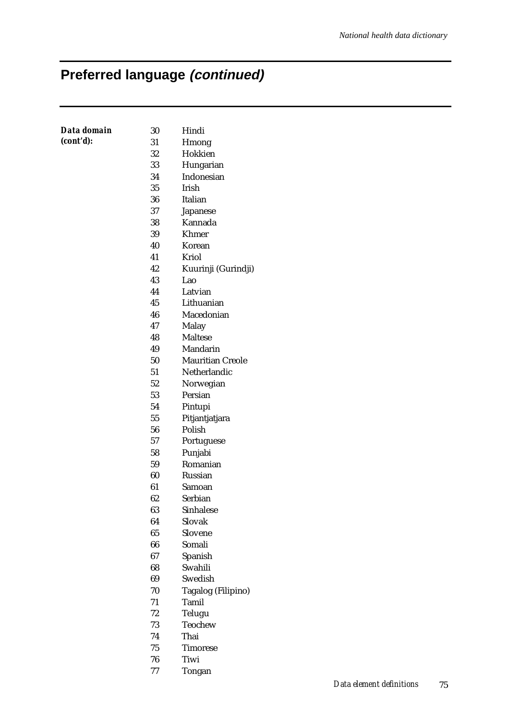# **Preferred language (continued)**

| Data domain | 30 | Hindi                   |
|-------------|----|-------------------------|
| (cont'd):   | 31 | Hmong                   |
|             | 32 | Hokkien                 |
|             | 33 | Hungarian               |
|             | 34 | Indonesian              |
|             | 35 | Irish                   |
|             | 36 | Italian                 |
|             | 37 | Japanese                |
|             | 38 | Kannada                 |
|             | 39 | Khmer                   |
|             | 40 | Korean                  |
|             | 41 | Kriol                   |
|             | 42 | Kuurinji (Gurindji)     |
|             | 43 | Lao                     |
|             | 44 | Latvian                 |
|             | 45 | Lithuanian              |
|             | 46 | Macedonian              |
|             | 47 | Malay                   |
|             | 48 | <b>Maltese</b>          |
|             | 49 | Mandarin                |
|             | 50 | <b>Mauritian Creole</b> |
|             | 51 | Netherlandic            |
|             | 52 | Norwegian               |
|             | 53 | Persian                 |
|             | 54 | Pintupi                 |
|             | 55 | Pitjantjatjara          |
|             | 56 | Polish                  |
|             | 57 | Portuguese              |
|             | 58 | Punjabi                 |
|             | 59 | Romanian                |
|             | 60 | Russian                 |
|             | 61 | Samoan                  |
|             | 62 | Serbian                 |
|             | 63 | Sinhalese               |
|             | 64 | Slovak                  |
|             | 65 | Slovene                 |
|             | 66 | Somali                  |
|             | 67 | Spanish                 |
|             | 68 | Swahili                 |
|             | 69 | Swedish                 |
|             | 70 | Tagalog (Filipino)      |
|             | 71 | Tamil                   |
|             | 72 | Telugu                  |
|             | 73 | Teochew                 |
|             | 74 | Thai                    |
|             | 75 | <b>Timorese</b>         |
|             | 76 | Tiwi                    |
|             |    |                         |

77 Tongan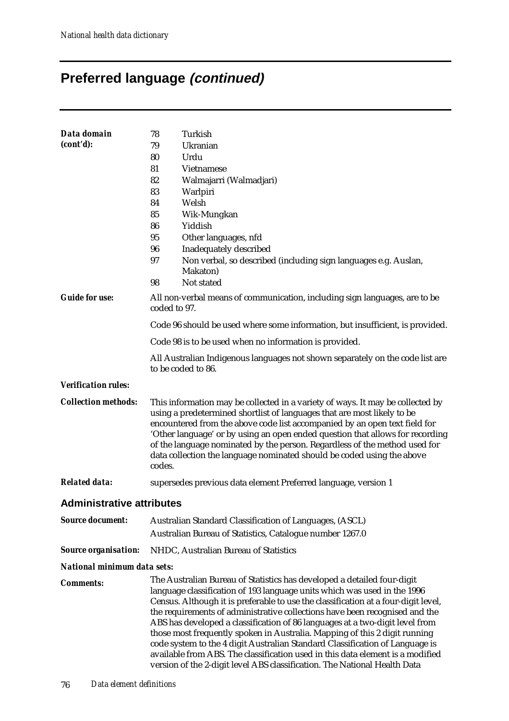# **Preferred language (continued)**

| Data domain                      | 78<br>Turkish                                                                                                                                                                                                                                                                                                                                                                                                                                                                                                                                                                                                                                                                                                                         |  |  |  |  |  |
|----------------------------------|---------------------------------------------------------------------------------------------------------------------------------------------------------------------------------------------------------------------------------------------------------------------------------------------------------------------------------------------------------------------------------------------------------------------------------------------------------------------------------------------------------------------------------------------------------------------------------------------------------------------------------------------------------------------------------------------------------------------------------------|--|--|--|--|--|
| (cont'd):                        | Ukranian<br>79                                                                                                                                                                                                                                                                                                                                                                                                                                                                                                                                                                                                                                                                                                                        |  |  |  |  |  |
|                                  | Urdu<br>80                                                                                                                                                                                                                                                                                                                                                                                                                                                                                                                                                                                                                                                                                                                            |  |  |  |  |  |
|                                  | 81<br>Vietnamese                                                                                                                                                                                                                                                                                                                                                                                                                                                                                                                                                                                                                                                                                                                      |  |  |  |  |  |
|                                  | 82<br>Walmajarri (Walmadjari)                                                                                                                                                                                                                                                                                                                                                                                                                                                                                                                                                                                                                                                                                                         |  |  |  |  |  |
|                                  | 83<br>Warlpiri                                                                                                                                                                                                                                                                                                                                                                                                                                                                                                                                                                                                                                                                                                                        |  |  |  |  |  |
|                                  | Welsh<br>84                                                                                                                                                                                                                                                                                                                                                                                                                                                                                                                                                                                                                                                                                                                           |  |  |  |  |  |
|                                  | 85<br>Wik-Mungkan                                                                                                                                                                                                                                                                                                                                                                                                                                                                                                                                                                                                                                                                                                                     |  |  |  |  |  |
|                                  | 86<br>Yiddish                                                                                                                                                                                                                                                                                                                                                                                                                                                                                                                                                                                                                                                                                                                         |  |  |  |  |  |
|                                  | 95<br>Other languages, nfd                                                                                                                                                                                                                                                                                                                                                                                                                                                                                                                                                                                                                                                                                                            |  |  |  |  |  |
|                                  | 96<br>Inadequately described                                                                                                                                                                                                                                                                                                                                                                                                                                                                                                                                                                                                                                                                                                          |  |  |  |  |  |
|                                  | 97<br>Non verbal, so described (including sign languages e.g. Auslan,                                                                                                                                                                                                                                                                                                                                                                                                                                                                                                                                                                                                                                                                 |  |  |  |  |  |
|                                  | Makaton)                                                                                                                                                                                                                                                                                                                                                                                                                                                                                                                                                                                                                                                                                                                              |  |  |  |  |  |
|                                  | Not stated<br>98                                                                                                                                                                                                                                                                                                                                                                                                                                                                                                                                                                                                                                                                                                                      |  |  |  |  |  |
| <b>Guide for use:</b>            | All non-verbal means of communication, including sign languages, are to be<br>coded to 97.                                                                                                                                                                                                                                                                                                                                                                                                                                                                                                                                                                                                                                            |  |  |  |  |  |
|                                  | Code 96 should be used where some information, but insufficient, is provided.                                                                                                                                                                                                                                                                                                                                                                                                                                                                                                                                                                                                                                                         |  |  |  |  |  |
|                                  | Code 98 is to be used when no information is provided.                                                                                                                                                                                                                                                                                                                                                                                                                                                                                                                                                                                                                                                                                |  |  |  |  |  |
|                                  | All Australian Indigenous languages not shown separately on the code list are<br>to be coded to 86.                                                                                                                                                                                                                                                                                                                                                                                                                                                                                                                                                                                                                                   |  |  |  |  |  |
| <b>Verification rules:</b>       |                                                                                                                                                                                                                                                                                                                                                                                                                                                                                                                                                                                                                                                                                                                                       |  |  |  |  |  |
| <b>Collection methods:</b>       | This information may be collected in a variety of ways. It may be collected by<br>using a predetermined shortlist of languages that are most likely to be<br>encountered from the above code list accompanied by an open text field for<br>'Other language' or by using an open ended question that allows for recording<br>of the language nominated by the person. Regardless of the method used for<br>data collection the language nominated should be coded using the above<br>codes.                                                                                                                                                                                                                                            |  |  |  |  |  |
| <b>Related data:</b>             | supersedes previous data element Preferred language, version 1                                                                                                                                                                                                                                                                                                                                                                                                                                                                                                                                                                                                                                                                        |  |  |  |  |  |
| <b>Administrative attributes</b> |                                                                                                                                                                                                                                                                                                                                                                                                                                                                                                                                                                                                                                                                                                                                       |  |  |  |  |  |
| <b>Source document:</b>          | Australian Standard Classification of Languages, (ASCL)                                                                                                                                                                                                                                                                                                                                                                                                                                                                                                                                                                                                                                                                               |  |  |  |  |  |
|                                  | Australian Bureau of Statistics, Catalogue number 1267.0                                                                                                                                                                                                                                                                                                                                                                                                                                                                                                                                                                                                                                                                              |  |  |  |  |  |
| <b>Source organisation:</b>      | NHDC, Australian Bureau of Statistics                                                                                                                                                                                                                                                                                                                                                                                                                                                                                                                                                                                                                                                                                                 |  |  |  |  |  |
| National minimum data sets:      |                                                                                                                                                                                                                                                                                                                                                                                                                                                                                                                                                                                                                                                                                                                                       |  |  |  |  |  |
| <b>Comments:</b>                 | The Australian Bureau of Statistics has developed a detailed four-digit<br>language classification of 193 language units which was used in the 1996<br>Census. Although it is preferable to use the classification at a four-digit level,<br>the requirements of administrative collections have been recognised and the<br>ABS has developed a classification of 86 languages at a two-digit level from<br>those most frequently spoken in Australia. Mapping of this 2 digit running<br>code system to the 4 digit Australian Standard Classification of Language is<br>available from ABS. The classification used in this data element is a modified<br>version of the 2-digit level ABS classification. The National Health Data |  |  |  |  |  |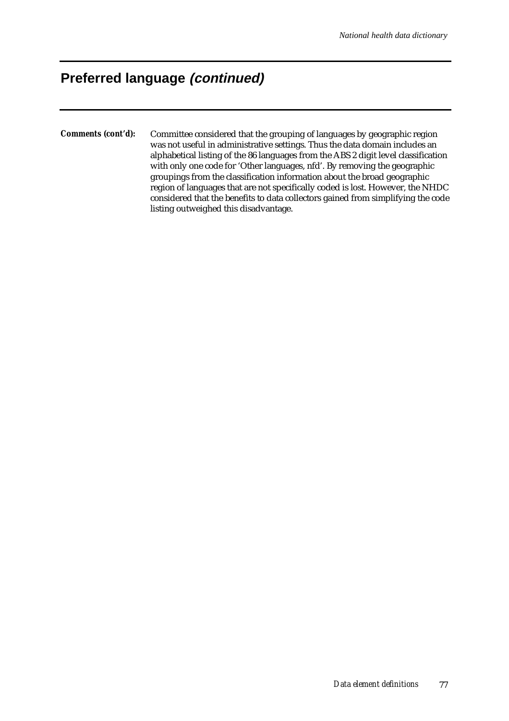## **Preferred language (continued)**

*Comments (cont'd):* Committee considered that the grouping of languages by geographic region was not useful in administrative settings. Thus the data domain includes an alphabetical listing of the 86 languages from the ABS 2 digit level classification with only one code for 'Other languages, nfd'. By removing the geographic groupings from the classification information about the broad geographic region of languages that are not specifically coded is lost. However, the NHDC considered that the benefits to data collectors gained from simplifying the code listing outweighed this disadvantage.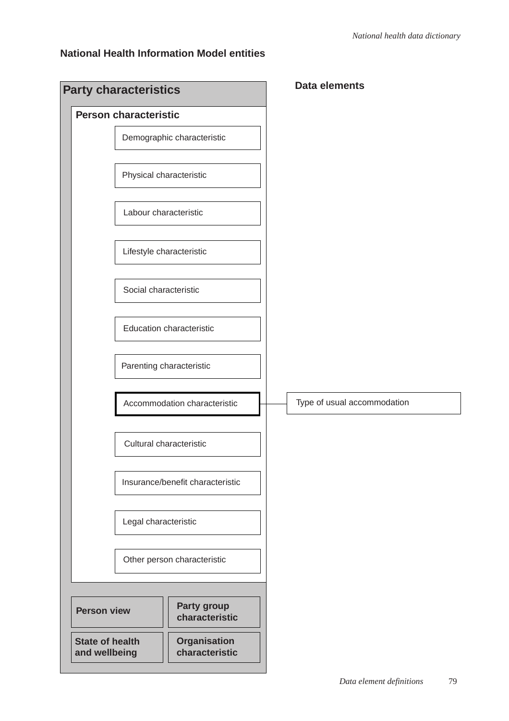### **National Health Information Model entities**

|                                       |                                                                                                                                                                                                                                                                                                                                                                                                                          | <b>Data elements</b>        |
|---------------------------------------|--------------------------------------------------------------------------------------------------------------------------------------------------------------------------------------------------------------------------------------------------------------------------------------------------------------------------------------------------------------------------------------------------------------------------|-----------------------------|
|                                       |                                                                                                                                                                                                                                                                                                                                                                                                                          |                             |
|                                       |                                                                                                                                                                                                                                                                                                                                                                                                                          |                             |
|                                       |                                                                                                                                                                                                                                                                                                                                                                                                                          |                             |
|                                       |                                                                                                                                                                                                                                                                                                                                                                                                                          |                             |
|                                       |                                                                                                                                                                                                                                                                                                                                                                                                                          |                             |
|                                       |                                                                                                                                                                                                                                                                                                                                                                                                                          |                             |
|                                       |                                                                                                                                                                                                                                                                                                                                                                                                                          |                             |
|                                       |                                                                                                                                                                                                                                                                                                                                                                                                                          |                             |
|                                       |                                                                                                                                                                                                                                                                                                                                                                                                                          | Type of usual accommodation |
|                                       |                                                                                                                                                                                                                                                                                                                                                                                                                          |                             |
|                                       |                                                                                                                                                                                                                                                                                                                                                                                                                          |                             |
|                                       |                                                                                                                                                                                                                                                                                                                                                                                                                          |                             |
|                                       |                                                                                                                                                                                                                                                                                                                                                                                                                          |                             |
|                                       |                                                                                                                                                                                                                                                                                                                                                                                                                          |                             |
| Party group<br>characteristic         |                                                                                                                                                                                                                                                                                                                                                                                                                          |                             |
| <b>Organisation</b><br>characteristic |                                                                                                                                                                                                                                                                                                                                                                                                                          |                             |
|                                       | <b>Party characteristics</b><br><b>Person characteristic</b><br>Demographic characteristic<br>Physical characteristic<br>Labour characteristic<br>Lifestyle characteristic<br>Social characteristic<br><b>Education characteristic</b><br>Parenting characteristic<br>Accommodation characteristic<br>Cultural characteristic<br>Insurance/benefit characteristic<br>Legal characteristic<br>Other person characteristic |                             |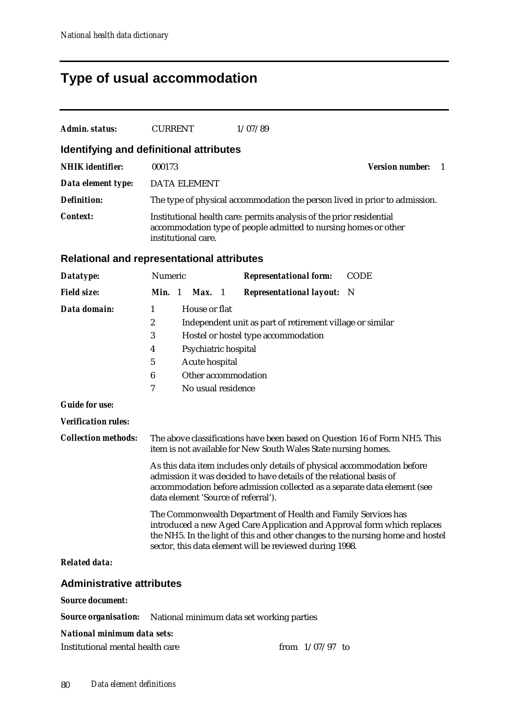# **Type of usual accommodation**

| <b>Admin. status:</b>                             | <b>CURRENT</b>                                                         |                                                                               | 1/07/89                                                                                                                                                                                                                                                                               |                             |
|---------------------------------------------------|------------------------------------------------------------------------|-------------------------------------------------------------------------------|---------------------------------------------------------------------------------------------------------------------------------------------------------------------------------------------------------------------------------------------------------------------------------------|-----------------------------|
| Identifying and definitional attributes           |                                                                        |                                                                               |                                                                                                                                                                                                                                                                                       |                             |
| <b>NHIK</b> identifier:                           | 000173                                                                 |                                                                               |                                                                                                                                                                                                                                                                                       | <b>Version number:</b><br>1 |
| Data element type:                                | <b>DATA ELEMENT</b>                                                    |                                                                               |                                                                                                                                                                                                                                                                                       |                             |
| <b>Definition:</b>                                |                                                                        |                                                                               | The type of physical accommodation the person lived in prior to admission.                                                                                                                                                                                                            |                             |
| <b>Context:</b>                                   | institutional care.                                                    |                                                                               | Institutional health care: permits analysis of the prior residential<br>accommodation type of people admitted to nursing homes or other                                                                                                                                               |                             |
| <b>Relational and representational attributes</b> |                                                                        |                                                                               |                                                                                                                                                                                                                                                                                       |                             |
| Datatype:                                         | Numeric                                                                |                                                                               | <b>Representational form:</b>                                                                                                                                                                                                                                                         | <b>CODE</b>                 |
| <b>Field size:</b>                                | Min. 1                                                                 | Max. 1                                                                        | <b>Representational layout:</b>                                                                                                                                                                                                                                                       | N                           |
| Data domain:                                      | 1<br>$\boldsymbol{2}$<br>3<br>4<br>$\sqrt{5}$<br>$\boldsymbol{6}$<br>7 | House or flat<br>Psychiatric hospital<br>Acute hospital<br>No usual residence | Independent unit as part of retirement village or similar<br>Hostel or hostel type accommodation<br>Other accommodation                                                                                                                                                               |                             |
| <b>Guide for use:</b>                             |                                                                        |                                                                               |                                                                                                                                                                                                                                                                                       |                             |
| <b>Verification rules:</b>                        |                                                                        |                                                                               |                                                                                                                                                                                                                                                                                       |                             |
| <b>Collection methods:</b>                        |                                                                        |                                                                               | The above classifications have been based on Question 16 of Form NH5. This<br>item is not available for New South Wales State nursing homes.                                                                                                                                          |                             |
|                                                   |                                                                        |                                                                               | As this data item includes only details of physical accommodation before<br>admission it was decided to have details of the relational basis of<br>accommodation before admission collected as a separate data element (see<br>data element 'Source of referral').                    |                             |
|                                                   |                                                                        |                                                                               | The Commonwealth Department of Health and Family Services has<br>introduced a new Aged Care Application and Approval form which replaces<br>the NH5. In the light of this and other changes to the nursing home and hostel<br>sector, this data element will be reviewed during 1998. |                             |
| <b>Related data:</b>                              |                                                                        |                                                                               |                                                                                                                                                                                                                                                                                       |                             |
| <b>Administrative attributes</b>                  |                                                                        |                                                                               |                                                                                                                                                                                                                                                                                       |                             |
| <b>Source document:</b>                           |                                                                        |                                                                               |                                                                                                                                                                                                                                                                                       |                             |
| <b>Source organisation:</b>                       |                                                                        |                                                                               | National minimum data set working parties                                                                                                                                                                                                                                             |                             |
|                                                   |                                                                        |                                                                               |                                                                                                                                                                                                                                                                                       |                             |

#### *National minimum data sets:*

| Institutional mental health care- | from $1/07/97$ to |  |  |
|-----------------------------------|-------------------|--|--|
|-----------------------------------|-------------------|--|--|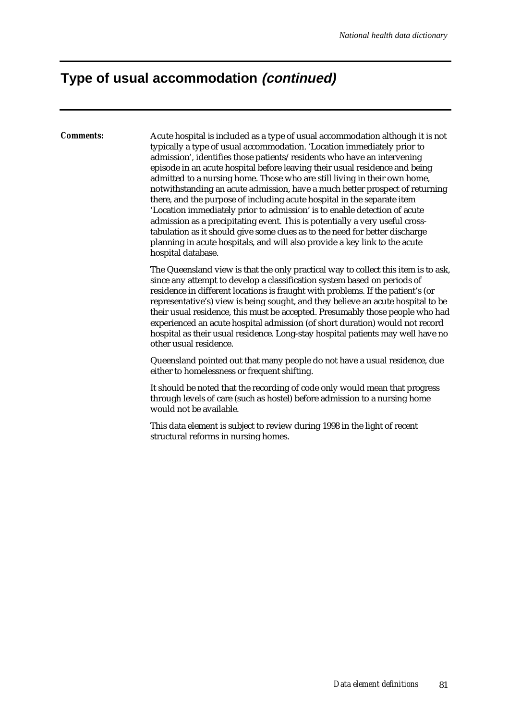### **Type of usual accommodation (continued)**

*Comments:* Acute hospital is included as a type of usual accommodation although it is not typically a type of usual accommodation. 'Location immediately prior to admission', identifies those patients/residents who have an intervening episode in an acute hospital before leaving their usual residence and being admitted to a nursing home. Those who are still living in their own home, notwithstanding an acute admission, have a much better prospect of returning there, and the purpose of including acute hospital in the separate item 'Location immediately prior to admission' is to enable detection of acute admission as a precipitating event. This is potentially a very useful crosstabulation as it should give some clues as to the need for better discharge planning in acute hospitals, and will also provide a key link to the acute hospital database.

> The Queensland view is that the only practical way to collect this item is to ask, since any attempt to develop a classification system based on periods of residence in different locations is fraught with problems. If the patient's (or representative's) view is being sought, and they believe an acute hospital to be their usual residence, this must be accepted. Presumably those people who had experienced an acute hospital admission (of short duration) would not record hospital as their usual residence. Long-stay hospital patients may well have no other usual residence.

Queensland pointed out that many people do not have a usual residence, due either to homelessness or frequent shifting.

It should be noted that the recording of code only would mean that progress through levels of care (such as hostel) before admission to a nursing home would not be available.

This data element is subject to review during 1998 in the light of recent structural reforms in nursing homes.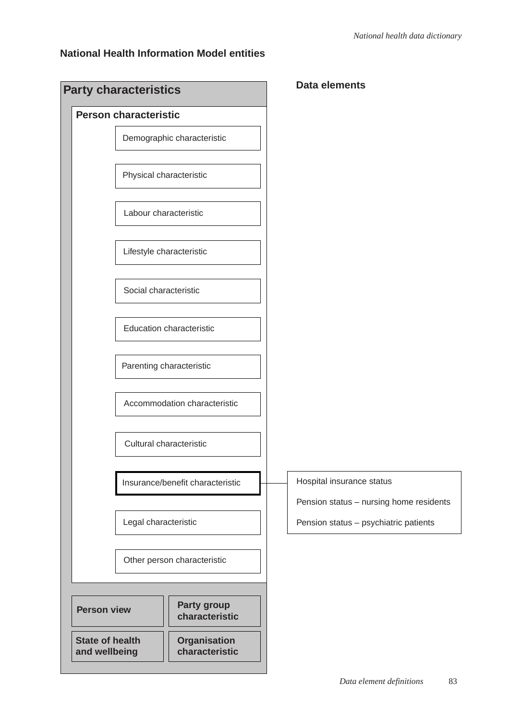### **National Health Information Model entities**

**Common** 

| <b>Party characteristics</b>            |                                       | <b>Data elements</b>                                                             |  |
|-----------------------------------------|---------------------------------------|----------------------------------------------------------------------------------|--|
| <b>Person characteristic</b>            |                                       |                                                                                  |  |
|                                         | Demographic characteristic            |                                                                                  |  |
| Physical characteristic                 |                                       |                                                                                  |  |
| Labour characteristic                   |                                       |                                                                                  |  |
| Lifestyle characteristic                |                                       |                                                                                  |  |
| Social characteristic                   |                                       |                                                                                  |  |
|                                         | <b>Education characteristic</b>       |                                                                                  |  |
| Parenting characteristic                |                                       |                                                                                  |  |
|                                         | Accommodation characteristic          |                                                                                  |  |
| Cultural characteristic                 |                                       |                                                                                  |  |
|                                         | Insurance/benefit characteristic      | Hospital insurance status                                                        |  |
| Legal characteristic                    |                                       | Pension status - nursing home residents<br>Pension status - psychiatric patients |  |
|                                         | Other person characteristic           |                                                                                  |  |
|                                         |                                       |                                                                                  |  |
| <b>Person view</b>                      | <b>Party group</b><br>characteristic  |                                                                                  |  |
| <b>State of health</b><br>and wellbeing | <b>Organisation</b><br>characteristic |                                                                                  |  |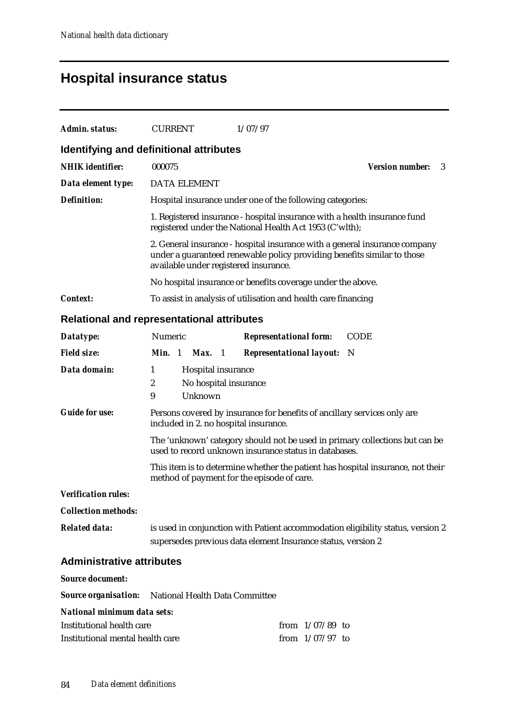## **Hospital insurance status**

| Admin. status:                                                                                      | <b>CURRENT</b>                                                                                                                                  |                                                        |  | 1/07/97                                                                                                                              |                                                                                 |  |
|-----------------------------------------------------------------------------------------------------|-------------------------------------------------------------------------------------------------------------------------------------------------|--------------------------------------------------------|--|--------------------------------------------------------------------------------------------------------------------------------------|---------------------------------------------------------------------------------|--|
| Identifying and definitional attributes                                                             |                                                                                                                                                 |                                                        |  |                                                                                                                                      |                                                                                 |  |
| <b>NHIK</b> identifier:                                                                             | 000075                                                                                                                                          |                                                        |  |                                                                                                                                      | <b>Version number:</b><br>3                                                     |  |
| Data element type:                                                                                  | <b>DATA ELEMENT</b>                                                                                                                             |                                                        |  |                                                                                                                                      |                                                                                 |  |
| <b>Definition:</b>                                                                                  |                                                                                                                                                 |                                                        |  | Hospital insurance under one of the following categories:                                                                            |                                                                                 |  |
|                                                                                                     |                                                                                                                                                 |                                                        |  | 1. Registered insurance - hospital insurance with a health insurance fund<br>registered under the National Health Act 1953 (C'wlth); |                                                                                 |  |
|                                                                                                     |                                                                                                                                                 |                                                        |  | under a guaranteed renewable policy providing benefits similar to those<br>available under registered insurance.                     | 2. General insurance - hospital insurance with a general insurance company      |  |
|                                                                                                     |                                                                                                                                                 |                                                        |  | No hospital insurance or benefits coverage under the above.                                                                          |                                                                                 |  |
| <b>Context:</b>                                                                                     |                                                                                                                                                 |                                                        |  | To assist in analysis of utilisation and health care financing                                                                       |                                                                                 |  |
| <b>Relational and representational attributes</b>                                                   |                                                                                                                                                 |                                                        |  |                                                                                                                                      |                                                                                 |  |
| Datatype:                                                                                           | Numeric                                                                                                                                         |                                                        |  | <b>Representational form:</b>                                                                                                        | <b>CODE</b>                                                                     |  |
| <b>Field size:</b>                                                                                  | Min. 1                                                                                                                                          | Max. 1                                                 |  | <b>Representational layout:</b>                                                                                                      | - N                                                                             |  |
| Data domain:                                                                                        | 1<br>$\boldsymbol{2}$<br>9                                                                                                                      | Hospital insurance<br>No hospital insurance<br>Unknown |  |                                                                                                                                      |                                                                                 |  |
| <b>Guide for use:</b>                                                                               |                                                                                                                                                 |                                                        |  | Persons covered by insurance for benefits of ancillary services only are<br>included in 2. no hospital insurance.                    |                                                                                 |  |
|                                                                                                     | The 'unknown' category should not be used in primary collections but can be<br>used to record unknown insurance status in databases.            |                                                        |  |                                                                                                                                      |                                                                                 |  |
|                                                                                                     |                                                                                                                                                 |                                                        |  | method of payment for the episode of care.                                                                                           | This item is to determine whether the patient has hospital insurance, not their |  |
| <b>Verification rules:</b>                                                                          |                                                                                                                                                 |                                                        |  |                                                                                                                                      |                                                                                 |  |
| <b>Collection methods:</b>                                                                          |                                                                                                                                                 |                                                        |  |                                                                                                                                      |                                                                                 |  |
| <b>Related data:</b>                                                                                | is used in conjunction with Patient accommodation eligibility status, version 2<br>supersedes previous data element Insurance status, version 2 |                                                        |  |                                                                                                                                      |                                                                                 |  |
| <b>Administrative attributes</b>                                                                    |                                                                                                                                                 |                                                        |  |                                                                                                                                      |                                                                                 |  |
| <b>Source document:</b>                                                                             |                                                                                                                                                 |                                                        |  |                                                                                                                                      |                                                                                 |  |
| <b>Source organisation:</b> National Health Data Committee                                          |                                                                                                                                                 |                                                        |  |                                                                                                                                      |                                                                                 |  |
| <b>National minimum data sets:</b><br>Institutional health care<br>Institutional mental health care |                                                                                                                                                 |                                                        |  | from $1/07/89$ to<br>from $1/07/97$ to                                                                                               |                                                                                 |  |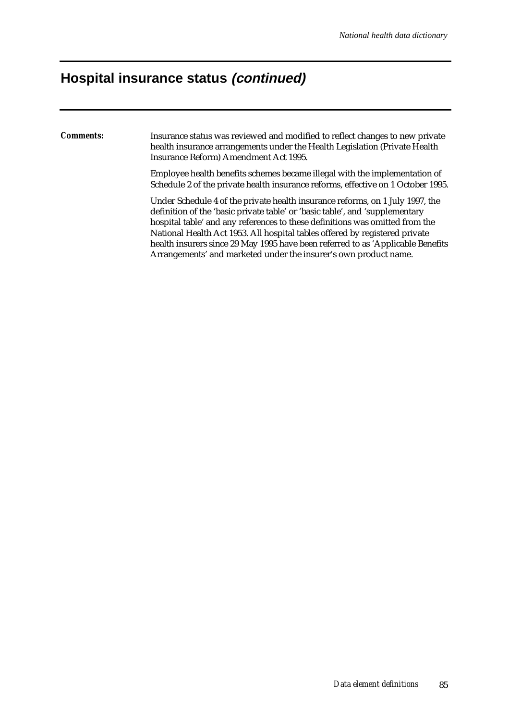# **Hospital insurance status (continued)**

| <i>Comments:</i> | Insurance status was reviewed and modified to reflect changes to new private<br>health insurance arrangements under the Health Legislation (Private Health<br>Insurance Reform) Amendment Act 1995.                                                                                                                                                                                                                                                                                 |
|------------------|-------------------------------------------------------------------------------------------------------------------------------------------------------------------------------------------------------------------------------------------------------------------------------------------------------------------------------------------------------------------------------------------------------------------------------------------------------------------------------------|
|                  | Employee health benefits schemes became illegal with the implementation of<br>Schedule 2 of the private health insurance reforms, effective on 1 October 1995.                                                                                                                                                                                                                                                                                                                      |
|                  | Under Schedule 4 of the private health insurance reforms, on 1 July 1997, the<br>definition of the 'basic private table' or 'basic table', and 'supplementary<br>hospital table' and any references to these definitions was omitted from the<br>National Health Act 1953. All hospital tables offered by registered private<br>health insurers since 29 May 1995 have been referred to as 'Applicable Benefits<br>Arrangements' and marketed under the insurer's own product name. |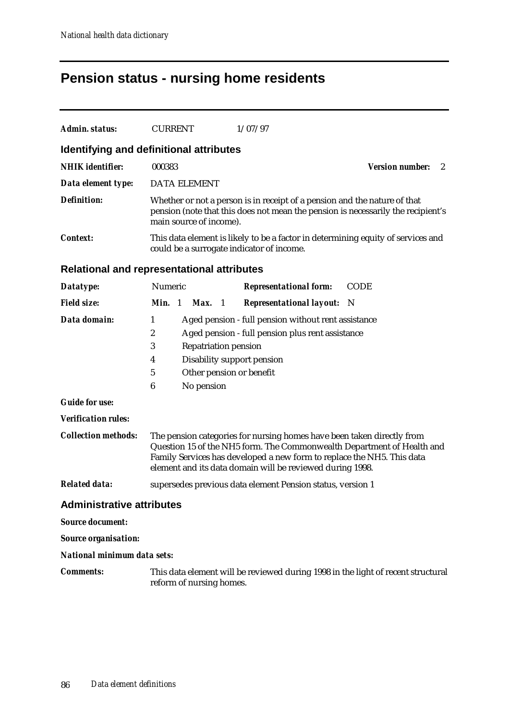# **Pension status - nursing home residents**

| <b>Admin. status:</b>                   | <b>CURRENT</b><br>1/07/97                                                                                                                                                                                                                                                               |  |  |  |  |  |  |
|-----------------------------------------|-----------------------------------------------------------------------------------------------------------------------------------------------------------------------------------------------------------------------------------------------------------------------------------------|--|--|--|--|--|--|
| Identifying and definitional attributes |                                                                                                                                                                                                                                                                                         |  |  |  |  |  |  |
| <b>NHIK</b> identifier:                 | 000383<br><b>Version number:</b><br>2                                                                                                                                                                                                                                                   |  |  |  |  |  |  |
| Data element type:                      | <b>DATA ELEMENT</b>                                                                                                                                                                                                                                                                     |  |  |  |  |  |  |
| <b>Definition:</b>                      | Whether or not a person is in receipt of a pension and the nature of that<br>pension (note that this does not mean the pension is necessarily the recipient's<br>main source of income).                                                                                                |  |  |  |  |  |  |
| <b>Context:</b>                         | This data element is likely to be a factor in determining equity of services and<br>could be a surrogate indicator of income.                                                                                                                                                           |  |  |  |  |  |  |
|                                         | <b>Relational and representational attributes</b>                                                                                                                                                                                                                                       |  |  |  |  |  |  |
| Datatype:                               | Numeric<br><b>Representational form:</b><br><b>CODE</b>                                                                                                                                                                                                                                 |  |  |  |  |  |  |
| <b>Field size:</b>                      | Min. 1<br><b>Representational layout:</b><br>Max. 1<br>- N                                                                                                                                                                                                                              |  |  |  |  |  |  |
| Data domain:                            | 1<br>Aged pension - full pension without rent assistance<br>2<br>Aged pension - full pension plus rent assistance<br>3<br><b>Repatriation pension</b><br>Disability support pension<br>4<br>5<br>Other pension or benefit<br>6<br>No pension                                            |  |  |  |  |  |  |
| <b>Guide for use:</b>                   |                                                                                                                                                                                                                                                                                         |  |  |  |  |  |  |
| <b>Verification rules:</b>              |                                                                                                                                                                                                                                                                                         |  |  |  |  |  |  |
| <b>Collection methods:</b>              | The pension categories for nursing homes have been taken directly from<br>Question 15 of the NH5 form. The Commonwealth Department of Health and<br>Family Services has developed a new form to replace the NH5. This data<br>element and its data domain will be reviewed during 1998. |  |  |  |  |  |  |
| <b>Related data:</b>                    | supersedes previous data element Pension status, version 1                                                                                                                                                                                                                              |  |  |  |  |  |  |
| <b>Administrative attributes</b>        |                                                                                                                                                                                                                                                                                         |  |  |  |  |  |  |
| <b>Source document:</b>                 |                                                                                                                                                                                                                                                                                         |  |  |  |  |  |  |
| <b>Source organisation:</b>             |                                                                                                                                                                                                                                                                                         |  |  |  |  |  |  |
| National minimum data sets:             |                                                                                                                                                                                                                                                                                         |  |  |  |  |  |  |
| <b>Comments:</b>                        | This data element will be reviewed during 1998 in the light of recent structural<br>reform of nursing homes.                                                                                                                                                                            |  |  |  |  |  |  |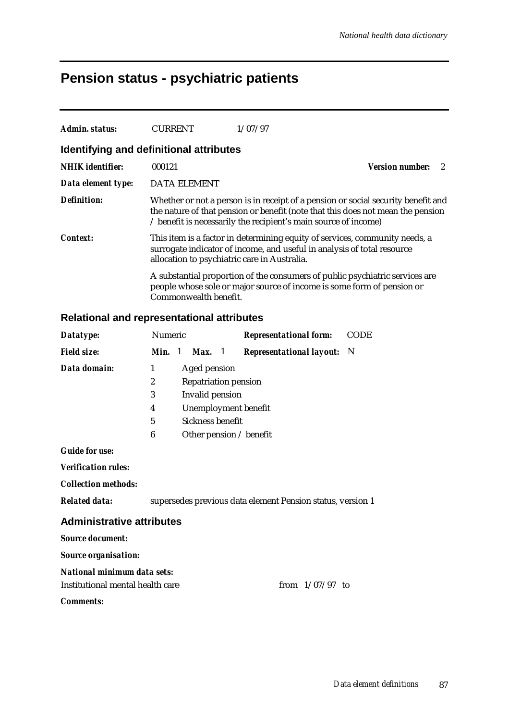## **Pension status - psychiatric patients**

| Admin. status:          | <b>CURRENT</b>                          | 1/07/97                                                                                                                                                                                                                                 |                        |
|-------------------------|-----------------------------------------|-----------------------------------------------------------------------------------------------------------------------------------------------------------------------------------------------------------------------------------------|------------------------|
|                         | Identifying and definitional attributes |                                                                                                                                                                                                                                         |                        |
| <b>NHIK</b> identifier: | 000121                                  |                                                                                                                                                                                                                                         | <b>Version number:</b> |
| Data element type:      | <b>DATA ELEMENT</b>                     |                                                                                                                                                                                                                                         |                        |
| Definition:             |                                         | Whether or not a person is in receipt of a pension or social security benefit and<br>the nature of that pension or benefit (note that this does not mean the pension<br>/ benefit is necessarily the recipient's main source of income) |                        |
| <b>Context:</b>         |                                         | This item is a factor in determining equity of services, community needs, a<br>surrogate indicator of income, and useful in analysis of total resource<br>allocation to psychiatric care in Australia.                                  |                        |
|                         | Commonwealth benefit.                   | A substantial proportion of the consumers of public psychiatric services are<br>people whose sole or major source of income is some form of pension or                                                                                  |                        |

#### **Relational and representational attributes**

| Datatype:                  | <b>Numeric</b>                   |                              | <b>Representational form:</b>     | <b>CODE</b> |  |  |
|----------------------------|----------------------------------|------------------------------|-----------------------------------|-------------|--|--|
| <b>Field size:</b>         | Min. 1                           | Max. 1                       | <b>Representational layout:</b> N |             |  |  |
| Data domain:               | 1                                | Aged pension                 |                                   |             |  |  |
|                            | 2<br><b>Repatriation pension</b> |                              |                                   |             |  |  |
|                            | 3                                | Invalid pension              |                                   |             |  |  |
|                            | 4                                | Unemployment benefit         |                                   |             |  |  |
|                            | 5                                | Sickness benefit             |                                   |             |  |  |
|                            | 6                                | Other pension $\ell$ benefit |                                   |             |  |  |
| <b>Guide for use:</b>      |                                  |                              |                                   |             |  |  |
| <b>Verification rules:</b> |                                  |                              |                                   |             |  |  |

*Collection methods:*

*Related data:* supersedes previous data element Pension status, version 1

#### **Administrative attributes**

*Source document:*

*Source organisation:*

#### *National minimum data sets:*

Institutional mental health care from  $1/07/97$  to

#### *Comments:*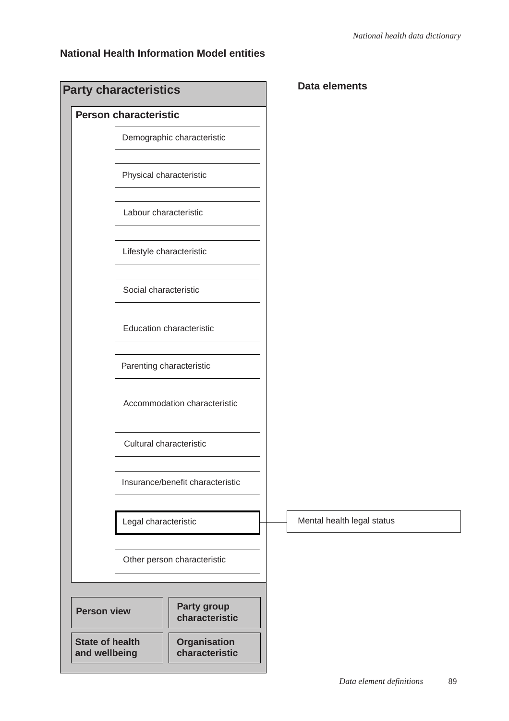### **National Health Information Model entities**

| <b>Party characteristics</b>            |                                       |  | <b>Data elements</b>       |
|-----------------------------------------|---------------------------------------|--|----------------------------|
| <b>Person characteristic</b>            |                                       |  |                            |
| Demographic characteristic              |                                       |  |                            |
| Physical characteristic                 |                                       |  |                            |
| Labour characteristic                   |                                       |  |                            |
| Lifestyle characteristic                |                                       |  |                            |
| Social characteristic                   |                                       |  |                            |
| <b>Education characteristic</b>         |                                       |  |                            |
| Parenting characteristic                |                                       |  |                            |
| Accommodation characteristic            |                                       |  |                            |
| Cultural characteristic                 |                                       |  |                            |
| Insurance/benefit characteristic        |                                       |  |                            |
| Legal characteristic                    |                                       |  | Mental health legal status |
| Other person characteristic             |                                       |  |                            |
|                                         |                                       |  |                            |
| <b>Person view</b>                      | Party group<br>characteristic         |  |                            |
| <b>State of health</b><br>and wellbeing | <b>Organisation</b><br>characteristic |  |                            |
|                                         |                                       |  |                            |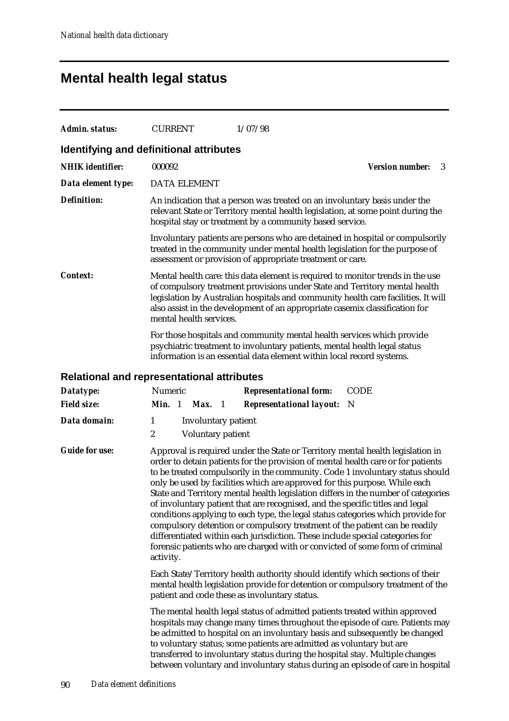## **Mental health legal status**

| <b>Admin. status:</b>   | <b>CURRENT</b><br>1/07/98                                                                                                                                                                                                                                                                                                                                                                                                                                                                                                                                                                                                                                                                                                                                                                                                                              |                             |  |  |  |  |  |
|-------------------------|--------------------------------------------------------------------------------------------------------------------------------------------------------------------------------------------------------------------------------------------------------------------------------------------------------------------------------------------------------------------------------------------------------------------------------------------------------------------------------------------------------------------------------------------------------------------------------------------------------------------------------------------------------------------------------------------------------------------------------------------------------------------------------------------------------------------------------------------------------|-----------------------------|--|--|--|--|--|
|                         | Identifying and definitional attributes                                                                                                                                                                                                                                                                                                                                                                                                                                                                                                                                                                                                                                                                                                                                                                                                                |                             |  |  |  |  |  |
| <b>NHIK</b> identifier: | 000092                                                                                                                                                                                                                                                                                                                                                                                                                                                                                                                                                                                                                                                                                                                                                                                                                                                 | <b>Version number:</b><br>3 |  |  |  |  |  |
| Data element type:      | <b>DATA ELEMENT</b>                                                                                                                                                                                                                                                                                                                                                                                                                                                                                                                                                                                                                                                                                                                                                                                                                                    |                             |  |  |  |  |  |
| <b>Definition:</b>      | An indication that a person was treated on an involuntary basis under the<br>relevant State or Territory mental health legislation, at some point during the<br>hospital stay or treatment by a community based service.                                                                                                                                                                                                                                                                                                                                                                                                                                                                                                                                                                                                                               |                             |  |  |  |  |  |
|                         | Involuntary patients are persons who are detained in hospital or compulsorily<br>treated in the community under mental health legislation for the purpose of<br>assessment or provision of appropriate treatment or care.                                                                                                                                                                                                                                                                                                                                                                                                                                                                                                                                                                                                                              |                             |  |  |  |  |  |
| <b>Context:</b>         | Mental health care: this data element is required to monitor trends in the use<br>of compulsory treatment provisions under State and Territory mental health<br>legislation by Australian hospitals and community health care facilities. It will<br>also assist in the development of an appropriate casemix classification for<br>mental health services.                                                                                                                                                                                                                                                                                                                                                                                                                                                                                            |                             |  |  |  |  |  |
|                         | For those hospitals and community mental health services which provide<br>psychiatric treatment to involuntary patients, mental health legal status<br>information is an essential data element within local record systems.                                                                                                                                                                                                                                                                                                                                                                                                                                                                                                                                                                                                                           |                             |  |  |  |  |  |
|                         | Relational and representational attributes                                                                                                                                                                                                                                                                                                                                                                                                                                                                                                                                                                                                                                                                                                                                                                                                             |                             |  |  |  |  |  |
| Datatype:               | Numeric<br><b>Representational form:</b>                                                                                                                                                                                                                                                                                                                                                                                                                                                                                                                                                                                                                                                                                                                                                                                                               | <b>CODE</b>                 |  |  |  |  |  |
| <b>Field size:</b>      | Min. 1<br>$Max.$ 1<br><b>Representational layout:</b>                                                                                                                                                                                                                                                                                                                                                                                                                                                                                                                                                                                                                                                                                                                                                                                                  | N                           |  |  |  |  |  |
| Data domain:            | 1<br><b>Involuntary patient</b>                                                                                                                                                                                                                                                                                                                                                                                                                                                                                                                                                                                                                                                                                                                                                                                                                        |                             |  |  |  |  |  |
|                         | 2<br>Voluntary patient                                                                                                                                                                                                                                                                                                                                                                                                                                                                                                                                                                                                                                                                                                                                                                                                                                 |                             |  |  |  |  |  |
| <b>Guide for use:</b>   | Approval is required under the State or Territory mental health legislation in<br>order to detain patients for the provision of mental health care or for patients<br>to be treated compulsorily in the community. Code 1 involuntary status should<br>only be used by facilities which are approved for this purpose. While each<br>State and Territory mental health legislation differs in the number of categories<br>of involuntary patient that are recognised, and the specific titles and legal<br>conditions applying to each type, the legal status categories which provide for<br>compulsory detention or compulsory treatment of the patient can be readily<br>differentiated within each jurisdiction. These include special categories for<br>forensic patients who are charged with or convicted of some form of criminal<br>activity. |                             |  |  |  |  |  |
|                         | Each State/Territory health authority should identify which sections of their<br>mental health legislation provide for detention or compulsory treatment of the<br>patient and code these as involuntary status.                                                                                                                                                                                                                                                                                                                                                                                                                                                                                                                                                                                                                                       |                             |  |  |  |  |  |
|                         | The mental health legal status of admitted patients treated within approved<br>hospitals may change many times throughout the episode of care. Patients may<br>be admitted to hospital on an involuntary basis and subsequently be changed<br>to voluntary status; some patients are admitted as voluntary but are<br>transferred to involuntary status during the hospital stay. Multiple changes                                                                                                                                                                                                                                                                                                                                                                                                                                                     |                             |  |  |  |  |  |

between voluntary and involuntary status during an episode of care in hospital